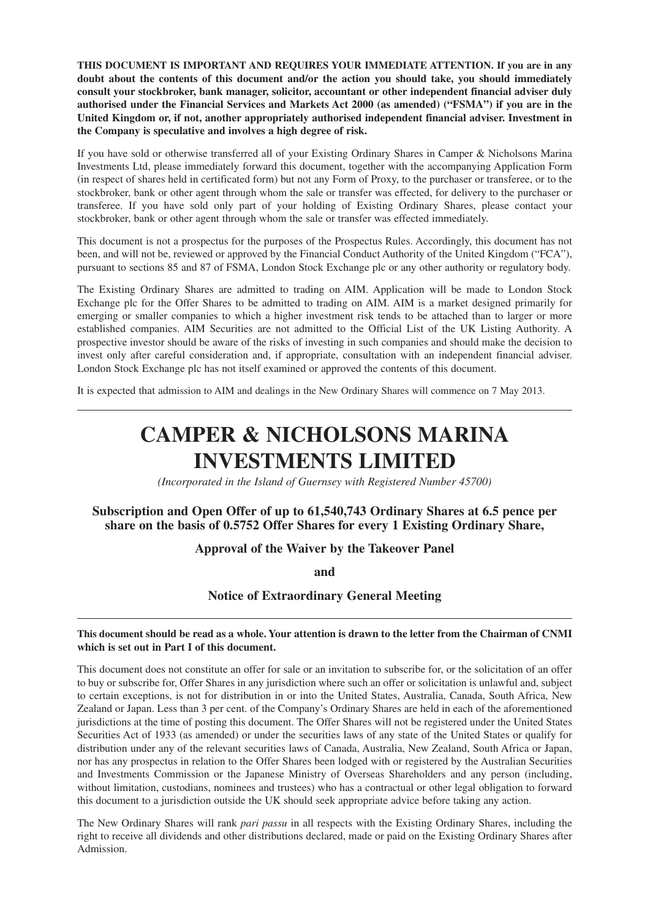**THIS DOCUMENT IS IMPORTANT AND REQUIRES YOUR IMMEDIATE ATTENTION. If you are in any doubt about the contents of this document and/or the action you should take, you should immediately consult your stockbroker, bank manager, solicitor, accountant or other independent financial adviser duly authorised under the Financial Services and Markets Act 2000 (as amended) ("FSMA") if you are in the United Kingdom or, if not, another appropriately authorised independent financial adviser. Investment in the Company is speculative and involves a high degree of risk.**

If you have sold or otherwise transferred all of your Existing Ordinary Shares in Camper & Nicholsons Marina Investments Ltd, please immediately forward this document, together with the accompanying Application Form (in respect of shares held in certificated form) but not any Form of Proxy, to the purchaser or transferee, or to the stockbroker, bank or other agent through whom the sale or transfer was effected, for delivery to the purchaser or transferee. If you have sold only part of your holding of Existing Ordinary Shares, please contact your stockbroker, bank or other agent through whom the sale or transfer was effected immediately.

This document is not a prospectus for the purposes of the Prospectus Rules. Accordingly, this document has not been, and will not be, reviewed or approved by the Financial Conduct Authority of the United Kingdom ("FCA"), pursuant to sections 85 and 87 of FSMA, London Stock Exchange plc or any other authority or regulatory body.

The Existing Ordinary Shares are admitted to trading on AIM. Application will be made to London Stock Exchange plc for the Offer Shares to be admitted to trading on AIM. AIM is a market designed primarily for emerging or smaller companies to which a higher investment risk tends to be attached than to larger or more established companies. AIM Securities are not admitted to the Official List of the UK Listing Authority. A prospective investor should be aware of the risks of investing in such companies and should make the decision to invest only after careful consideration and, if appropriate, consultation with an independent financial adviser. London Stock Exchange plc has not itself examined or approved the contents of this document.

It is expected that admission to AIM and dealings in the New Ordinary Shares will commence on 7 May 2013.

# **CAMPER & NICHOLSONS MARINA INVESTMENTS LIMITED**

*(Incorporated in the Island of Guernsey with Registered Number 45700)*

# **Subscription and Open Offer of up to 61,540,743 Ordinary Shares at 6.5 pence per share on the basis of 0.5752 Offer Shares for every 1 Existing Ordinary Share,**

#### **Approval of the Waiver by the Takeover Panel**

**and**

**Notice of Extraordinary General Meeting**

#### **This document should be read as a whole. Your attention is drawn to the letter from the Chairman of CNMI which is set out in Part I of this document.**

This document does not constitute an offer for sale or an invitation to subscribe for, or the solicitation of an offer to buy or subscribe for, Offer Shares in any jurisdiction where such an offer or solicitation is unlawful and, subject to certain exceptions, is not for distribution in or into the United States, Australia, Canada, South Africa, New Zealand or Japan. Less than 3 per cent. of the Company's Ordinary Shares are held in each of the aforementioned jurisdictions at the time of posting this document. The Offer Shares will not be registered under the United States Securities Act of 1933 (as amended) or under the securities laws of any state of the United States or qualify for distribution under any of the relevant securities laws of Canada, Australia, New Zealand, South Africa or Japan, nor has any prospectus in relation to the Offer Shares been lodged with or registered by the Australian Securities and Investments Commission or the Japanese Ministry of Overseas Shareholders and any person (including, without limitation, custodians, nominees and trustees) who has a contractual or other legal obligation to forward this document to a jurisdiction outside the UK should seek appropriate advice before taking any action.

The New Ordinary Shares will rank *pari passu* in all respects with the Existing Ordinary Shares, including the right to receive all dividends and other distributions declared, made or paid on the Existing Ordinary Shares after Admission.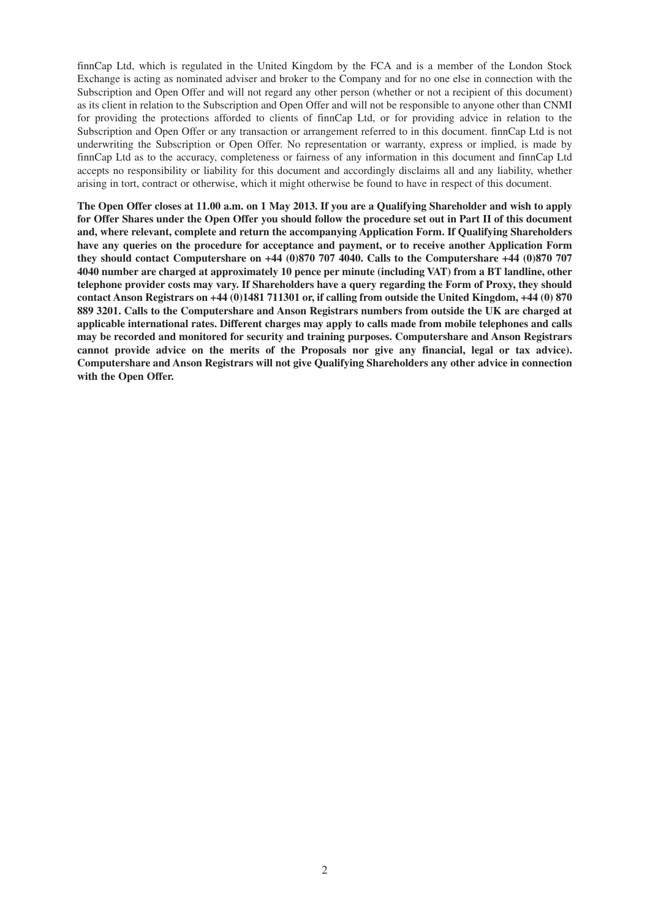finnCap Ltd, which is regulated in the United Kingdom by the FCA and is a member of the London Stock Exchange is acting as nominated adviser and broker to the Company and for no one else in connection with the Subscription and Open Offer and will not regard any other person (whether or not a recipient of this document) as its client in relation to the Subscription and Open Offer and will not be responsible to anyone other than CNMI for providing the protections afforded to clients of finnCap Ltd, or for providing advice in relation to the Subscription and Open Offer or any transaction or arrangement referred to in this document. finnCap Ltd is not underwriting the Subscription or Open Offer. No representation or warranty, express or implied, is made by finnCap Ltd as to the accuracy, completeness or fairness of any information in this document and finnCap Ltd accepts no responsibility or liability for this document and accordingly disclaims all and any liability, whether arising in tort, contract or otherwise, which it might otherwise be found to have in respect of this document.

**The Open Offer closes at 11.00 a.m. on 1 May 2013. If you are a Qualifying Shareholder and wish to apply for Offer Shares under the Open Offer you should follow the procedure set out in Part II of this document and, where relevant, complete and return the accompanying Application Form. If Qualifying Shareholders have any queries on the procedure for acceptance and payment, or to receive another Application Form they should contact Computershare on +44 (0)870 707 4040. Calls to the Computershare +44 (0)870 707 4040 number are charged at approximately 10 pence per minute (including VAT) from a BT landline, other telephone provider costs may vary. If Shareholders have a query regarding the Form of Proxy, they should contact Anson Registrars on +44 (0)1481 711301 or, if calling from outside the United Kingdom, +44 (0) 870 889 3201. Calls to the Computershare and Anson Registrars numbers from outside the UK are charged at applicable international rates. Different charges may apply to calls made from mobile telephones and calls may be recorded and monitored for security and training purposes. Computershare and Anson Registrars cannot provide advice on the merits of the Proposals nor give any financial, legal or tax advice). Computershare and Anson Registrars will not give Qualifying Shareholders any other advice in connection with the Open Offer.**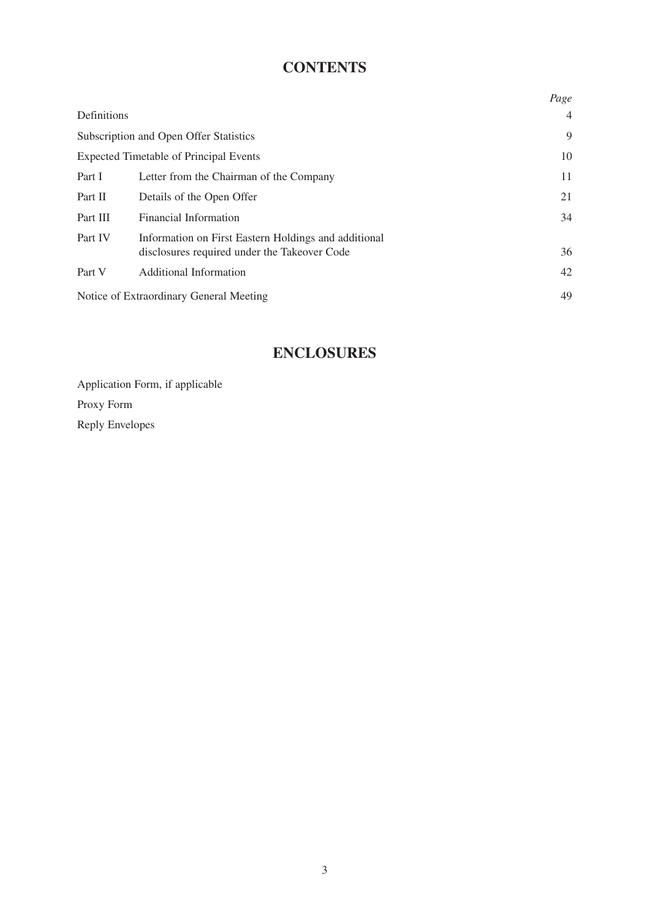# **CONTENTS**

|             |                                                      | Page           |
|-------------|------------------------------------------------------|----------------|
| Definitions |                                                      | $\overline{4}$ |
|             | Subscription and Open Offer Statistics               | 9              |
|             | <b>Expected Timetable of Principal Events</b>        | 10             |
| Part I      | Letter from the Chairman of the Company              | 11             |
| Part II     | Details of the Open Offer                            | 21             |
| Part III    | <b>Financial Information</b>                         | 34             |
| Part IV     | Information on First Eastern Holdings and additional |                |
|             | disclosures required under the Takeover Code         | 36             |
| Part V      | Additional Information                               | 42             |
|             | Notice of Extraordinary General Meeting              | 49             |

# **ENCLOSURES**

Application Form, if applicable Proxy Form Reply Envelopes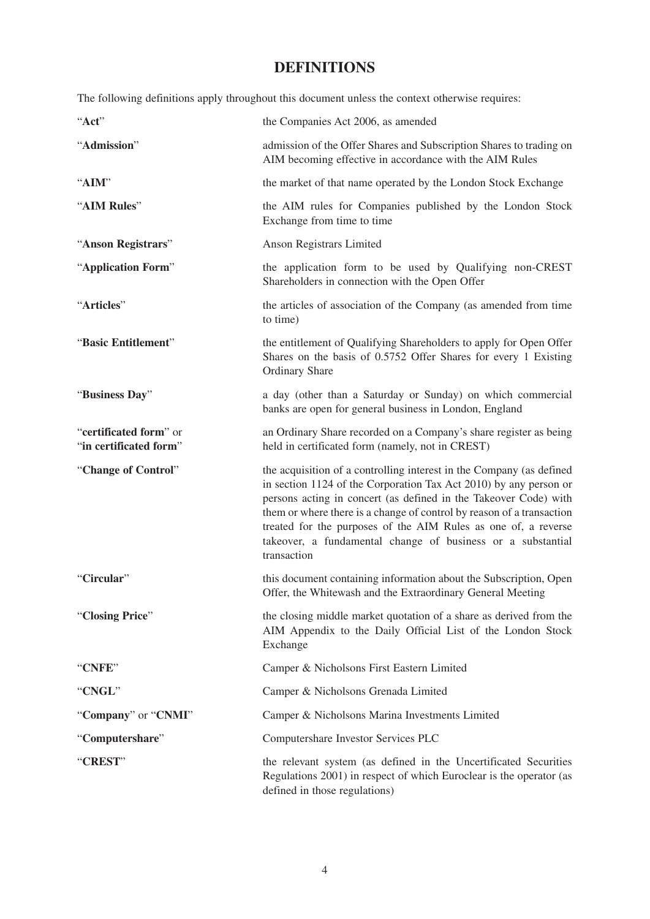# **DEFINITIONS**

The following definitions apply throughout this document unless the context otherwise requires:

| "Act"                                            | the Companies Act 2006, as amended                                                                                                                                                                                                                                                                                                                                                                                                     |
|--------------------------------------------------|----------------------------------------------------------------------------------------------------------------------------------------------------------------------------------------------------------------------------------------------------------------------------------------------------------------------------------------------------------------------------------------------------------------------------------------|
| "Admission"                                      | admission of the Offer Shares and Subscription Shares to trading on<br>AIM becoming effective in accordance with the AIM Rules                                                                                                                                                                                                                                                                                                         |
| "AIM"                                            | the market of that name operated by the London Stock Exchange                                                                                                                                                                                                                                                                                                                                                                          |
| "AIM Rules"                                      | the AIM rules for Companies published by the London Stock<br>Exchange from time to time                                                                                                                                                                                                                                                                                                                                                |
| "Anson Registrars"                               | Anson Registrars Limited                                                                                                                                                                                                                                                                                                                                                                                                               |
| "Application Form"                               | the application form to be used by Qualifying non-CREST<br>Shareholders in connection with the Open Offer                                                                                                                                                                                                                                                                                                                              |
| "Articles"                                       | the articles of association of the Company (as amended from time<br>to time)                                                                                                                                                                                                                                                                                                                                                           |
| "Basic Entitlement"                              | the entitlement of Qualifying Shareholders to apply for Open Offer<br>Shares on the basis of 0.5752 Offer Shares for every 1 Existing<br><b>Ordinary Share</b>                                                                                                                                                                                                                                                                         |
| "Business Day"                                   | a day (other than a Saturday or Sunday) on which commercial<br>banks are open for general business in London, England                                                                                                                                                                                                                                                                                                                  |
| "certificated form" or<br>"in certificated form" | an Ordinary Share recorded on a Company's share register as being<br>held in certificated form (namely, not in CREST)                                                                                                                                                                                                                                                                                                                  |
| "Change of Control"                              | the acquisition of a controlling interest in the Company (as defined<br>in section 1124 of the Corporation Tax Act 2010) by any person or<br>persons acting in concert (as defined in the Takeover Code) with<br>them or where there is a change of control by reason of a transaction<br>treated for the purposes of the AIM Rules as one of, a reverse<br>takeover, a fundamental change of business or a substantial<br>transaction |
| "Circular"                                       | this document containing information about the Subscription, Open<br>Offer, the Whitewash and the Extraordinary General Meeting                                                                                                                                                                                                                                                                                                        |
| "Closing Price"                                  | the closing middle market quotation of a share as derived from the<br>AIM Appendix to the Daily Official List of the London Stock<br>Exchange                                                                                                                                                                                                                                                                                          |
| "CNFE"                                           | Camper & Nicholsons First Eastern Limited                                                                                                                                                                                                                                                                                                                                                                                              |
| "CNGL"                                           | Camper & Nicholsons Grenada Limited                                                                                                                                                                                                                                                                                                                                                                                                    |
| "Company" or "CNMI"                              | Camper & Nicholsons Marina Investments Limited                                                                                                                                                                                                                                                                                                                                                                                         |
| "Computershare"                                  | Computershare Investor Services PLC                                                                                                                                                                                                                                                                                                                                                                                                    |
| "CREST"                                          | the relevant system (as defined in the Uncertificated Securities<br>Regulations 2001) in respect of which Euroclear is the operator (as<br>defined in those regulations)                                                                                                                                                                                                                                                               |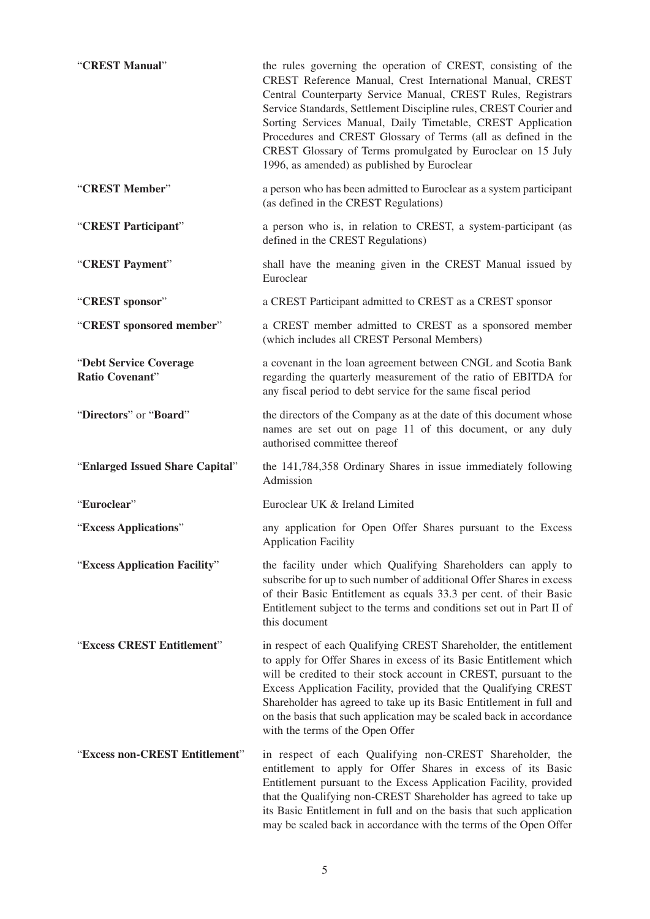| "CREST Manual"                            | the rules governing the operation of CREST, consisting of the<br>CREST Reference Manual, Crest International Manual, CREST<br>Central Counterparty Service Manual, CREST Rules, Registrars<br>Service Standards, Settlement Discipline rules, CREST Courier and<br>Sorting Services Manual, Daily Timetable, CREST Application<br>Procedures and CREST Glossary of Terms (all as defined in the<br>CREST Glossary of Terms promulgated by Euroclear on 15 July<br>1996, as amended) as published by Euroclear |
|-------------------------------------------|---------------------------------------------------------------------------------------------------------------------------------------------------------------------------------------------------------------------------------------------------------------------------------------------------------------------------------------------------------------------------------------------------------------------------------------------------------------------------------------------------------------|
| "CREST Member"                            | a person who has been admitted to Euroclear as a system participant<br>(as defined in the CREST Regulations)                                                                                                                                                                                                                                                                                                                                                                                                  |
| "CREST Participant"                       | a person who is, in relation to CREST, a system-participant (as<br>defined in the CREST Regulations)                                                                                                                                                                                                                                                                                                                                                                                                          |
| "CREST Payment"                           | shall have the meaning given in the CREST Manual issued by<br>Euroclear                                                                                                                                                                                                                                                                                                                                                                                                                                       |
| "CREST sponsor"                           | a CREST Participant admitted to CREST as a CREST sponsor                                                                                                                                                                                                                                                                                                                                                                                                                                                      |
| "CREST sponsored member"                  | a CREST member admitted to CREST as a sponsored member<br>(which includes all CREST Personal Members)                                                                                                                                                                                                                                                                                                                                                                                                         |
| "Debt Service Coverage<br>Ratio Covenant" | a covenant in the loan agreement between CNGL and Scotia Bank<br>regarding the quarterly measurement of the ratio of EBITDA for<br>any fiscal period to debt service for the same fiscal period                                                                                                                                                                                                                                                                                                               |
| "Directors" or "Board"                    | the directors of the Company as at the date of this document whose<br>names are set out on page 11 of this document, or any duly<br>authorised committee thereof                                                                                                                                                                                                                                                                                                                                              |
| "Enlarged Issued Share Capital"           | the 141,784,358 Ordinary Shares in issue immediately following<br>Admission                                                                                                                                                                                                                                                                                                                                                                                                                                   |
| "Euroclear"                               | Euroclear UK & Ireland Limited                                                                                                                                                                                                                                                                                                                                                                                                                                                                                |
| "Excess Applications"                     | any application for Open Offer Shares pursuant to the Excess<br><b>Application Facility</b>                                                                                                                                                                                                                                                                                                                                                                                                                   |
| "Excess Application Facility"             | the facility under which Qualifying Shareholders can apply to<br>subscribe for up to such number of additional Offer Shares in excess<br>of their Basic Entitlement as equals 33.3 per cent. of their Basic<br>Entitlement subject to the terms and conditions set out in Part II of<br>this document                                                                                                                                                                                                         |
| "Excess CREST Entitlement"                | in respect of each Qualifying CREST Shareholder, the entitlement<br>to apply for Offer Shares in excess of its Basic Entitlement which<br>will be credited to their stock account in CREST, pursuant to the<br>Excess Application Facility, provided that the Qualifying CREST<br>Shareholder has agreed to take up its Basic Entitlement in full and<br>on the basis that such application may be scaled back in accordance<br>with the terms of the Open Offer                                              |
| "Excess non-CREST Entitlement"            | in respect of each Qualifying non-CREST Shareholder, the<br>entitlement to apply for Offer Shares in excess of its Basic<br>Entitlement pursuant to the Excess Application Facility, provided<br>that the Qualifying non-CREST Shareholder has agreed to take up<br>its Basic Entitlement in full and on the basis that such application<br>may be scaled back in accordance with the terms of the Open Offer                                                                                                 |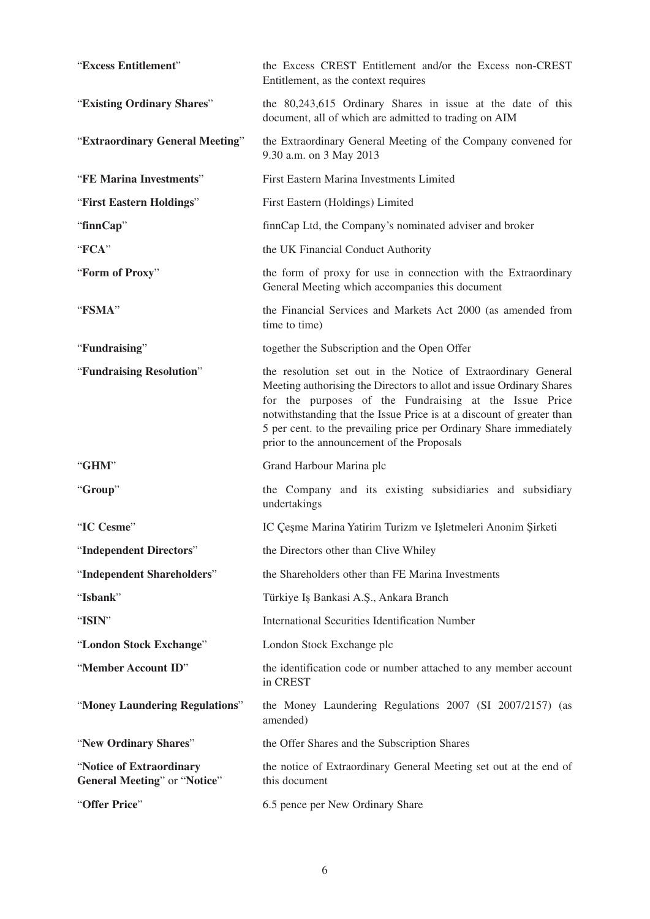| "Excess Entitlement"                                             | the Excess CREST Entitlement and/or the Excess non-CREST<br>Entitlement, as the context requires                                                                                                                                                                                                                                                                                             |
|------------------------------------------------------------------|----------------------------------------------------------------------------------------------------------------------------------------------------------------------------------------------------------------------------------------------------------------------------------------------------------------------------------------------------------------------------------------------|
| "Existing Ordinary Shares"                                       | the 80,243,615 Ordinary Shares in issue at the date of this<br>document, all of which are admitted to trading on AIM                                                                                                                                                                                                                                                                         |
| "Extraordinary General Meeting"                                  | the Extraordinary General Meeting of the Company convened for<br>9.30 a.m. on 3 May 2013                                                                                                                                                                                                                                                                                                     |
| "FE Marina Investments"                                          | First Eastern Marina Investments Limited                                                                                                                                                                                                                                                                                                                                                     |
| "First Eastern Holdings"                                         | First Eastern (Holdings) Limited                                                                                                                                                                                                                                                                                                                                                             |
| "finnCap"                                                        | finnCap Ltd, the Company's nominated adviser and broker                                                                                                                                                                                                                                                                                                                                      |
| "FCA"                                                            | the UK Financial Conduct Authority                                                                                                                                                                                                                                                                                                                                                           |
| "Form of Proxy"                                                  | the form of proxy for use in connection with the Extraordinary<br>General Meeting which accompanies this document                                                                                                                                                                                                                                                                            |
| "FSMA"                                                           | the Financial Services and Markets Act 2000 (as amended from<br>time to time)                                                                                                                                                                                                                                                                                                                |
| "Fundraising"                                                    | together the Subscription and the Open Offer                                                                                                                                                                                                                                                                                                                                                 |
| "Fundraising Resolution"                                         | the resolution set out in the Notice of Extraordinary General<br>Meeting authorising the Directors to allot and issue Ordinary Shares<br>for the purposes of the Fundraising at the Issue Price<br>notwithstanding that the Issue Price is at a discount of greater than<br>5 per cent. to the prevailing price per Ordinary Share immediately<br>prior to the announcement of the Proposals |
| "GHM"                                                            | Grand Harbour Marina plc                                                                                                                                                                                                                                                                                                                                                                     |
| "Group"                                                          | the Company and its existing subsidiaries and subsidiary<br>undertakings                                                                                                                                                                                                                                                                                                                     |
| "IC Cesme"                                                       | IC Çeşme Marina Yatirim Turizm ve Işletmeleri Anonim Şirketi                                                                                                                                                                                                                                                                                                                                 |
| "Independent Directors"                                          | the Directors other than Clive Whiley                                                                                                                                                                                                                                                                                                                                                        |
| "Independent Shareholders"                                       | the Shareholders other than FE Marina Investments                                                                                                                                                                                                                                                                                                                                            |
| "Isbank"                                                         | Türkiye Iş Bankasi A.Ş., Ankara Branch                                                                                                                                                                                                                                                                                                                                                       |
| "ISIN"                                                           | <b>International Securities Identification Number</b>                                                                                                                                                                                                                                                                                                                                        |
| "London Stock Exchange"                                          | London Stock Exchange plc                                                                                                                                                                                                                                                                                                                                                                    |
| "Member Account ID"                                              | the identification code or number attached to any member account<br>in CREST                                                                                                                                                                                                                                                                                                                 |
| "Money Laundering Regulations"                                   | the Money Laundering Regulations 2007 (SI 2007/2157) (as<br>amended)                                                                                                                                                                                                                                                                                                                         |
| "New Ordinary Shares"                                            | the Offer Shares and the Subscription Shares                                                                                                                                                                                                                                                                                                                                                 |
| "Notice of Extraordinary<br><b>General Meeting</b> " or "Notice" | the notice of Extraordinary General Meeting set out at the end of<br>this document                                                                                                                                                                                                                                                                                                           |
| "Offer Price"                                                    | 6.5 pence per New Ordinary Share                                                                                                                                                                                                                                                                                                                                                             |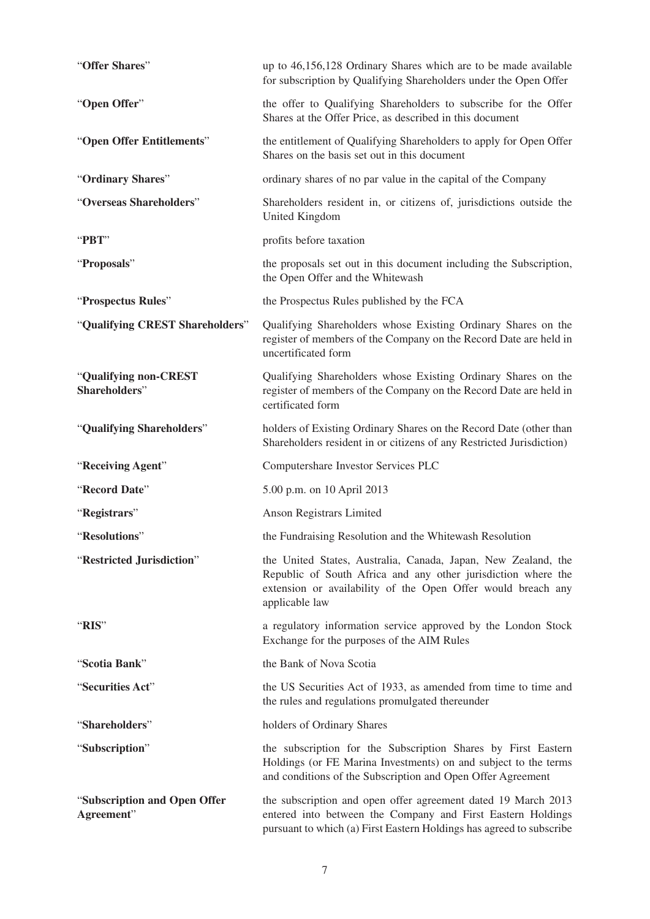| "Offer Shares"                             | up to 46,156,128 Ordinary Shares which are to be made available<br>for subscription by Qualifying Shareholders under the Open Offer                                                                              |
|--------------------------------------------|------------------------------------------------------------------------------------------------------------------------------------------------------------------------------------------------------------------|
| "Open Offer"                               | the offer to Qualifying Shareholders to subscribe for the Offer<br>Shares at the Offer Price, as described in this document                                                                                      |
| "Open Offer Entitlements"                  | the entitlement of Qualifying Shareholders to apply for Open Offer<br>Shares on the basis set out in this document                                                                                               |
| "Ordinary Shares"                          | ordinary shares of no par value in the capital of the Company                                                                                                                                                    |
| "Overseas Shareholders"                    | Shareholders resident in, or citizens of, jurisdictions outside the<br>United Kingdom                                                                                                                            |
| "PBT"                                      | profits before taxation                                                                                                                                                                                          |
| "Proposals"                                | the proposals set out in this document including the Subscription,<br>the Open Offer and the Whitewash                                                                                                           |
| "Prospectus Rules"                         | the Prospectus Rules published by the FCA                                                                                                                                                                        |
| "Qualifying CREST Shareholders"            | Qualifying Shareholders whose Existing Ordinary Shares on the<br>register of members of the Company on the Record Date are held in<br>uncertificated form                                                        |
| "Qualifying non-CREST<br>Shareholders"     | Qualifying Shareholders whose Existing Ordinary Shares on the<br>register of members of the Company on the Record Date are held in<br>certificated form                                                          |
| "Qualifying Shareholders"                  | holders of Existing Ordinary Shares on the Record Date (other than<br>Shareholders resident in or citizens of any Restricted Jurisdiction)                                                                       |
| "Receiving Agent"                          | Computershare Investor Services PLC                                                                                                                                                                              |
| "Record Date"                              | 5.00 p.m. on 10 April 2013                                                                                                                                                                                       |
| "Registrars"                               | Anson Registrars Limited                                                                                                                                                                                         |
| "Resolutions"                              | the Fundraising Resolution and the Whitewash Resolution                                                                                                                                                          |
| "Restricted Jurisdiction"                  | the United States, Australia, Canada, Japan, New Zealand, the<br>Republic of South Africa and any other jurisdiction where the<br>extension or availability of the Open Offer would breach any<br>applicable law |
| "RIS"                                      | a regulatory information service approved by the London Stock<br>Exchange for the purposes of the AIM Rules                                                                                                      |
| "Scotia Bank"                              | the Bank of Nova Scotia                                                                                                                                                                                          |
| "Securities Act"                           | the US Securities Act of 1933, as amended from time to time and<br>the rules and regulations promulgated thereunder                                                                                              |
| "Shareholders"                             | holders of Ordinary Shares                                                                                                                                                                                       |
| "Subscription"                             | the subscription for the Subscription Shares by First Eastern<br>Holdings (or FE Marina Investments) on and subject to the terms<br>and conditions of the Subscription and Open Offer Agreement                  |
| "Subscription and Open Offer<br>Agreement" | the subscription and open offer agreement dated 19 March 2013<br>entered into between the Company and First Eastern Holdings<br>pursuant to which (a) First Eastern Holdings has agreed to subscribe             |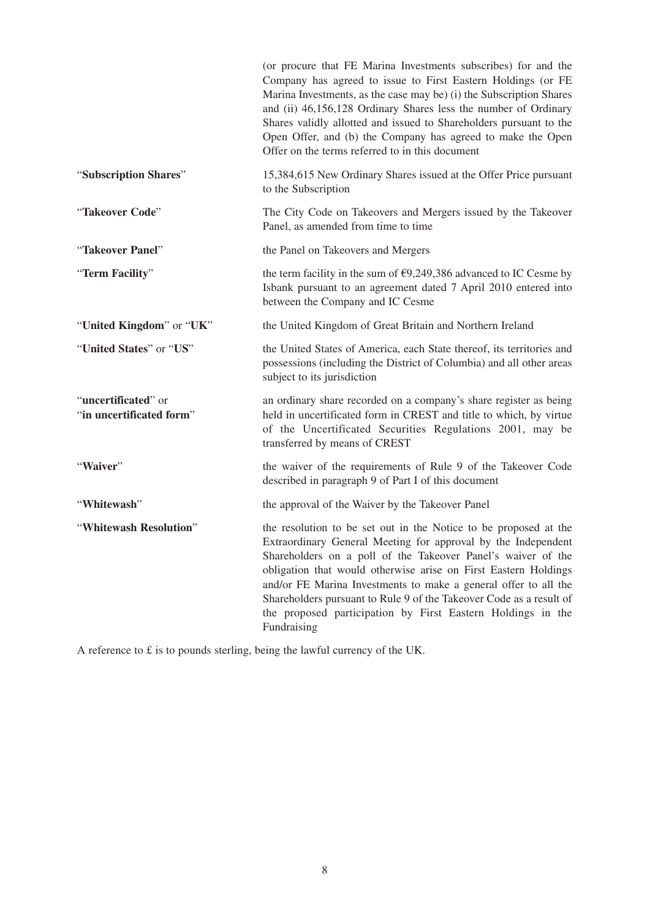|                                                 | (or procure that FE Marina Investments subscribes) for and the<br>Company has agreed to issue to First Eastern Holdings (or FE<br>Marina Investments, as the case may be) (i) the Subscription Shares<br>and (ii) 46,156,128 Ordinary Shares less the number of Ordinary<br>Shares validly allotted and issued to Shareholders pursuant to the<br>Open Offer, and (b) the Company has agreed to make the Open<br>Offer on the terms referred to in this document                             |
|-------------------------------------------------|----------------------------------------------------------------------------------------------------------------------------------------------------------------------------------------------------------------------------------------------------------------------------------------------------------------------------------------------------------------------------------------------------------------------------------------------------------------------------------------------|
| "Subscription Shares"                           | 15,384,615 New Ordinary Shares issued at the Offer Price pursuant<br>to the Subscription                                                                                                                                                                                                                                                                                                                                                                                                     |
| "Takeover Code"                                 | The City Code on Takeovers and Mergers issued by the Takeover<br>Panel, as amended from time to time                                                                                                                                                                                                                                                                                                                                                                                         |
| "Takeover Panel"                                | the Panel on Takeovers and Mergers                                                                                                                                                                                                                                                                                                                                                                                                                                                           |
| "Term Facility"                                 | the term facility in the sum of $\epsilon$ 9,249,386 advanced to IC Cesme by<br>Isbank pursuant to an agreement dated 7 April 2010 entered into<br>between the Company and IC Cesme                                                                                                                                                                                                                                                                                                          |
| "United Kingdom" or "UK"                        | the United Kingdom of Great Britain and Northern Ireland                                                                                                                                                                                                                                                                                                                                                                                                                                     |
| "United States" or "US"                         | the United States of America, each State thereof, its territories and<br>possessions (including the District of Columbia) and all other areas<br>subject to its jurisdiction                                                                                                                                                                                                                                                                                                                 |
| "uncertificated" or<br>"in uncertificated form" | an ordinary share recorded on a company's share register as being<br>held in uncertificated form in CREST and title to which, by virtue<br>of the Uncertificated Securities Regulations 2001, may be<br>transferred by means of CREST                                                                                                                                                                                                                                                        |
| "Waiver"                                        | the waiver of the requirements of Rule 9 of the Takeover Code<br>described in paragraph 9 of Part I of this document                                                                                                                                                                                                                                                                                                                                                                         |
| "Whitewash"                                     | the approval of the Waiver by the Takeover Panel                                                                                                                                                                                                                                                                                                                                                                                                                                             |
| "Whitewash Resolution"                          | the resolution to be set out in the Notice to be proposed at the<br>Extraordinary General Meeting for approval by the Independent<br>Shareholders on a poll of the Takeover Panel's waiver of the<br>obligation that would otherwise arise on First Eastern Holdings<br>and/or FE Marina Investments to make a general offer to all the<br>Shareholders pursuant to Rule 9 of the Takeover Code as a result of<br>the proposed participation by First Eastern Holdings in the<br>Fundraising |

A reference to £ is to pounds sterling, being the lawful currency of the UK.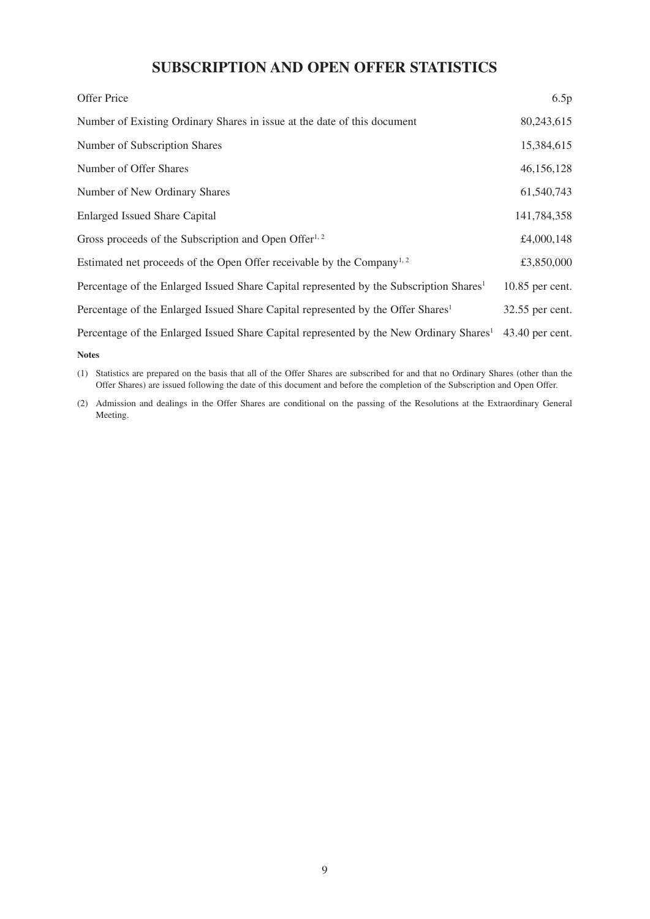# **SUBSCRIPTION AND OPEN OFFER STATISTICS**

| Offer Price                                                                                         | 6.5p            |
|-----------------------------------------------------------------------------------------------------|-----------------|
| Number of Existing Ordinary Shares in issue at the date of this document                            | 80,243,615      |
| Number of Subscription Shares                                                                       | 15,384,615      |
| Number of Offer Shares                                                                              | 46,156,128      |
| Number of New Ordinary Shares                                                                       | 61,540,743      |
| <b>Enlarged Issued Share Capital</b>                                                                | 141,784,358     |
| Gross proceeds of the Subscription and Open Offer <sup>1, 2</sup>                                   | £4,000,148      |
| Estimated net proceeds of the Open Offer receivable by the Company <sup>1, 2</sup>                  | £3,850,000      |
| Percentage of the Enlarged Issued Share Capital represented by the Subscription Shares <sup>1</sup> | 10.85 per cent. |
| Percentage of the Enlarged Issued Share Capital represented by the Offer Shares <sup>1</sup>        | 32.55 per cent. |
| Percentage of the Enlarged Issued Share Capital represented by the New Ordinary Shares <sup>1</sup> | 43.40 per cent. |
|                                                                                                     |                 |

**Notes**

(1) Statistics are prepared on the basis that all of the Offer Shares are subscribed for and that no Ordinary Shares (other than the Offer Shares) are issued following the date of this document and before the completion of the Subscription and Open Offer.

(2) Admission and dealings in the Offer Shares are conditional on the passing of the Resolutions at the Extraordinary General Meeting.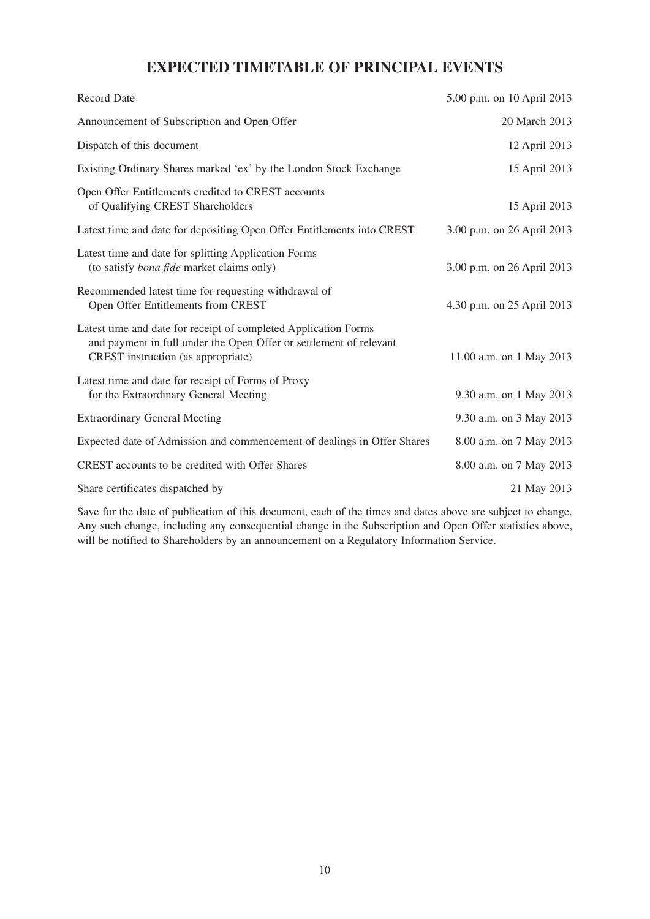# **EXPECTED TIMETABLE OF PRINCIPAL EVENTS**

| <b>Record Date</b>                                                                                                                                                          | 5.00 p.m. on 10 April 2013 |
|-----------------------------------------------------------------------------------------------------------------------------------------------------------------------------|----------------------------|
| Announcement of Subscription and Open Offer                                                                                                                                 | 20 March 2013              |
| Dispatch of this document                                                                                                                                                   | 12 April 2013              |
| Existing Ordinary Shares marked 'ex' by the London Stock Exchange                                                                                                           | 15 April 2013              |
| Open Offer Entitlements credited to CREST accounts<br>of Qualifying CREST Shareholders                                                                                      | 15 April 2013              |
| Latest time and date for depositing Open Offer Entitlements into CREST                                                                                                      | 3.00 p.m. on 26 April 2013 |
| Latest time and date for splitting Application Forms<br>(to satisfy <i>bona fide</i> market claims only)                                                                    | 3.00 p.m. on 26 April 2013 |
| Recommended latest time for requesting withdrawal of<br>Open Offer Entitlements from CREST                                                                                  | 4.30 p.m. on 25 April 2013 |
| Latest time and date for receipt of completed Application Forms<br>and payment in full under the Open Offer or settlement of relevant<br>CREST instruction (as appropriate) | 11.00 a.m. on 1 May 2013   |
| Latest time and date for receipt of Forms of Proxy<br>for the Extraordinary General Meeting                                                                                 | 9.30 a.m. on 1 May 2013    |
| <b>Extraordinary General Meeting</b>                                                                                                                                        | 9.30 a.m. on 3 May 2013    |
| Expected date of Admission and commencement of dealings in Offer Shares                                                                                                     | 8.00 a.m. on 7 May 2013    |
| CREST accounts to be credited with Offer Shares                                                                                                                             | 8.00 a.m. on 7 May 2013    |
| Share certificates dispatched by                                                                                                                                            | 21 May 2013                |

Save for the date of publication of this document, each of the times and dates above are subject to change. Any such change, including any consequential change in the Subscription and Open Offer statistics above, will be notified to Shareholders by an announcement on a Regulatory Information Service.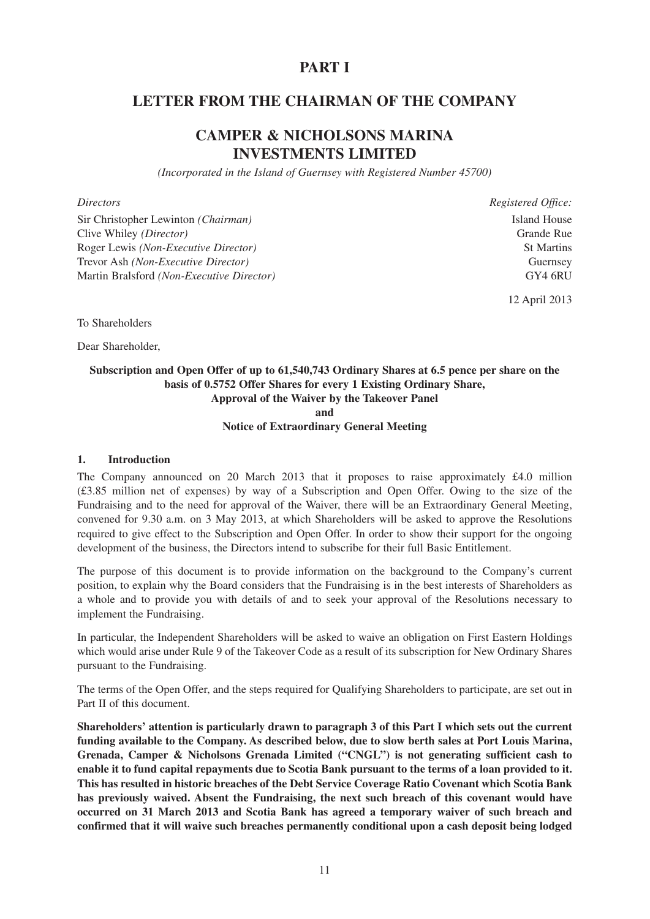# **PART I**

# **LETTER FROM THE CHAIRMAN OF THE COMPANY**

# **CAMPER & NICHOLSONS MARINA INVESTMENTS LIMITED**

*(Incorporated in the Island of Guernsey with Registered Number 45700)*

#### *Directors Registered Office:*

Sir Christopher Lewinton *(Chairman)* Island House Clive Whiley *(Director)* Grande Rue Roger Lewis *(Non-Executive Director)* St Martins Trevor Ash *(Non-Executive Director)* Guernsey Martin Bralsford *(Non-Executive Director)* GY4 6RU

12 April 2013

To Shareholders

Dear Shareholder,

#### **Subscription and Open Offer of up to 61,540,743 Ordinary Shares at 6.5 pence per share on the basis of 0.5752 Offer Shares for every 1 Existing Ordinary Share, Approval of the Waiver by the Takeover Panel and**

#### **Notice of Extraordinary General Meeting**

#### **1. Introduction**

The Company announced on 20 March 2013 that it proposes to raise approximately £4.0 million (£3.85 million net of expenses) by way of a Subscription and Open Offer. Owing to the size of the Fundraising and to the need for approval of the Waiver, there will be an Extraordinary General Meeting, convened for 9.30 a.m. on 3 May 2013, at which Shareholders will be asked to approve the Resolutions required to give effect to the Subscription and Open Offer. In order to show their support for the ongoing development of the business, the Directors intend to subscribe for their full Basic Entitlement.

The purpose of this document is to provide information on the background to the Company's current position, to explain why the Board considers that the Fundraising is in the best interests of Shareholders as a whole and to provide you with details of and to seek your approval of the Resolutions necessary to implement the Fundraising.

In particular, the Independent Shareholders will be asked to waive an obligation on First Eastern Holdings which would arise under Rule 9 of the Takeover Code as a result of its subscription for New Ordinary Shares pursuant to the Fundraising.

The terms of the Open Offer, and the steps required for Qualifying Shareholders to participate, are set out in Part II of this document.

**Shareholders' attention is particularly drawn to paragraph 3 of this Part I which sets out the current funding available to the Company. As described below, due to slow berth sales at Port Louis Marina, Grenada, Camper & Nicholsons Grenada Limited ("CNGL") is not generating sufficient cash to enable it to fund capital repayments due to Scotia Bank pursuant to the terms of a loan provided to it. This has resulted in historic breaches of the Debt Service Coverage Ratio Covenant which Scotia Bank has previously waived. Absent the Fundraising, the next such breach of this covenant would have occurred on 31 March 2013 and Scotia Bank has agreed a temporary waiver of such breach and confirmed that it will waive such breaches permanently conditional upon a cash deposit being lodged**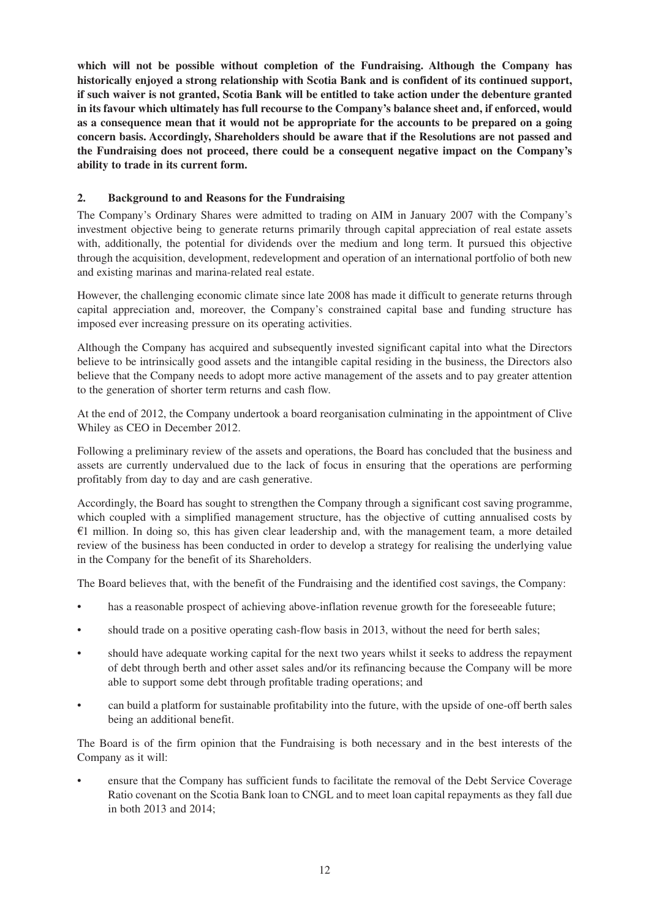**which will not be possible without completion of the Fundraising. Although the Company has historically enjoyed a strong relationship with Scotia Bank and is confident of its continued support, if such waiver is not granted, Scotia Bank will be entitled to take action under the debenture granted in its favour which ultimately has full recourse to the Company's balance sheet and, if enforced, would as a consequence mean that it would not be appropriate for the accounts to be prepared on a going concern basis. Accordingly, Shareholders should be aware that if the Resolutions are not passed and the Fundraising does not proceed, there could be a consequent negative impact on the Company's ability to trade in its current form.**

# **2. Background to and Reasons for the Fundraising**

The Company's Ordinary Shares were admitted to trading on AIM in January 2007 with the Company's investment objective being to generate returns primarily through capital appreciation of real estate assets with, additionally, the potential for dividends over the medium and long term. It pursued this objective through the acquisition, development, redevelopment and operation of an international portfolio of both new and existing marinas and marina-related real estate.

However, the challenging economic climate since late 2008 has made it difficult to generate returns through capital appreciation and, moreover, the Company's constrained capital base and funding structure has imposed ever increasing pressure on its operating activities.

Although the Company has acquired and subsequently invested significant capital into what the Directors believe to be intrinsically good assets and the intangible capital residing in the business, the Directors also believe that the Company needs to adopt more active management of the assets and to pay greater attention to the generation of shorter term returns and cash flow.

At the end of 2012, the Company undertook a board reorganisation culminating in the appointment of Clive Whiley as CEO in December 2012.

Following a preliminary review of the assets and operations, the Board has concluded that the business and assets are currently undervalued due to the lack of focus in ensuring that the operations are performing profitably from day to day and are cash generative.

Accordingly, the Board has sought to strengthen the Company through a significant cost saving programme, which coupled with a simplified management structure, has the objective of cutting annualised costs by  $€1$  million. In doing so, this has given clear leadership and, with the management team, a more detailed review of the business has been conducted in order to develop a strategy for realising the underlying value in the Company for the benefit of its Shareholders.

The Board believes that, with the benefit of the Fundraising and the identified cost savings, the Company:

- has a reasonable prospect of achieving above-inflation revenue growth for the foreseeable future;
- should trade on a positive operating cash-flow basis in 2013, without the need for berth sales;
- should have adequate working capital for the next two years whilst it seeks to address the repayment of debt through berth and other asset sales and/or its refinancing because the Company will be more able to support some debt through profitable trading operations; and
- can build a platform for sustainable profitability into the future, with the upside of one-off berth sales being an additional benefit.

The Board is of the firm opinion that the Fundraising is both necessary and in the best interests of the Company as it will:

• ensure that the Company has sufficient funds to facilitate the removal of the Debt Service Coverage Ratio covenant on the Scotia Bank loan to CNGL and to meet loan capital repayments as they fall due in both 2013 and 2014;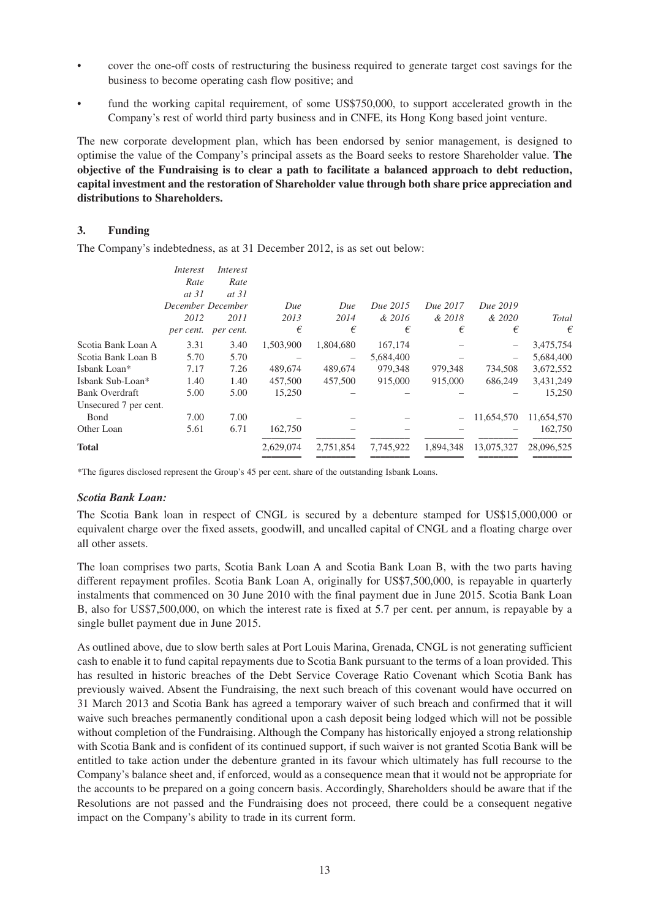- cover the one-off costs of restructuring the business required to generate target cost savings for the business to become operating cash flow positive; and
- fund the working capital requirement, of some US\$750,000, to support accelerated growth in the Company's rest of world third party business and in CNFE, its Hong Kong based joint venture.

The new corporate development plan, which has been endorsed by senior management, is designed to optimise the value of the Company's principal assets as the Board seeks to restore Shareholder value. **The objective of the Fundraising is to clear a path to facilitate a balanced approach to debt reduction, capital investment and the restoration of Shareholder value through both share price appreciation and distributions to Shareholders.**

#### **3. Funding**

The Company's indebtedness, as at 31 December 2012, is as set out below:

|                       | Interest          | Interest  |           |           |           |           |            |            |
|-----------------------|-------------------|-----------|-----------|-----------|-----------|-----------|------------|------------|
|                       | Rate              | Rate      |           |           |           |           |            |            |
|                       | at 31             | at 31     |           |           |           |           |            |            |
|                       | December December |           | Due       | Due       | Due 2015  | Due 2017  | Due 2019   |            |
|                       | 2012              | 2011      | 2013      | 2014      | & 2016    | & 2018    | & 2020     | Total      |
|                       | per cent.         | per cent. | €         | €         | €         | €         | €          | €          |
| Scotia Bank Loan A    | 3.31              | 3.40      | 1,503,900 | 1,804,680 | 167,174   |           |            | 3,475,754  |
| Scotia Bank Loan B    | 5.70              | 5.70      |           |           | 5.684,400 |           |            | 5,684,400  |
| Isbank Loan*          | 7.17              | 7.26      | 489,674   | 489,674   | 979,348   | 979,348   | 734,508    | 3,672,552  |
| Isbank Sub-Loan*      | 1.40              | 1.40      | 457,500   | 457,500   | 915,000   | 915,000   | 686,249    | 3,431,249  |
| <b>Bank Overdraft</b> | 5.00              | 5.00      | 15,250    |           |           |           |            | 15,250     |
| Unsecured 7 per cent. |                   |           |           |           |           |           |            |            |
| Bond                  | 7.00              | 7.00      |           |           |           |           | 11,654,570 | 11,654,570 |
| Other Loan            | 5.61              | 6.71      | 162,750   |           |           |           |            | 162,750    |
| <b>Total</b>          |                   |           | 2,629,074 | 2,751,854 | 7,745,922 | 1.894.348 | 13,075,327 | 28,096,525 |

\*The figures disclosed represent the Group's 45 per cent. share of the outstanding Isbank Loans.

#### *Scotia Bank Loan:*

The Scotia Bank loan in respect of CNGL is secured by a debenture stamped for US\$15,000,000 or equivalent charge over the fixed assets, goodwill, and uncalled capital of CNGL and a floating charge over all other assets.

The loan comprises two parts, Scotia Bank Loan A and Scotia Bank Loan B, with the two parts having different repayment profiles. Scotia Bank Loan A, originally for US\$7,500,000, is repayable in quarterly instalments that commenced on 30 June 2010 with the final payment due in June 2015. Scotia Bank Loan B, also for US\$7,500,000, on which the interest rate is fixed at 5.7 per cent. per annum, is repayable by a single bullet payment due in June 2015.

As outlined above, due to slow berth sales at Port Louis Marina, Grenada, CNGL is not generating sufficient cash to enable it to fund capital repayments due to Scotia Bank pursuant to the terms of a loan provided. This has resulted in historic breaches of the Debt Service Coverage Ratio Covenant which Scotia Bank has previously waived. Absent the Fundraising, the next such breach of this covenant would have occurred on 31 March 2013 and Scotia Bank has agreed a temporary waiver of such breach and confirmed that it will waive such breaches permanently conditional upon a cash deposit being lodged which will not be possible without completion of the Fundraising. Although the Company has historically enjoyed a strong relationship with Scotia Bank and is confident of its continued support, if such waiver is not granted Scotia Bank will be entitled to take action under the debenture granted in its favour which ultimately has full recourse to the Company's balance sheet and, if enforced, would as a consequence mean that it would not be appropriate for the accounts to be prepared on a going concern basis. Accordingly, Shareholders should be aware that if the Resolutions are not passed and the Fundraising does not proceed, there could be a consequent negative impact on the Company's ability to trade in its current form.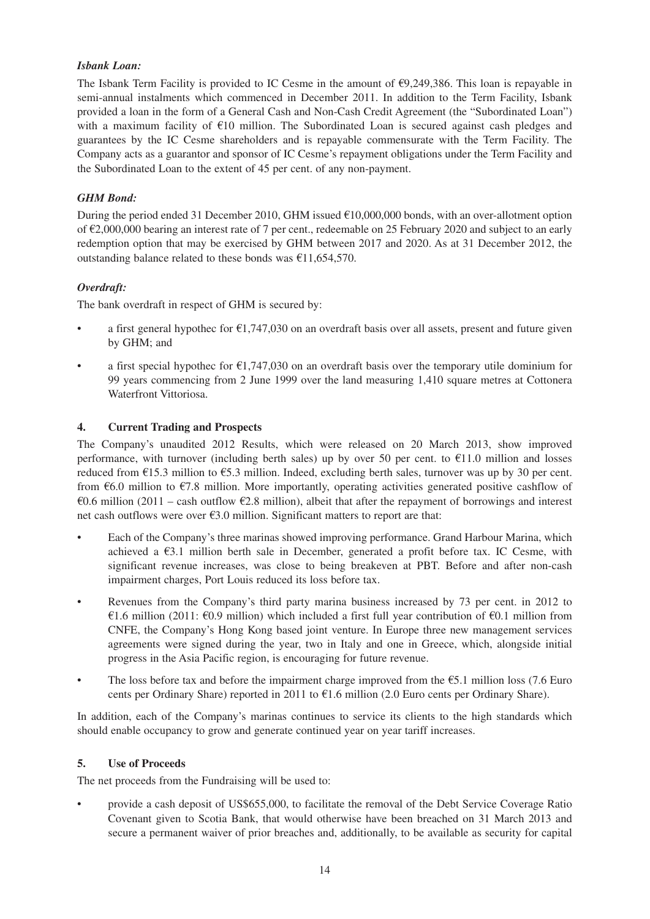# *Isbank Loan:*

The Isbank Term Facility is provided to IC Cesme in the amount of  $\epsilon$ 9,249,386. This loan is repayable in semi-annual instalments which commenced in December 2011. In addition to the Term Facility, Isbank provided a loan in the form of a General Cash and Non-Cash Credit Agreement (the "Subordinated Loan") with a maximum facility of €10 million. The Subordinated Loan is secured against cash pledges and guarantees by the IC Cesme shareholders and is repayable commensurate with the Term Facility. The Company acts as a guarantor and sponsor of IC Cesme's repayment obligations under the Term Facility and the Subordinated Loan to the extent of 45 per cent. of any non-payment.

# *GHM Bond:*

During the period ended 31 December 2010, GHM issued €10,000,000 bonds, with an over-allotment option of €2,000,000 bearing an interest rate of 7 per cent., redeemable on 25 February 2020 and subject to an early redemption option that may be exercised by GHM between 2017 and 2020. As at 31 December 2012, the outstanding balance related to these bonds was  $£11,654,570$ .

# *Overdraft:*

The bank overdraft in respect of GHM is secured by:

- a first general hypothec for  $\epsilon$ 1,747,030 on an overdraft basis over all assets, present and future given by GHM; and
- a first special hypothec for  $\epsilon$ 1,747,030 on an overdraft basis over the temporary utile dominium for 99 years commencing from 2 June 1999 over the land measuring 1,410 square metres at Cottonera Waterfront Vittoriosa.

# **4. Current Trading and Prospects**

The Company's unaudited 2012 Results, which were released on 20 March 2013, show improved performance, with turnover (including berth sales) up by over 50 per cent. to  $\epsilon$ 11.0 million and losses reduced from €15.3 million to €5.3 million. Indeed, excluding berth sales, turnover was up by 30 per cent. from  $66.0$  million to  $67.8$  million. More importantly, operating activities generated positive cashflow of €0.6 million (2011 – cash outflow €2.8 million), albeit that after the repayment of borrowings and interest net cash outflows were over  $\epsilon$ 3.0 million. Significant matters to report are that:

- Each of the Company's three marinas showed improving performance. Grand Harbour Marina, which achieved a  $\epsilon$ 3.1 million berth sale in December, generated a profit before tax. IC Cesme, with significant revenue increases, was close to being breakeven at PBT. Before and after non-cash impairment charges, Port Louis reduced its loss before tax.
- Revenues from the Company's third party marina business increased by 73 per cent. in 2012 to €1.6 million (2011: €0.9 million) which included a first full year contribution of €0.1 million from CNFE, the Company's Hong Kong based joint venture. In Europe three new management services agreements were signed during the year, two in Italy and one in Greece, which, alongside initial progress in the Asia Pacific region, is encouraging for future revenue.
- The loss before tax and before the impairment charge improved from the  $\epsilon$ 5.1 million loss (7.6 Euro cents per Ordinary Share) reported in 2011 to €1.6 million (2.0 Euro cents per Ordinary Share).

In addition, each of the Company's marinas continues to service its clients to the high standards which should enable occupancy to grow and generate continued year on year tariff increases.

#### **5. Use of Proceeds**

The net proceeds from the Fundraising will be used to:

• provide a cash deposit of US\$655,000, to facilitate the removal of the Debt Service Coverage Ratio Covenant given to Scotia Bank, that would otherwise have been breached on 31 March 2013 and secure a permanent waiver of prior breaches and, additionally, to be available as security for capital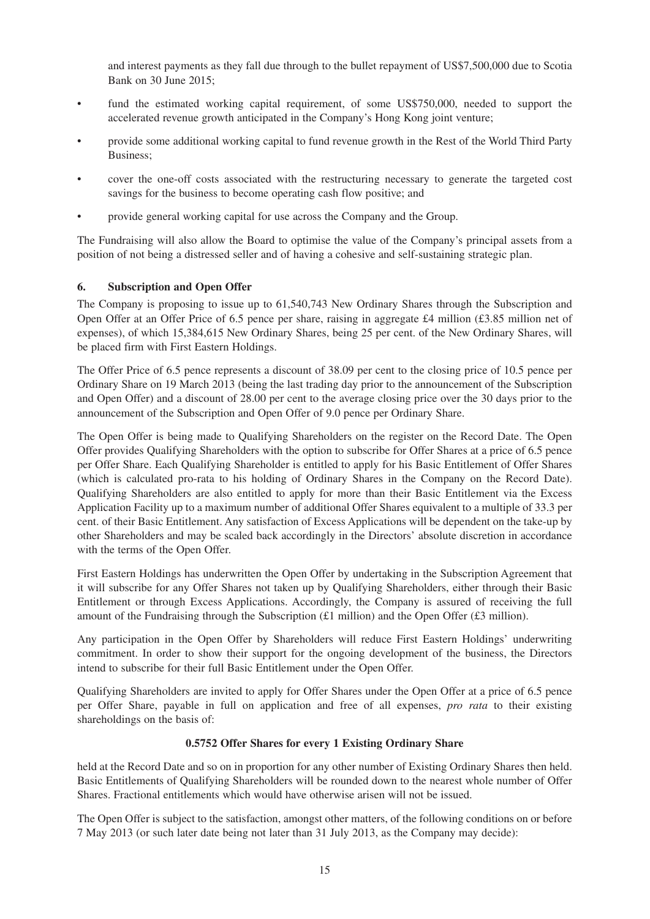and interest payments as they fall due through to the bullet repayment of US\$7,500,000 due to Scotia Bank on 30 June 2015;

- fund the estimated working capital requirement, of some US\$750,000, needed to support the accelerated revenue growth anticipated in the Company's Hong Kong joint venture;
- provide some additional working capital to fund revenue growth in the Rest of the World Third Party Business;
- cover the one-off costs associated with the restructuring necessary to generate the targeted cost savings for the business to become operating cash flow positive; and
- provide general working capital for use across the Company and the Group.

The Fundraising will also allow the Board to optimise the value of the Company's principal assets from a position of not being a distressed seller and of having a cohesive and self-sustaining strategic plan.

# **6. Subscription and Open Offer**

The Company is proposing to issue up to 61,540,743 New Ordinary Shares through the Subscription and Open Offer at an Offer Price of 6.5 pence per share, raising in aggregate £4 million (£3.85 million net of expenses), of which 15,384,615 New Ordinary Shares, being 25 per cent. of the New Ordinary Shares, will be placed firm with First Eastern Holdings.

The Offer Price of 6.5 pence represents a discount of 38.09 per cent to the closing price of 10.5 pence per Ordinary Share on 19 March 2013 (being the last trading day prior to the announcement of the Subscription and Open Offer) and a discount of 28.00 per cent to the average closing price over the 30 days prior to the announcement of the Subscription and Open Offer of 9.0 pence per Ordinary Share.

The Open Offer is being made to Qualifying Shareholders on the register on the Record Date. The Open Offer provides Qualifying Shareholders with the option to subscribe for Offer Shares at a price of 6.5 pence per Offer Share. Each Qualifying Shareholder is entitled to apply for his Basic Entitlement of Offer Shares (which is calculated pro-rata to his holding of Ordinary Shares in the Company on the Record Date). Qualifying Shareholders are also entitled to apply for more than their Basic Entitlement via the Excess Application Facility up to a maximum number of additional Offer Shares equivalent to a multiple of 33.3 per cent. of their Basic Entitlement. Any satisfaction of Excess Applications will be dependent on the take-up by other Shareholders and may be scaled back accordingly in the Directors' absolute discretion in accordance with the terms of the Open Offer.

First Eastern Holdings has underwritten the Open Offer by undertaking in the Subscription Agreement that it will subscribe for any Offer Shares not taken up by Qualifying Shareholders, either through their Basic Entitlement or through Excess Applications. Accordingly, the Company is assured of receiving the full amount of the Fundraising through the Subscription  $(E1 \text{ million})$  and the Open Offer  $(E3 \text{ million})$ .

Any participation in the Open Offer by Shareholders will reduce First Eastern Holdings' underwriting commitment. In order to show their support for the ongoing development of the business, the Directors intend to subscribe for their full Basic Entitlement under the Open Offer.

Qualifying Shareholders are invited to apply for Offer Shares under the Open Offer at a price of 6.5 pence per Offer Share, payable in full on application and free of all expenses, *pro rata* to their existing shareholdings on the basis of:

#### **0.5752 Offer Shares for every 1 Existing Ordinary Share**

held at the Record Date and so on in proportion for any other number of Existing Ordinary Shares then held. Basic Entitlements of Qualifying Shareholders will be rounded down to the nearest whole number of Offer Shares. Fractional entitlements which would have otherwise arisen will not be issued.

The Open Offer is subject to the satisfaction, amongst other matters, of the following conditions on or before 7 May 2013 (or such later date being not later than 31 July 2013, as the Company may decide):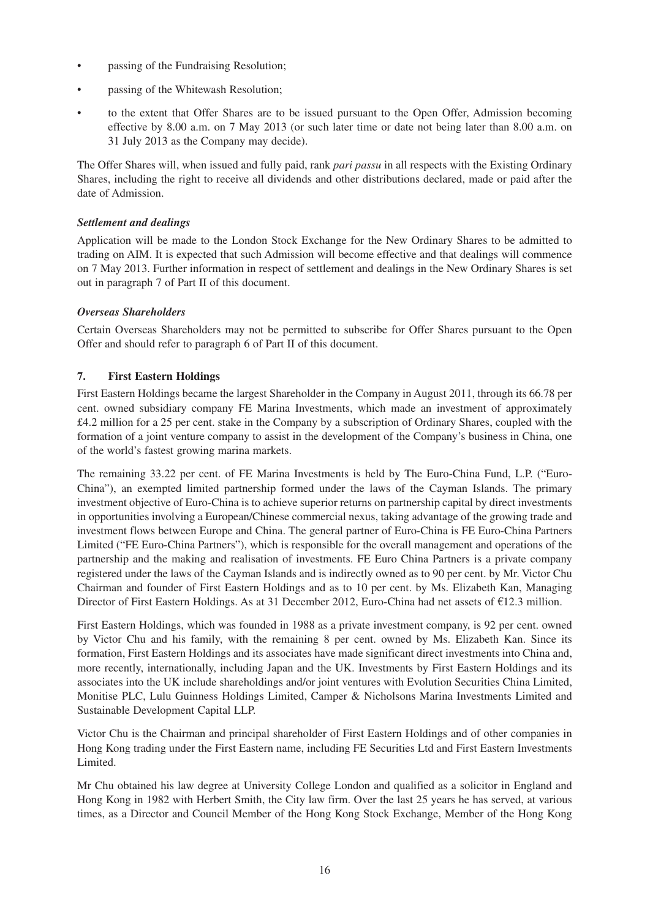- passing of the Fundraising Resolution;
- passing of the Whitewash Resolution;
- to the extent that Offer Shares are to be issued pursuant to the Open Offer, Admission becoming effective by 8.00 a.m. on 7 May 2013 (or such later time or date not being later than 8.00 a.m. on 31 July 2013 as the Company may decide).

The Offer Shares will, when issued and fully paid, rank *pari passu* in all respects with the Existing Ordinary Shares, including the right to receive all dividends and other distributions declared, made or paid after the date of Admission.

### *Settlement and dealings*

Application will be made to the London Stock Exchange for the New Ordinary Shares to be admitted to trading on AIM. It is expected that such Admission will become effective and that dealings will commence on 7 May 2013. Further information in respect of settlement and dealings in the New Ordinary Shares is set out in paragraph 7 of Part II of this document.

# *Overseas Shareholders*

Certain Overseas Shareholders may not be permitted to subscribe for Offer Shares pursuant to the Open Offer and should refer to paragraph 6 of Part II of this document.

# **7. First Eastern Holdings**

First Eastern Holdings became the largest Shareholder in the Company in August 2011, through its 66.78 per cent. owned subsidiary company FE Marina Investments, which made an investment of approximately £4.2 million for a 25 per cent. stake in the Company by a subscription of Ordinary Shares, coupled with the formation of a joint venture company to assist in the development of the Company's business in China, one of the world's fastest growing marina markets.

The remaining 33.22 per cent. of FE Marina Investments is held by The Euro-China Fund, L.P. ("Euro-China"), an exempted limited partnership formed under the laws of the Cayman Islands. The primary investment objective of Euro-China is to achieve superior returns on partnership capital by direct investments in opportunities involving a European/Chinese commercial nexus, taking advantage of the growing trade and investment flows between Europe and China. The general partner of Euro-China is FE Euro-China Partners Limited ("FE Euro-China Partners"), which is responsible for the overall management and operations of the partnership and the making and realisation of investments. FE Euro China Partners is a private company registered under the laws of the Cayman Islands and is indirectly owned as to 90 per cent. by Mr. Victor Chu Chairman and founder of First Eastern Holdings and as to 10 per cent. by Ms. Elizabeth Kan, Managing Director of First Eastern Holdings. As at 31 December 2012, Euro-China had net assets of €12.3 million.

First Eastern Holdings, which was founded in 1988 as a private investment company, is 92 per cent. owned by Victor Chu and his family, with the remaining 8 per cent. owned by Ms. Elizabeth Kan. Since its formation, First Eastern Holdings and its associates have made significant direct investments into China and, more recently, internationally, including Japan and the UK. Investments by First Eastern Holdings and its associates into the UK include shareholdings and/or joint ventures with Evolution Securities China Limited, Monitise PLC, Lulu Guinness Holdings Limited, Camper & Nicholsons Marina Investments Limited and Sustainable Development Capital LLP.

Victor Chu is the Chairman and principal shareholder of First Eastern Holdings and of other companies in Hong Kong trading under the First Eastern name, including FE Securities Ltd and First Eastern Investments Limited.

Mr Chu obtained his law degree at University College London and qualified as a solicitor in England and Hong Kong in 1982 with Herbert Smith, the City law firm. Over the last 25 years he has served, at various times, as a Director and Council Member of the Hong Kong Stock Exchange, Member of the Hong Kong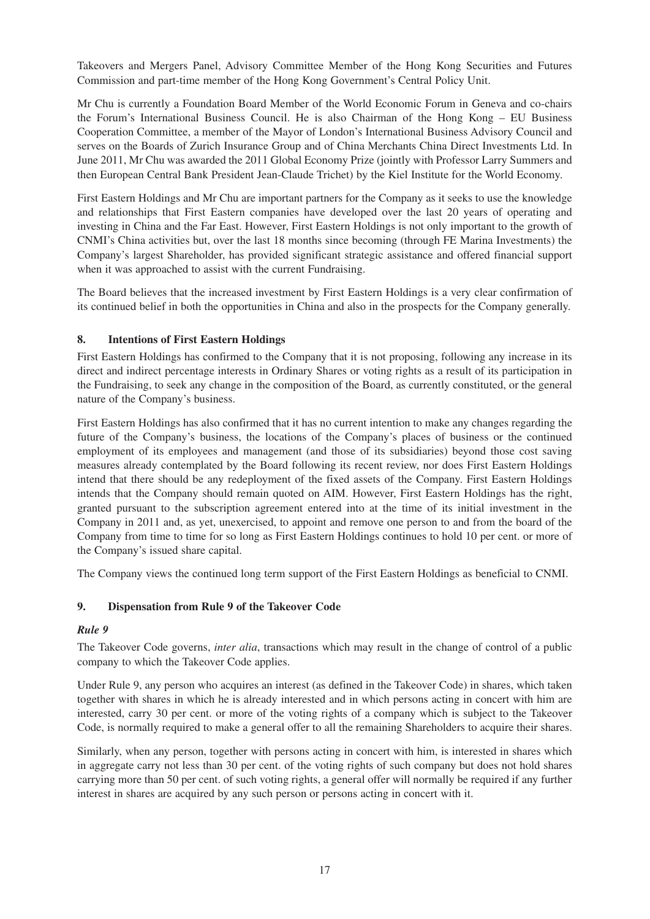Takeovers and Mergers Panel, Advisory Committee Member of the Hong Kong Securities and Futures Commission and part-time member of the Hong Kong Government's Central Policy Unit.

Mr Chu is currently a Foundation Board Member of the World Economic Forum in Geneva and co-chairs the Forum's International Business Council. He is also Chairman of the Hong Kong – EU Business Cooperation Committee, a member of the Mayor of London's International Business Advisory Council and serves on the Boards of Zurich Insurance Group and of China Merchants China Direct Investments Ltd. In June 2011, Mr Chu was awarded the 2011 Global Economy Prize (jointly with Professor Larry Summers and then European Central Bank President Jean-Claude Trichet) by the Kiel Institute for the World Economy.

First Eastern Holdings and Mr Chu are important partners for the Company as it seeks to use the knowledge and relationships that First Eastern companies have developed over the last 20 years of operating and investing in China and the Far East. However, First Eastern Holdings is not only important to the growth of CNMI's China activities but, over the last 18 months since becoming (through FE Marina Investments) the Company's largest Shareholder, has provided significant strategic assistance and offered financial support when it was approached to assist with the current Fundraising.

The Board believes that the increased investment by First Eastern Holdings is a very clear confirmation of its continued belief in both the opportunities in China and also in the prospects for the Company generally.

# **8. Intentions of First Eastern Holdings**

First Eastern Holdings has confirmed to the Company that it is not proposing, following any increase in its direct and indirect percentage interests in Ordinary Shares or voting rights as a result of its participation in the Fundraising, to seek any change in the composition of the Board, as currently constituted, or the general nature of the Company's business.

First Eastern Holdings has also confirmed that it has no current intention to make any changes regarding the future of the Company's business, the locations of the Company's places of business or the continued employment of its employees and management (and those of its subsidiaries) beyond those cost saving measures already contemplated by the Board following its recent review, nor does First Eastern Holdings intend that there should be any redeployment of the fixed assets of the Company. First Eastern Holdings intends that the Company should remain quoted on AIM. However, First Eastern Holdings has the right, granted pursuant to the subscription agreement entered into at the time of its initial investment in the Company in 2011 and, as yet, unexercised, to appoint and remove one person to and from the board of the Company from time to time for so long as First Eastern Holdings continues to hold 10 per cent. or more of the Company's issued share capital.

The Company views the continued long term support of the First Eastern Holdings as beneficial to CNMI.

# **9. Dispensation from Rule 9 of the Takeover Code**

#### *Rule 9*

The Takeover Code governs, *inter alia*, transactions which may result in the change of control of a public company to which the Takeover Code applies.

Under Rule 9, any person who acquires an interest (as defined in the Takeover Code) in shares, which taken together with shares in which he is already interested and in which persons acting in concert with him are interested, carry 30 per cent. or more of the voting rights of a company which is subject to the Takeover Code, is normally required to make a general offer to all the remaining Shareholders to acquire their shares.

Similarly, when any person, together with persons acting in concert with him, is interested in shares which in aggregate carry not less than 30 per cent. of the voting rights of such company but does not hold shares carrying more than 50 per cent. of such voting rights, a general offer will normally be required if any further interest in shares are acquired by any such person or persons acting in concert with it.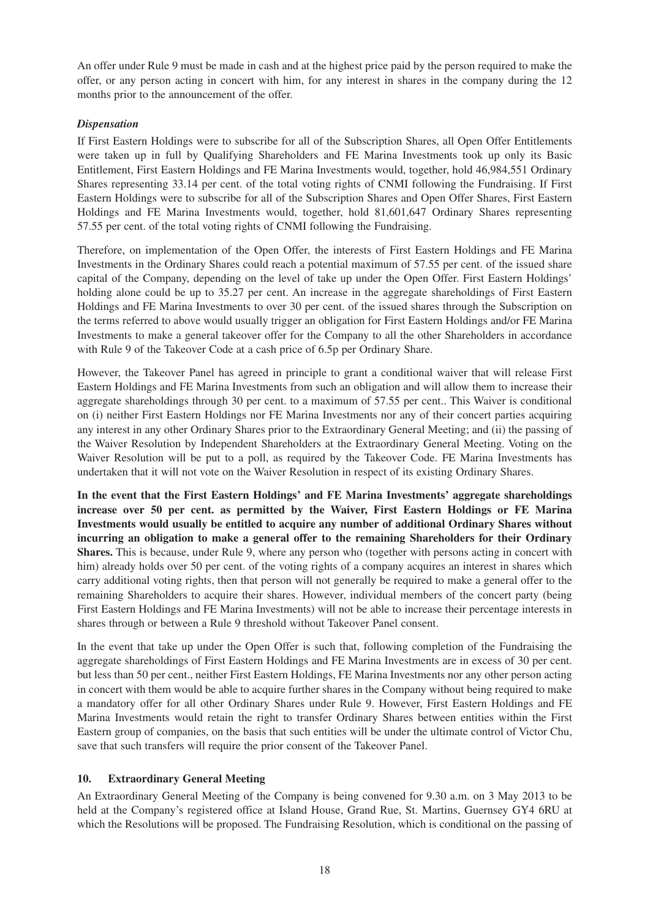An offer under Rule 9 must be made in cash and at the highest price paid by the person required to make the offer, or any person acting in concert with him, for any interest in shares in the company during the 12 months prior to the announcement of the offer.

### *Dispensation*

If First Eastern Holdings were to subscribe for all of the Subscription Shares, all Open Offer Entitlements were taken up in full by Qualifying Shareholders and FE Marina Investments took up only its Basic Entitlement, First Eastern Holdings and FE Marina Investments would, together, hold 46,984,551 Ordinary Shares representing 33.14 per cent. of the total voting rights of CNMI following the Fundraising. If First Eastern Holdings were to subscribe for all of the Subscription Shares and Open Offer Shares, First Eastern Holdings and FE Marina Investments would, together, hold 81,601,647 Ordinary Shares representing 57.55 per cent. of the total voting rights of CNMI following the Fundraising.

Therefore, on implementation of the Open Offer, the interests of First Eastern Holdings and FE Marina Investments in the Ordinary Shares could reach a potential maximum of 57.55 per cent. of the issued share capital of the Company, depending on the level of take up under the Open Offer. First Eastern Holdings' holding alone could be up to 35.27 per cent. An increase in the aggregate shareholdings of First Eastern Holdings and FE Marina Investments to over 30 per cent. of the issued shares through the Subscription on the terms referred to above would usually trigger an obligation for First Eastern Holdings and/or FE Marina Investments to make a general takeover offer for the Company to all the other Shareholders in accordance with Rule 9 of the Takeover Code at a cash price of 6.5p per Ordinary Share.

However, the Takeover Panel has agreed in principle to grant a conditional waiver that will release First Eastern Holdings and FE Marina Investments from such an obligation and will allow them to increase their aggregate shareholdings through 30 per cent. to a maximum of 57.55 per cent.. This Waiver is conditional on (i) neither First Eastern Holdings nor FE Marina Investments nor any of their concert parties acquiring any interest in any other Ordinary Shares prior to the Extraordinary General Meeting; and (ii) the passing of the Waiver Resolution by Independent Shareholders at the Extraordinary General Meeting. Voting on the Waiver Resolution will be put to a poll, as required by the Takeover Code. FE Marina Investments has undertaken that it will not vote on the Waiver Resolution in respect of its existing Ordinary Shares.

**In the event that the First Eastern Holdings' and FE Marina Investments' aggregate shareholdings increase over 50 per cent. as permitted by the Waiver, First Eastern Holdings or FE Marina Investments would usually be entitled to acquire any number of additional Ordinary Shares without incurring an obligation to make a general offer to the remaining Shareholders for their Ordinary Shares.** This is because, under Rule 9, where any person who (together with persons acting in concert with him) already holds over 50 per cent, of the voting rights of a company acquires an interest in shares which carry additional voting rights, then that person will not generally be required to make a general offer to the remaining Shareholders to acquire their shares. However, individual members of the concert party (being First Eastern Holdings and FE Marina Investments) will not be able to increase their percentage interests in shares through or between a Rule 9 threshold without Takeover Panel consent.

In the event that take up under the Open Offer is such that, following completion of the Fundraising the aggregate shareholdings of First Eastern Holdings and FE Marina Investments are in excess of 30 per cent. but less than 50 per cent., neither First Eastern Holdings, FE Marina Investments nor any other person acting in concert with them would be able to acquire further shares in the Company without being required to make a mandatory offer for all other Ordinary Shares under Rule 9. However, First Eastern Holdings and FE Marina Investments would retain the right to transfer Ordinary Shares between entities within the First Eastern group of companies, on the basis that such entities will be under the ultimate control of Victor Chu, save that such transfers will require the prior consent of the Takeover Panel.

#### **10. Extraordinary General Meeting**

An Extraordinary General Meeting of the Company is being convened for 9.30 a.m. on 3 May 2013 to be held at the Company's registered office at Island House, Grand Rue, St. Martins, Guernsey GY4 6RU at which the Resolutions will be proposed. The Fundraising Resolution, which is conditional on the passing of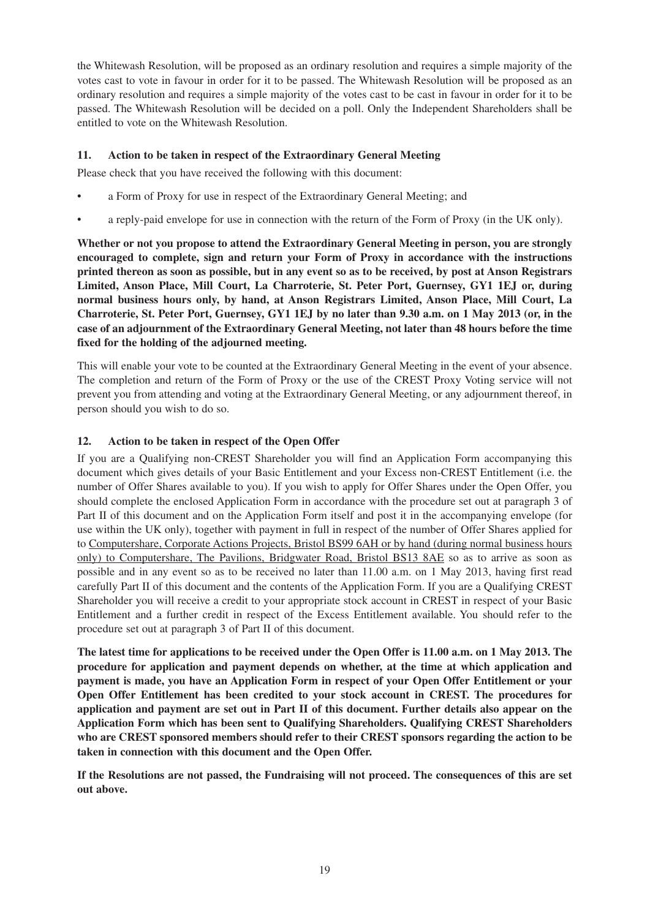the Whitewash Resolution, will be proposed as an ordinary resolution and requires a simple majority of the votes cast to vote in favour in order for it to be passed. The Whitewash Resolution will be proposed as an ordinary resolution and requires a simple majority of the votes cast to be cast in favour in order for it to be passed. The Whitewash Resolution will be decided on a poll. Only the Independent Shareholders shall be entitled to vote on the Whitewash Resolution.

# **11. Action to be taken in respect of the Extraordinary General Meeting**

Please check that you have received the following with this document:

- a Form of Proxy for use in respect of the Extraordinary General Meeting; and
- a reply-paid envelope for use in connection with the return of the Form of Proxy (in the UK only).

**Whether or not you propose to attend the Extraordinary General Meeting in person, you are strongly encouraged to complete, sign and return your Form of Proxy in accordance with the instructions printed thereon as soon as possible, but in any event so as to be received, by post at Anson Registrars Limited, Anson Place, Mill Court, La Charroterie, St. Peter Port, Guernsey, GY1 1EJ or, during normal business hours only, by hand, at Anson Registrars Limited, Anson Place, Mill Court, La Charroterie, St. Peter Port, Guernsey, GY1 1EJ by no later than 9.30 a.m. on 1 May 2013 (or, in the case of an adjournment of the Extraordinary General Meeting, not later than 48 hours before the time fixed for the holding of the adjourned meeting.**

This will enable your vote to be counted at the Extraordinary General Meeting in the event of your absence. The completion and return of the Form of Proxy or the use of the CREST Proxy Voting service will not prevent you from attending and voting at the Extraordinary General Meeting, or any adjournment thereof, in person should you wish to do so.

# **12. Action to be taken in respect of the Open Offer**

If you are a Qualifying non-CREST Shareholder you will find an Application Form accompanying this document which gives details of your Basic Entitlement and your Excess non-CREST Entitlement (i.e. the number of Offer Shares available to you). If you wish to apply for Offer Shares under the Open Offer, you should complete the enclosed Application Form in accordance with the procedure set out at paragraph 3 of Part II of this document and on the Application Form itself and post it in the accompanying envelope (for use within the UK only), together with payment in full in respect of the number of Offer Shares applied for to Computershare, Corporate Actions Projects, Bristol BS99 6AH or by hand (during normal business hours only) to Computershare, The Pavilions, Bridgwater Road, Bristol BS13 8AE so as to arrive as soon as possible and in any event so as to be received no later than 11.00 a.m. on 1 May 2013, having first read carefully Part II of this document and the contents of the Application Form. If you are a Qualifying CREST Shareholder you will receive a credit to your appropriate stock account in CREST in respect of your Basic Entitlement and a further credit in respect of the Excess Entitlement available. You should refer to the procedure set out at paragraph 3 of Part II of this document.

**The latest time for applications to be received under the Open Offer is 11.00 a.m. on 1 May 2013. The procedure for application and payment depends on whether, at the time at which application and payment is made, you have an Application Form in respect of your Open Offer Entitlement or your Open Offer Entitlement has been credited to your stock account in CREST. The procedures for application and payment are set out in Part II of this document. Further details also appear on the Application Form which has been sent to Qualifying Shareholders. Qualifying CREST Shareholders who are CREST sponsored members should refer to their CREST sponsors regarding the action to be taken in connection with this document and the Open Offer.**

**If the Resolutions are not passed, the Fundraising will not proceed. The consequences of this are set out above.**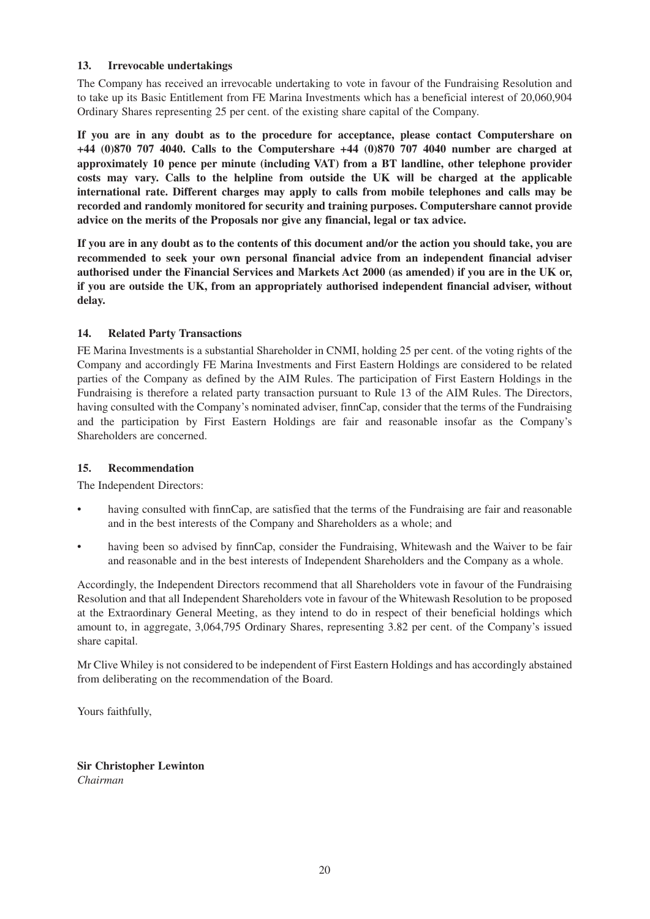# **13. Irrevocable undertakings**

The Company has received an irrevocable undertaking to vote in favour of the Fundraising Resolution and to take up its Basic Entitlement from FE Marina Investments which has a beneficial interest of 20,060,904 Ordinary Shares representing 25 per cent. of the existing share capital of the Company.

**If you are in any doubt as to the procedure for acceptance, please contact Computershare on +44 (0)870 707 4040. Calls to the Computershare +44 (0)870 707 4040 number are charged at approximately 10 pence per minute (including VAT) from a BT landline, other telephone provider costs may vary. Calls to the helpline from outside the UK will be charged at the applicable international rate. Different charges may apply to calls from mobile telephones and calls may be recorded and randomly monitored for security and training purposes. Computershare cannot provide advice on the merits of the Proposals nor give any financial, legal or tax advice.**

**If you are in any doubt as to the contents of this document and/or the action you should take, you are recommended to seek your own personal financial advice from an independent financial adviser authorised under the Financial Services and Markets Act 2000 (as amended) if you are in the UK or, if you are outside the UK, from an appropriately authorised independent financial adviser, without delay.**

# **14. Related Party Transactions**

FE Marina Investments is a substantial Shareholder in CNMI, holding 25 per cent. of the voting rights of the Company and accordingly FE Marina Investments and First Eastern Holdings are considered to be related parties of the Company as defined by the AIM Rules. The participation of First Eastern Holdings in the Fundraising is therefore a related party transaction pursuant to Rule 13 of the AIM Rules. The Directors, having consulted with the Company's nominated adviser, finnCap, consider that the terms of the Fundraising and the participation by First Eastern Holdings are fair and reasonable insofar as the Company's Shareholders are concerned.

#### **15. Recommendation**

The Independent Directors:

- having consulted with finnCap, are satisfied that the terms of the Fundraising are fair and reasonable and in the best interests of the Company and Shareholders as a whole; and
- having been so advised by finnCap, consider the Fundraising, Whitewash and the Waiver to be fair and reasonable and in the best interests of Independent Shareholders and the Company as a whole.

Accordingly, the Independent Directors recommend that all Shareholders vote in favour of the Fundraising Resolution and that all Independent Shareholders vote in favour of the Whitewash Resolution to be proposed at the Extraordinary General Meeting, as they intend to do in respect of their beneficial holdings which amount to, in aggregate, 3,064,795 Ordinary Shares, representing 3.82 per cent. of the Company's issued share capital.

Mr Clive Whiley is not considered to be independent of First Eastern Holdings and has accordingly abstained from deliberating on the recommendation of the Board.

Yours faithfully,

**Sir Christopher Lewinton** *Chairman*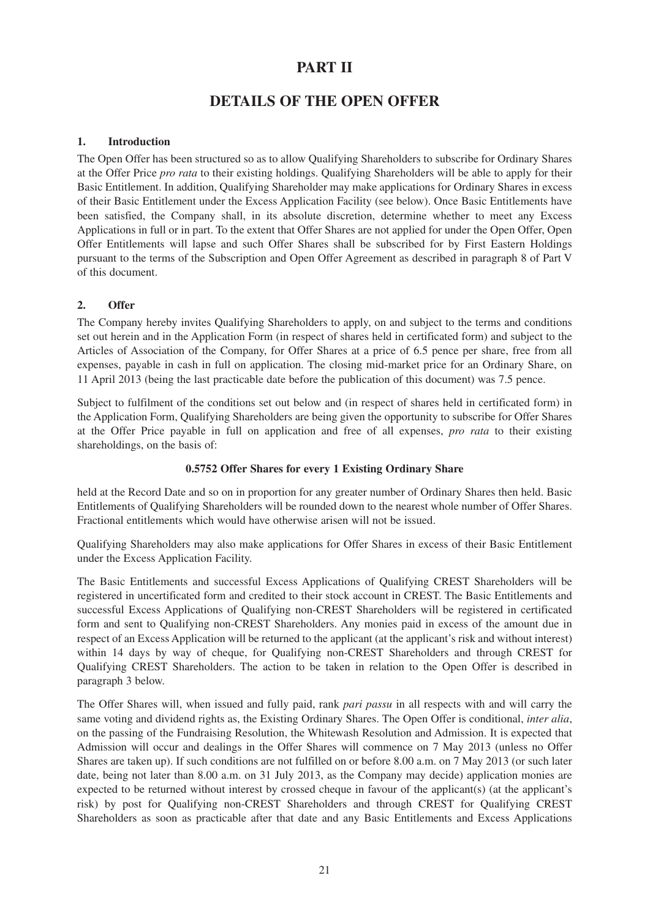# **PART II**

# **DETAILS OF THE OPEN OFFER**

### **1. Introduction**

The Open Offer has been structured so as to allow Qualifying Shareholders to subscribe for Ordinary Shares at the Offer Price *pro rata* to their existing holdings. Qualifying Shareholders will be able to apply for their Basic Entitlement. In addition, Qualifying Shareholder may make applications for Ordinary Shares in excess of their Basic Entitlement under the Excess Application Facility (see below). Once Basic Entitlements have been satisfied, the Company shall, in its absolute discretion, determine whether to meet any Excess Applications in full or in part. To the extent that Offer Shares are not applied for under the Open Offer, Open Offer Entitlements will lapse and such Offer Shares shall be subscribed for by First Eastern Holdings pursuant to the terms of the Subscription and Open Offer Agreement as described in paragraph 8 of Part V of this document.

# **2. Offer**

The Company hereby invites Qualifying Shareholders to apply, on and subject to the terms and conditions set out herein and in the Application Form (in respect of shares held in certificated form) and subject to the Articles of Association of the Company, for Offer Shares at a price of 6.5 pence per share, free from all expenses, payable in cash in full on application. The closing mid-market price for an Ordinary Share, on 11 April 2013 (being the last practicable date before the publication of this document) was 7.5 pence.

Subject to fulfilment of the conditions set out below and (in respect of shares held in certificated form) in the Application Form, Qualifying Shareholders are being given the opportunity to subscribe for Offer Shares at the Offer Price payable in full on application and free of all expenses, *pro rata* to their existing shareholdings, on the basis of:

#### **0.5752 Offer Shares for every 1 Existing Ordinary Share**

held at the Record Date and so on in proportion for any greater number of Ordinary Shares then held. Basic Entitlements of Qualifying Shareholders will be rounded down to the nearest whole number of Offer Shares. Fractional entitlements which would have otherwise arisen will not be issued.

Qualifying Shareholders may also make applications for Offer Shares in excess of their Basic Entitlement under the Excess Application Facility.

The Basic Entitlements and successful Excess Applications of Qualifying CREST Shareholders will be registered in uncertificated form and credited to their stock account in CREST. The Basic Entitlements and successful Excess Applications of Qualifying non-CREST Shareholders will be registered in certificated form and sent to Qualifying non-CREST Shareholders. Any monies paid in excess of the amount due in respect of an Excess Application will be returned to the applicant (at the applicant's risk and without interest) within 14 days by way of cheque, for Qualifying non-CREST Shareholders and through CREST for Qualifying CREST Shareholders. The action to be taken in relation to the Open Offer is described in paragraph 3 below.

The Offer Shares will, when issued and fully paid, rank *pari passu* in all respects with and will carry the same voting and dividend rights as, the Existing Ordinary Shares. The Open Offer is conditional, *inter alia*, on the passing of the Fundraising Resolution, the Whitewash Resolution and Admission. It is expected that Admission will occur and dealings in the Offer Shares will commence on 7 May 2013 (unless no Offer Shares are taken up). If such conditions are not fulfilled on or before 8.00 a.m. on 7 May 2013 (or such later date, being not later than 8.00 a.m. on 31 July 2013, as the Company may decide) application monies are expected to be returned without interest by crossed cheque in favour of the applicant(s) (at the applicant's risk) by post for Qualifying non-CREST Shareholders and through CREST for Qualifying CREST Shareholders as soon as practicable after that date and any Basic Entitlements and Excess Applications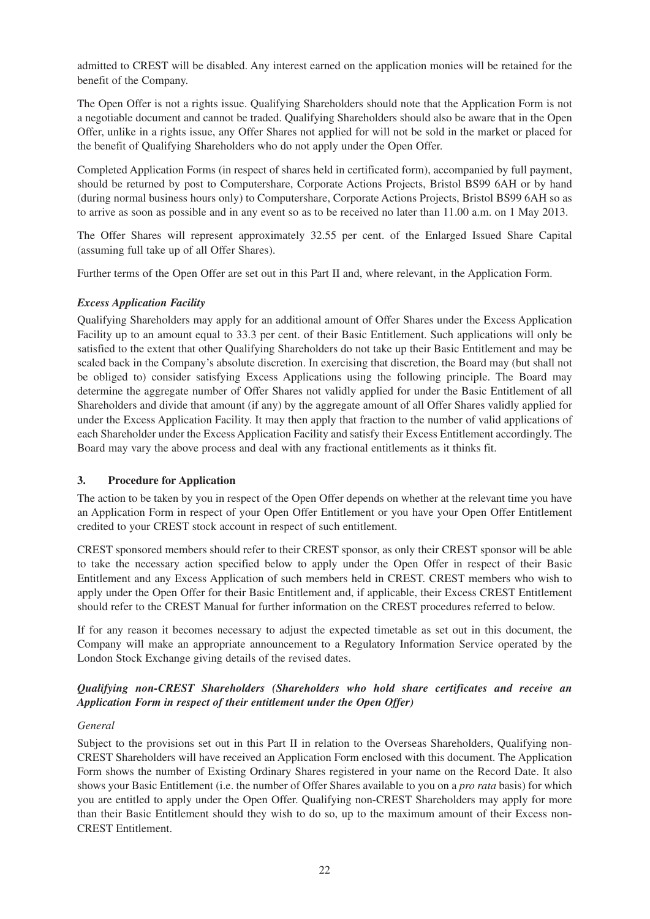admitted to CREST will be disabled. Any interest earned on the application monies will be retained for the benefit of the Company.

The Open Offer is not a rights issue. Qualifying Shareholders should note that the Application Form is not a negotiable document and cannot be traded. Qualifying Shareholders should also be aware that in the Open Offer, unlike in a rights issue, any Offer Shares not applied for will not be sold in the market or placed for the benefit of Qualifying Shareholders who do not apply under the Open Offer.

Completed Application Forms (in respect of shares held in certificated form), accompanied by full payment, should be returned by post to Computershare, Corporate Actions Projects, Bristol BS99 6AH or by hand (during normal business hours only) to Computershare, Corporate Actions Projects, Bristol BS99 6AH so as to arrive as soon as possible and in any event so as to be received no later than 11.00 a.m. on 1 May 2013.

The Offer Shares will represent approximately 32.55 per cent. of the Enlarged Issued Share Capital (assuming full take up of all Offer Shares).

Further terms of the Open Offer are set out in this Part II and, where relevant, in the Application Form.

#### *Excess Application Facility*

Qualifying Shareholders may apply for an additional amount of Offer Shares under the Excess Application Facility up to an amount equal to 33.3 per cent. of their Basic Entitlement. Such applications will only be satisfied to the extent that other Qualifying Shareholders do not take up their Basic Entitlement and may be scaled back in the Company's absolute discretion. In exercising that discretion, the Board may (but shall not be obliged to) consider satisfying Excess Applications using the following principle. The Board may determine the aggregate number of Offer Shares not validly applied for under the Basic Entitlement of all Shareholders and divide that amount (if any) by the aggregate amount of all Offer Shares validly applied for under the Excess Application Facility. It may then apply that fraction to the number of valid applications of each Shareholder under the Excess Application Facility and satisfy their Excess Entitlement accordingly. The Board may vary the above process and deal with any fractional entitlements as it thinks fit.

#### **3. Procedure for Application**

The action to be taken by you in respect of the Open Offer depends on whether at the relevant time you have an Application Form in respect of your Open Offer Entitlement or you have your Open Offer Entitlement credited to your CREST stock account in respect of such entitlement.

CREST sponsored members should refer to their CREST sponsor, as only their CREST sponsor will be able to take the necessary action specified below to apply under the Open Offer in respect of their Basic Entitlement and any Excess Application of such members held in CREST. CREST members who wish to apply under the Open Offer for their Basic Entitlement and, if applicable, their Excess CREST Entitlement should refer to the CREST Manual for further information on the CREST procedures referred to below.

If for any reason it becomes necessary to adjust the expected timetable as set out in this document, the Company will make an appropriate announcement to a Regulatory Information Service operated by the London Stock Exchange giving details of the revised dates.

# *Qualifying non-CREST Shareholders (Shareholders who hold share certificates and receive an Application Form in respect of their entitlement under the Open Offer)*

#### *General*

Subject to the provisions set out in this Part II in relation to the Overseas Shareholders, Qualifying non-CREST Shareholders will have received an Application Form enclosed with this document. The Application Form shows the number of Existing Ordinary Shares registered in your name on the Record Date. It also shows your Basic Entitlement (i.e. the number of Offer Shares available to you on a *pro rata* basis) for which you are entitled to apply under the Open Offer. Qualifying non-CREST Shareholders may apply for more than their Basic Entitlement should they wish to do so, up to the maximum amount of their Excess non-CREST Entitlement.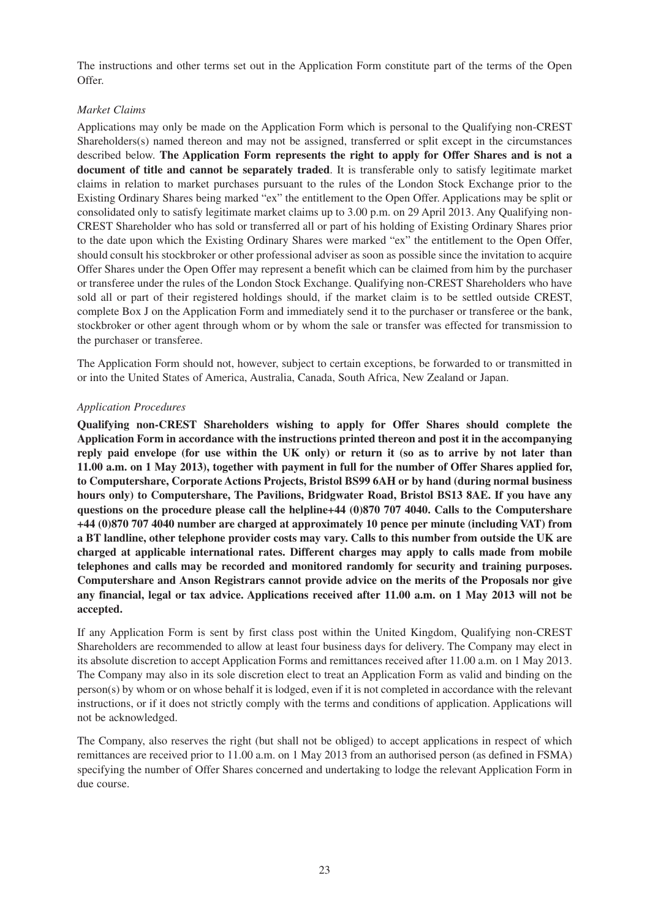The instructions and other terms set out in the Application Form constitute part of the terms of the Open Offer.

#### *Market Claims*

Applications may only be made on the Application Form which is personal to the Qualifying non-CREST Shareholders(s) named thereon and may not be assigned, transferred or split except in the circumstances described below. **The Application Form represents the right to apply for Offer Shares and is not a document of title and cannot be separately traded**. It is transferable only to satisfy legitimate market claims in relation to market purchases pursuant to the rules of the London Stock Exchange prior to the Existing Ordinary Shares being marked "ex" the entitlement to the Open Offer. Applications may be split or consolidated only to satisfy legitimate market claims up to 3.00 p.m. on 29 April 2013. Any Qualifying non-CREST Shareholder who has sold or transferred all or part of his holding of Existing Ordinary Shares prior to the date upon which the Existing Ordinary Shares were marked "ex" the entitlement to the Open Offer, should consult his stockbroker or other professional adviser as soon as possible since the invitation to acquire Offer Shares under the Open Offer may represent a benefit which can be claimed from him by the purchaser or transferee under the rules of the London Stock Exchange. Qualifying non-CREST Shareholders who have sold all or part of their registered holdings should, if the market claim is to be settled outside CREST, complete Box J on the Application Form and immediately send it to the purchaser or transferee or the bank, stockbroker or other agent through whom or by whom the sale or transfer was effected for transmission to the purchaser or transferee.

The Application Form should not, however, subject to certain exceptions, be forwarded to or transmitted in or into the United States of America, Australia, Canada, South Africa, New Zealand or Japan.

#### *Application Procedures*

**Qualifying non-CREST Shareholders wishing to apply for Offer Shares should complete the Application Form in accordance with the instructions printed thereon and post it in the accompanying reply paid envelope (for use within the UK only) or return it (so as to arrive by not later than 11.00 a.m. on 1 May 2013), together with payment in full for the number of Offer Shares applied for, to Computershare, Corporate Actions Projects, Bristol BS99 6AH or by hand (during normal business hours only) to Computershare, The Pavilions, Bridgwater Road, Bristol BS13 8AE. If you have any questions on the procedure please call the helpline+44 (0)870 707 4040. Calls to the Computershare +44 (0)870 707 4040 number are charged at approximately 10 pence per minute (including VAT) from a BT landline, other telephone provider costs may vary. Calls to this number from outside the UK are charged at applicable international rates. Different charges may apply to calls made from mobile telephones and calls may be recorded and monitored randomly for security and training purposes. Computershare and Anson Registrars cannot provide advice on the merits of the Proposals nor give any financial, legal or tax advice. Applications received after 11.00 a.m. on 1 May 2013 will not be accepted.**

If any Application Form is sent by first class post within the United Kingdom, Qualifying non-CREST Shareholders are recommended to allow at least four business days for delivery. The Company may elect in its absolute discretion to accept Application Forms and remittances received after 11.00 a.m. on 1 May 2013. The Company may also in its sole discretion elect to treat an Application Form as valid and binding on the person(s) by whom or on whose behalf it is lodged, even if it is not completed in accordance with the relevant instructions, or if it does not strictly comply with the terms and conditions of application. Applications will not be acknowledged.

The Company, also reserves the right (but shall not be obliged) to accept applications in respect of which remittances are received prior to 11.00 a.m. on 1 May 2013 from an authorised person (as defined in FSMA) specifying the number of Offer Shares concerned and undertaking to lodge the relevant Application Form in due course.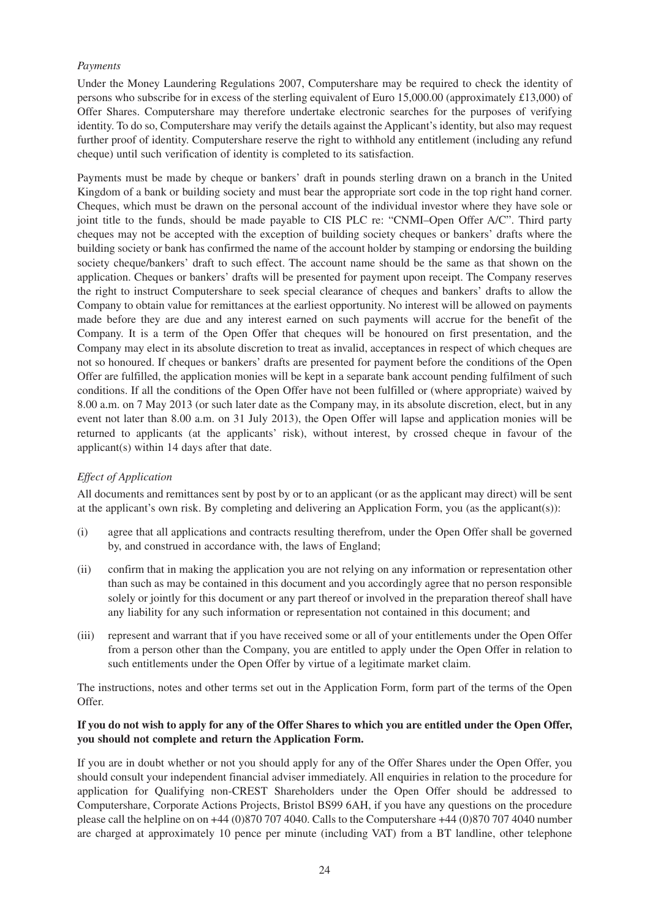#### *Payments*

Under the Money Laundering Regulations 2007, Computershare may be required to check the identity of persons who subscribe for in excess of the sterling equivalent of Euro 15,000.00 (approximately £13,000) of Offer Shares. Computershare may therefore undertake electronic searches for the purposes of verifying identity. To do so, Computershare may verify the details against the Applicant's identity, but also may request further proof of identity. Computershare reserve the right to withhold any entitlement (including any refund cheque) until such verification of identity is completed to its satisfaction.

Payments must be made by cheque or bankers' draft in pounds sterling drawn on a branch in the United Kingdom of a bank or building society and must bear the appropriate sort code in the top right hand corner. Cheques, which must be drawn on the personal account of the individual investor where they have sole or joint title to the funds, should be made payable to CIS PLC re: "CNMI–Open Offer A/C". Third party cheques may not be accepted with the exception of building society cheques or bankers' drafts where the building society or bank has confirmed the name of the account holder by stamping or endorsing the building society cheque/bankers' draft to such effect. The account name should be the same as that shown on the application. Cheques or bankers' drafts will be presented for payment upon receipt. The Company reserves the right to instruct Computershare to seek special clearance of cheques and bankers' drafts to allow the Company to obtain value for remittances at the earliest opportunity. No interest will be allowed on payments made before they are due and any interest earned on such payments will accrue for the benefit of the Company. It is a term of the Open Offer that cheques will be honoured on first presentation, and the Company may elect in its absolute discretion to treat as invalid, acceptances in respect of which cheques are not so honoured. If cheques or bankers' drafts are presented for payment before the conditions of the Open Offer are fulfilled, the application monies will be kept in a separate bank account pending fulfilment of such conditions. If all the conditions of the Open Offer have not been fulfilled or (where appropriate) waived by 8.00 a.m. on 7 May 2013 (or such later date as the Company may, in its absolute discretion, elect, but in any event not later than 8.00 a.m. on 31 July 2013), the Open Offer will lapse and application monies will be returned to applicants (at the applicants' risk), without interest, by crossed cheque in favour of the applicant(s) within 14 days after that date.

#### *Effect of Application*

All documents and remittances sent by post by or to an applicant (or as the applicant may direct) will be sent at the applicant's own risk. By completing and delivering an Application Form, you (as the applicant(s)):

- (i) agree that all applications and contracts resulting therefrom, under the Open Offer shall be governed by, and construed in accordance with, the laws of England;
- (ii) confirm that in making the application you are not relying on any information or representation other than such as may be contained in this document and you accordingly agree that no person responsible solely or jointly for this document or any part thereof or involved in the preparation thereof shall have any liability for any such information or representation not contained in this document; and
- (iii) represent and warrant that if you have received some or all of your entitlements under the Open Offer from a person other than the Company, you are entitled to apply under the Open Offer in relation to such entitlements under the Open Offer by virtue of a legitimate market claim.

The instructions, notes and other terms set out in the Application Form, form part of the terms of the Open Offer.

#### **If you do not wish to apply for any of the Offer Shares to which you are entitled under the Open Offer, you should not complete and return the Application Form.**

If you are in doubt whether or not you should apply for any of the Offer Shares under the Open Offer, you should consult your independent financial adviser immediately. All enquiries in relation to the procedure for application for Qualifying non-CREST Shareholders under the Open Offer should be addressed to Computershare, Corporate Actions Projects, Bristol BS99 6AH, if you have any questions on the procedure please call the helpline on on +44 (0)870 707 4040. Calls to the Computershare +44 (0)870 707 4040 number are charged at approximately 10 pence per minute (including VAT) from a BT landline, other telephone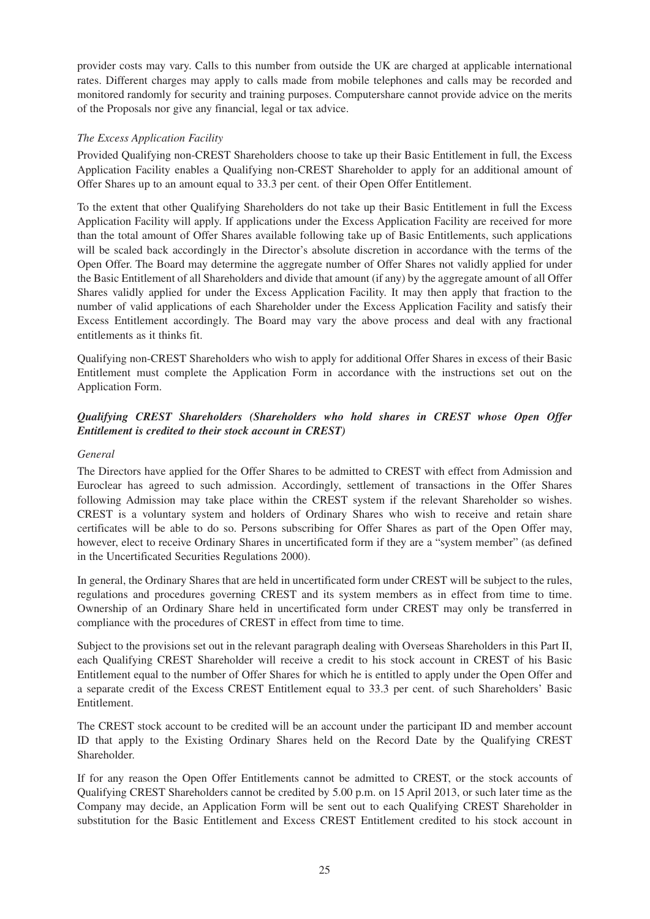provider costs may vary. Calls to this number from outside the UK are charged at applicable international rates. Different charges may apply to calls made from mobile telephones and calls may be recorded and monitored randomly for security and training purposes. Computershare cannot provide advice on the merits of the Proposals nor give any financial, legal or tax advice.

### *The Excess Application Facility*

Provided Qualifying non-CREST Shareholders choose to take up their Basic Entitlement in full, the Excess Application Facility enables a Qualifying non-CREST Shareholder to apply for an additional amount of Offer Shares up to an amount equal to 33.3 per cent. of their Open Offer Entitlement.

To the extent that other Qualifying Shareholders do not take up their Basic Entitlement in full the Excess Application Facility will apply. If applications under the Excess Application Facility are received for more than the total amount of Offer Shares available following take up of Basic Entitlements, such applications will be scaled back accordingly in the Director's absolute discretion in accordance with the terms of the Open Offer. The Board may determine the aggregate number of Offer Shares not validly applied for under the Basic Entitlement of all Shareholders and divide that amount (if any) by the aggregate amount of all Offer Shares validly applied for under the Excess Application Facility. It may then apply that fraction to the number of valid applications of each Shareholder under the Excess Application Facility and satisfy their Excess Entitlement accordingly. The Board may vary the above process and deal with any fractional entitlements as it thinks fit.

Qualifying non-CREST Shareholders who wish to apply for additional Offer Shares in excess of their Basic Entitlement must complete the Application Form in accordance with the instructions set out on the Application Form.

# *Qualifying CREST Shareholders (Shareholders who hold shares in CREST whose Open Offer Entitlement is credited to their stock account in CREST)*

#### *General*

The Directors have applied for the Offer Shares to be admitted to CREST with effect from Admission and Euroclear has agreed to such admission. Accordingly, settlement of transactions in the Offer Shares following Admission may take place within the CREST system if the relevant Shareholder so wishes. CREST is a voluntary system and holders of Ordinary Shares who wish to receive and retain share certificates will be able to do so. Persons subscribing for Offer Shares as part of the Open Offer may, however, elect to receive Ordinary Shares in uncertificated form if they are a "system member" (as defined in the Uncertificated Securities Regulations 2000).

In general, the Ordinary Shares that are held in uncertificated form under CREST will be subject to the rules, regulations and procedures governing CREST and its system members as in effect from time to time. Ownership of an Ordinary Share held in uncertificated form under CREST may only be transferred in compliance with the procedures of CREST in effect from time to time.

Subject to the provisions set out in the relevant paragraph dealing with Overseas Shareholders in this Part II, each Qualifying CREST Shareholder will receive a credit to his stock account in CREST of his Basic Entitlement equal to the number of Offer Shares for which he is entitled to apply under the Open Offer and a separate credit of the Excess CREST Entitlement equal to 33.3 per cent. of such Shareholders' Basic Entitlement.

The CREST stock account to be credited will be an account under the participant ID and member account ID that apply to the Existing Ordinary Shares held on the Record Date by the Qualifying CREST Shareholder.

If for any reason the Open Offer Entitlements cannot be admitted to CREST, or the stock accounts of Qualifying CREST Shareholders cannot be credited by 5.00 p.m. on 15 April 2013, or such later time as the Company may decide, an Application Form will be sent out to each Qualifying CREST Shareholder in substitution for the Basic Entitlement and Excess CREST Entitlement credited to his stock account in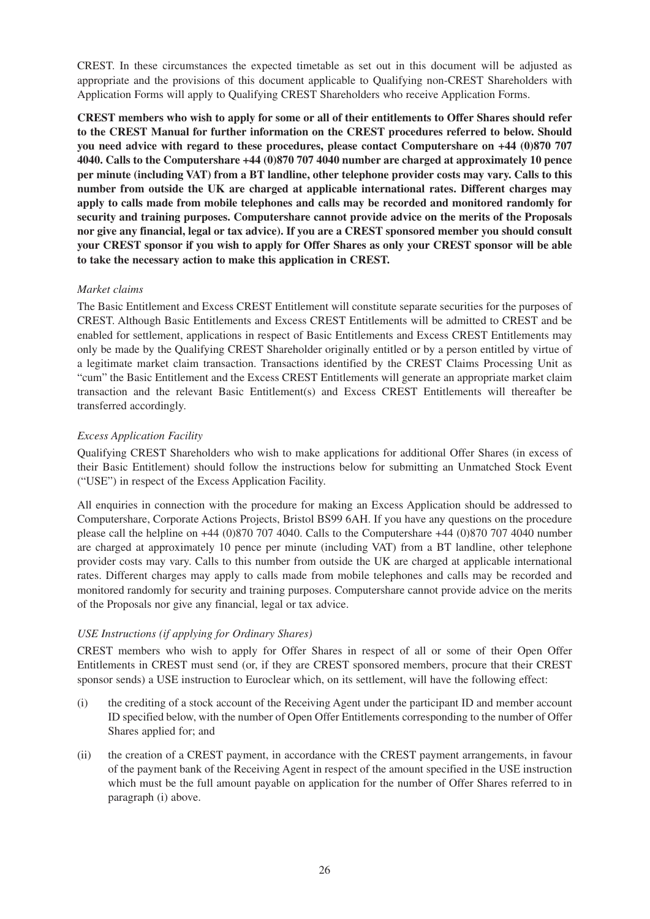CREST. In these circumstances the expected timetable as set out in this document will be adjusted as appropriate and the provisions of this document applicable to Qualifying non-CREST Shareholders with Application Forms will apply to Qualifying CREST Shareholders who receive Application Forms.

**CREST members who wish to apply for some or all of their entitlements to Offer Shares should refer to the CREST Manual for further information on the CREST procedures referred to below. Should you need advice with regard to these procedures, please contact Computershare on +44 (0)870 707 4040. Calls to the Computershare +44 (0)870 707 4040 number are charged at approximately 10 pence per minute (including VAT) from a BT landline, other telephone provider costs may vary. Calls to this number from outside the UK are charged at applicable international rates. Different charges may apply to calls made from mobile telephones and calls may be recorded and monitored randomly for security and training purposes. Computershare cannot provide advice on the merits of the Proposals nor give any financial, legal or tax advice). If you are a CREST sponsored member you should consult your CREST sponsor if you wish to apply for Offer Shares as only your CREST sponsor will be able to take the necessary action to make this application in CREST.**

#### *Market claims*

The Basic Entitlement and Excess CREST Entitlement will constitute separate securities for the purposes of CREST. Although Basic Entitlements and Excess CREST Entitlements will be admitted to CREST and be enabled for settlement, applications in respect of Basic Entitlements and Excess CREST Entitlements may only be made by the Qualifying CREST Shareholder originally entitled or by a person entitled by virtue of a legitimate market claim transaction. Transactions identified by the CREST Claims Processing Unit as "cum" the Basic Entitlement and the Excess CREST Entitlements will generate an appropriate market claim transaction and the relevant Basic Entitlement(s) and Excess CREST Entitlements will thereafter be transferred accordingly.

# *Excess Application Facility*

Qualifying CREST Shareholders who wish to make applications for additional Offer Shares (in excess of their Basic Entitlement) should follow the instructions below for submitting an Unmatched Stock Event ("USE") in respect of the Excess Application Facility.

All enquiries in connection with the procedure for making an Excess Application should be addressed to Computershare, Corporate Actions Projects, Bristol BS99 6AH. If you have any questions on the procedure please call the helpline on +44 (0)870 707 4040. Calls to the Computershare +44 (0)870 707 4040 number are charged at approximately 10 pence per minute (including VAT) from a BT landline, other telephone provider costs may vary. Calls to this number from outside the UK are charged at applicable international rates. Different charges may apply to calls made from mobile telephones and calls may be recorded and monitored randomly for security and training purposes. Computershare cannot provide advice on the merits of the Proposals nor give any financial, legal or tax advice.

# *USE Instructions (if applying for Ordinary Shares)*

CREST members who wish to apply for Offer Shares in respect of all or some of their Open Offer Entitlements in CREST must send (or, if they are CREST sponsored members, procure that their CREST sponsor sends) a USE instruction to Euroclear which, on its settlement, will have the following effect:

- (i) the crediting of a stock account of the Receiving Agent under the participant ID and member account ID specified below, with the number of Open Offer Entitlements corresponding to the number of Offer Shares applied for; and
- (ii) the creation of a CREST payment, in accordance with the CREST payment arrangements, in favour of the payment bank of the Receiving Agent in respect of the amount specified in the USE instruction which must be the full amount payable on application for the number of Offer Shares referred to in paragraph (i) above.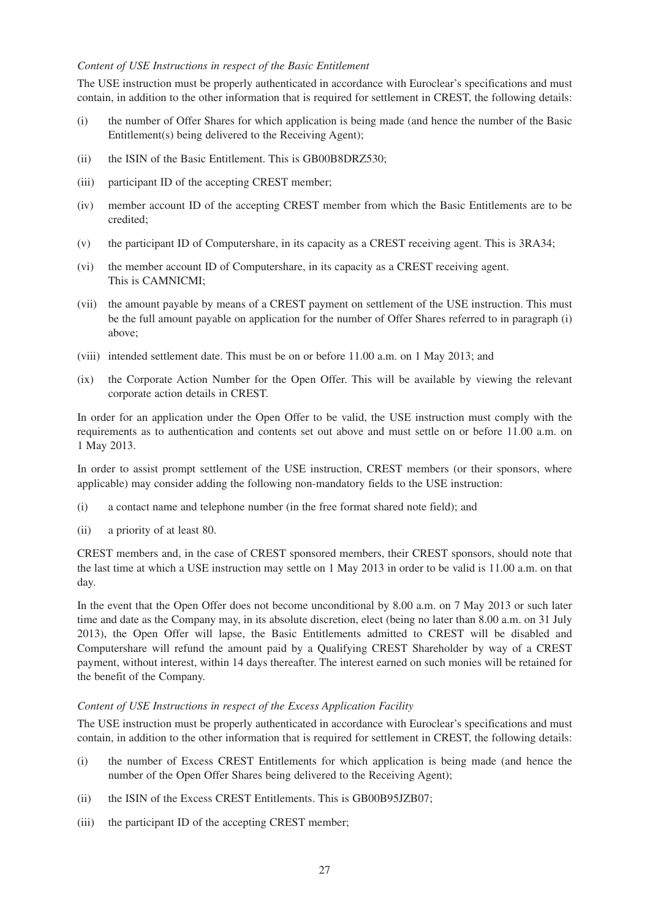#### *Content of USE Instructions in respect of the Basic Entitlement*

The USE instruction must be properly authenticated in accordance with Euroclear's specifications and must contain, in addition to the other information that is required for settlement in CREST, the following details:

- (i) the number of Offer Shares for which application is being made (and hence the number of the Basic Entitlement(s) being delivered to the Receiving Agent);
- (ii) the ISIN of the Basic Entitlement. This is GB00B8DRZ530;
- (iii) participant ID of the accepting CREST member;
- (iv) member account ID of the accepting CREST member from which the Basic Entitlements are to be credited;
- (v) the participant ID of Computershare, in its capacity as a CREST receiving agent. This is 3RA34;
- (vi) the member account ID of Computershare, in its capacity as a CREST receiving agent. This is CAMNICMI;
- (vii) the amount payable by means of a CREST payment on settlement of the USE instruction. This must be the full amount payable on application for the number of Offer Shares referred to in paragraph (i) above;
- (viii) intended settlement date. This must be on or before 11.00 a.m. on 1 May 2013; and
- (ix) the Corporate Action Number for the Open Offer. This will be available by viewing the relevant corporate action details in CREST.

In order for an application under the Open Offer to be valid, the USE instruction must comply with the requirements as to authentication and contents set out above and must settle on or before 11.00 a.m. on 1 May 2013.

In order to assist prompt settlement of the USE instruction, CREST members (or their sponsors, where applicable) may consider adding the following non-mandatory fields to the USE instruction:

- (i) a contact name and telephone number (in the free format shared note field); and
- (ii) a priority of at least 80.

CREST members and, in the case of CREST sponsored members, their CREST sponsors, should note that the last time at which a USE instruction may settle on 1 May 2013 in order to be valid is 11.00 a.m. on that day.

In the event that the Open Offer does not become unconditional by 8.00 a.m. on 7 May 2013 or such later time and date as the Company may, in its absolute discretion, elect (being no later than 8.00 a.m. on 31 July 2013), the Open Offer will lapse, the Basic Entitlements admitted to CREST will be disabled and Computershare will refund the amount paid by a Qualifying CREST Shareholder by way of a CREST payment, without interest, within 14 days thereafter. The interest earned on such monies will be retained for the benefit of the Company.

#### *Content of USE Instructions in respect of the Excess Application Facility*

The USE instruction must be properly authenticated in accordance with Euroclear's specifications and must contain, in addition to the other information that is required for settlement in CREST, the following details:

- (i) the number of Excess CREST Entitlements for which application is being made (and hence the number of the Open Offer Shares being delivered to the Receiving Agent);
- (ii) the ISIN of the Excess CREST Entitlements. This is GB00B95JZB07;
- (iii) the participant ID of the accepting CREST member;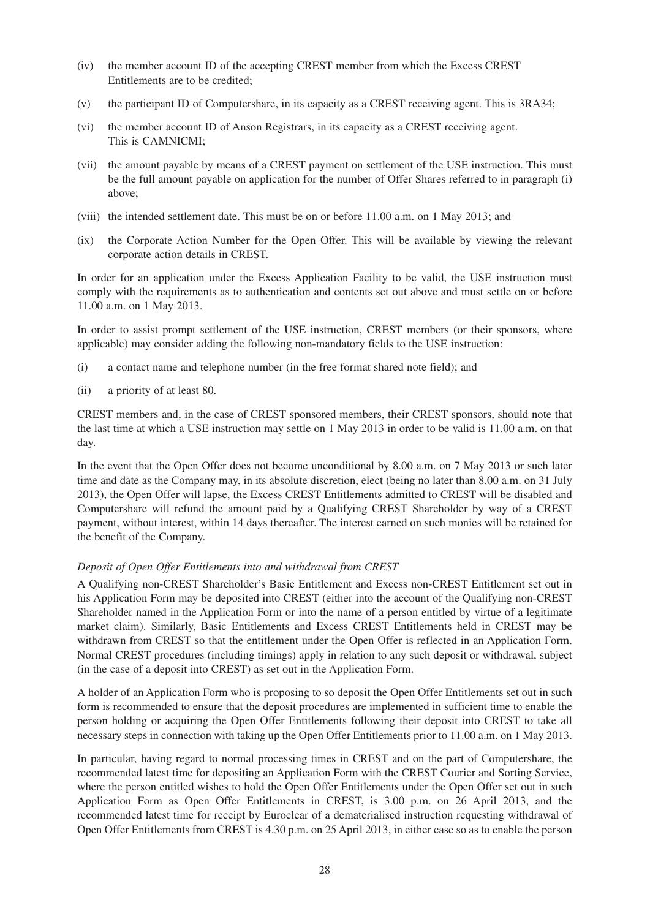- (iv) the member account ID of the accepting CREST member from which the Excess CREST Entitlements are to be credited;
- (v) the participant ID of Computershare, in its capacity as a CREST receiving agent. This is 3RA34;
- (vi) the member account ID of Anson Registrars, in its capacity as a CREST receiving agent. This is CAMNICMI;
- (vii) the amount payable by means of a CREST payment on settlement of the USE instruction. This must be the full amount payable on application for the number of Offer Shares referred to in paragraph (i) above;
- (viii) the intended settlement date. This must be on or before 11.00 a.m. on 1 May 2013; and
- (ix) the Corporate Action Number for the Open Offer. This will be available by viewing the relevant corporate action details in CREST.

In order for an application under the Excess Application Facility to be valid, the USE instruction must comply with the requirements as to authentication and contents set out above and must settle on or before 11.00 a.m. on 1 May 2013.

In order to assist prompt settlement of the USE instruction, CREST members (or their sponsors, where applicable) may consider adding the following non-mandatory fields to the USE instruction:

- (i) a contact name and telephone number (in the free format shared note field); and
- (ii) a priority of at least 80.

CREST members and, in the case of CREST sponsored members, their CREST sponsors, should note that the last time at which a USE instruction may settle on 1 May 2013 in order to be valid is 11.00 a.m. on that day.

In the event that the Open Offer does not become unconditional by 8.00 a.m. on 7 May 2013 or such later time and date as the Company may, in its absolute discretion, elect (being no later than 8.00 a.m. on 31 July 2013), the Open Offer will lapse, the Excess CREST Entitlements admitted to CREST will be disabled and Computershare will refund the amount paid by a Qualifying CREST Shareholder by way of a CREST payment, without interest, within 14 days thereafter. The interest earned on such monies will be retained for the benefit of the Company.

#### *Deposit of Open Offer Entitlements into and withdrawal from CREST*

A Qualifying non-CREST Shareholder's Basic Entitlement and Excess non-CREST Entitlement set out in his Application Form may be deposited into CREST (either into the account of the Qualifying non-CREST Shareholder named in the Application Form or into the name of a person entitled by virtue of a legitimate market claim). Similarly, Basic Entitlements and Excess CREST Entitlements held in CREST may be withdrawn from CREST so that the entitlement under the Open Offer is reflected in an Application Form. Normal CREST procedures (including timings) apply in relation to any such deposit or withdrawal, subject (in the case of a deposit into CREST) as set out in the Application Form.

A holder of an Application Form who is proposing to so deposit the Open Offer Entitlements set out in such form is recommended to ensure that the deposit procedures are implemented in sufficient time to enable the person holding or acquiring the Open Offer Entitlements following their deposit into CREST to take all necessary steps in connection with taking up the Open Offer Entitlements prior to 11.00 a.m. on 1 May 2013.

In particular, having regard to normal processing times in CREST and on the part of Computershare, the recommended latest time for depositing an Application Form with the CREST Courier and Sorting Service, where the person entitled wishes to hold the Open Offer Entitlements under the Open Offer set out in such Application Form as Open Offer Entitlements in CREST, is 3.00 p.m. on 26 April 2013, and the recommended latest time for receipt by Euroclear of a dematerialised instruction requesting withdrawal of Open Offer Entitlements from CREST is 4.30 p.m. on 25 April 2013, in either case so as to enable the person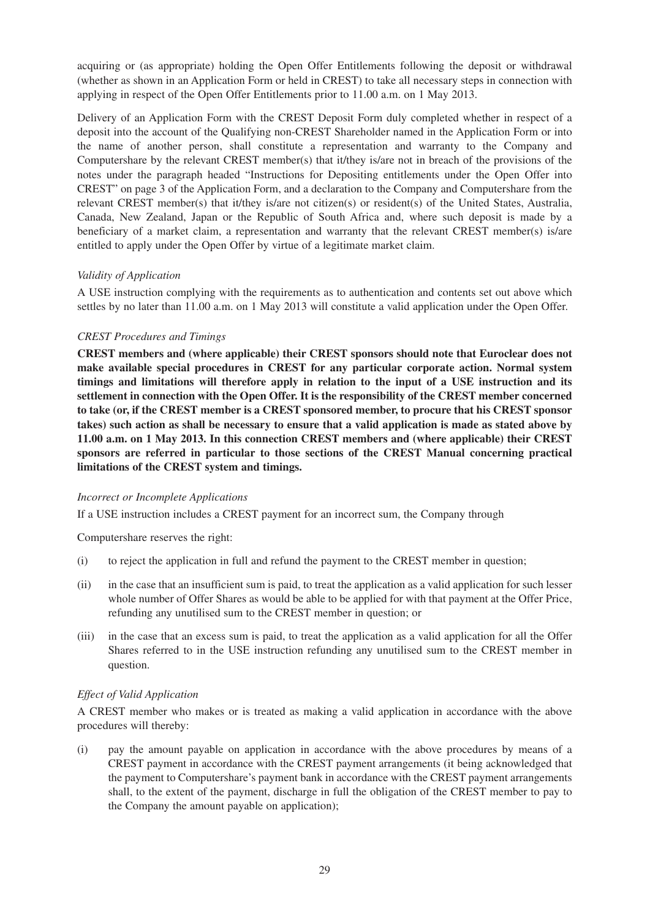acquiring or (as appropriate) holding the Open Offer Entitlements following the deposit or withdrawal (whether as shown in an Application Form or held in CREST) to take all necessary steps in connection with applying in respect of the Open Offer Entitlements prior to 11.00 a.m. on 1 May 2013.

Delivery of an Application Form with the CREST Deposit Form duly completed whether in respect of a deposit into the account of the Qualifying non-CREST Shareholder named in the Application Form or into the name of another person, shall constitute a representation and warranty to the Company and Computershare by the relevant CREST member(s) that it/they is/are not in breach of the provisions of the notes under the paragraph headed "Instructions for Depositing entitlements under the Open Offer into CREST" on page 3 of the Application Form, and a declaration to the Company and Computershare from the relevant CREST member(s) that it/they is/are not citizen(s) or resident(s) of the United States, Australia, Canada, New Zealand, Japan or the Republic of South Africa and, where such deposit is made by a beneficiary of a market claim, a representation and warranty that the relevant CREST member(s) is/are entitled to apply under the Open Offer by virtue of a legitimate market claim.

#### *Validity of Application*

A USE instruction complying with the requirements as to authentication and contents set out above which settles by no later than 11.00 a.m. on 1 May 2013 will constitute a valid application under the Open Offer.

#### *CREST Procedures and Timings*

**CREST members and (where applicable) their CREST sponsors should note that Euroclear does not make available special procedures in CREST for any particular corporate action. Normal system timings and limitations will therefore apply in relation to the input of a USE instruction and its settlement in connection with the Open Offer. It is the responsibility of the CREST member concerned to take (or, if the CREST member is a CREST sponsored member, to procure that his CREST sponsor takes) such action as shall be necessary to ensure that a valid application is made as stated above by 11.00 a.m. on 1 May 2013. In this connection CREST members and (where applicable) their CREST sponsors are referred in particular to those sections of the CREST Manual concerning practical limitations of the CREST system and timings.**

#### *Incorrect or Incomplete Applications*

If a USE instruction includes a CREST payment for an incorrect sum, the Company through

Computershare reserves the right:

- (i) to reject the application in full and refund the payment to the CREST member in question;
- (ii) in the case that an insufficient sum is paid, to treat the application as a valid application for such lesser whole number of Offer Shares as would be able to be applied for with that payment at the Offer Price, refunding any unutilised sum to the CREST member in question; or
- (iii) in the case that an excess sum is paid, to treat the application as a valid application for all the Offer Shares referred to in the USE instruction refunding any unutilised sum to the CREST member in question.

#### *Effect of Valid Application*

A CREST member who makes or is treated as making a valid application in accordance with the above procedures will thereby:

(i) pay the amount payable on application in accordance with the above procedures by means of a CREST payment in accordance with the CREST payment arrangements (it being acknowledged that the payment to Computershare's payment bank in accordance with the CREST payment arrangements shall, to the extent of the payment, discharge in full the obligation of the CREST member to pay to the Company the amount payable on application);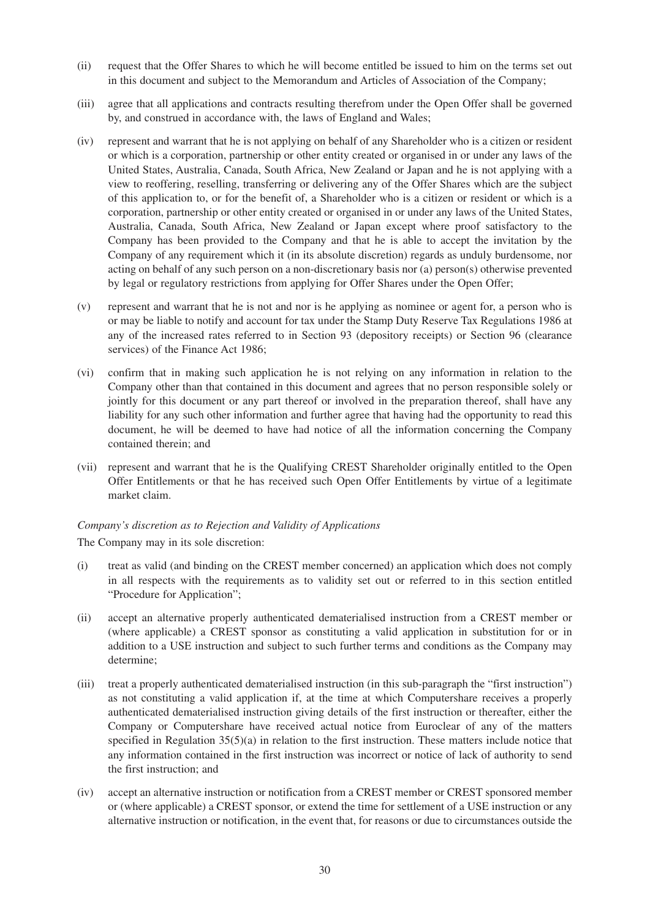- (ii) request that the Offer Shares to which he will become entitled be issued to him on the terms set out in this document and subject to the Memorandum and Articles of Association of the Company;
- (iii) agree that all applications and contracts resulting therefrom under the Open Offer shall be governed by, and construed in accordance with, the laws of England and Wales;
- (iv) represent and warrant that he is not applying on behalf of any Shareholder who is a citizen or resident or which is a corporation, partnership or other entity created or organised in or under any laws of the United States, Australia, Canada, South Africa, New Zealand or Japan and he is not applying with a view to reoffering, reselling, transferring or delivering any of the Offer Shares which are the subject of this application to, or for the benefit of, a Shareholder who is a citizen or resident or which is a corporation, partnership or other entity created or organised in or under any laws of the United States, Australia, Canada, South Africa, New Zealand or Japan except where proof satisfactory to the Company has been provided to the Company and that he is able to accept the invitation by the Company of any requirement which it (in its absolute discretion) regards as unduly burdensome, nor acting on behalf of any such person on a non-discretionary basis nor (a) person(s) otherwise prevented by legal or regulatory restrictions from applying for Offer Shares under the Open Offer;
- (v) represent and warrant that he is not and nor is he applying as nominee or agent for, a person who is or may be liable to notify and account for tax under the Stamp Duty Reserve Tax Regulations 1986 at any of the increased rates referred to in Section 93 (depository receipts) or Section 96 (clearance services) of the Finance Act 1986;
- (vi) confirm that in making such application he is not relying on any information in relation to the Company other than that contained in this document and agrees that no person responsible solely or jointly for this document or any part thereof or involved in the preparation thereof, shall have any liability for any such other information and further agree that having had the opportunity to read this document, he will be deemed to have had notice of all the information concerning the Company contained therein; and
- (vii) represent and warrant that he is the Qualifying CREST Shareholder originally entitled to the Open Offer Entitlements or that he has received such Open Offer Entitlements by virtue of a legitimate market claim.

#### *Company's discretion as to Rejection and Validity of Applications*

The Company may in its sole discretion:

- (i) treat as valid (and binding on the CREST member concerned) an application which does not comply in all respects with the requirements as to validity set out or referred to in this section entitled "Procedure for Application";
- (ii) accept an alternative properly authenticated dematerialised instruction from a CREST member or (where applicable) a CREST sponsor as constituting a valid application in substitution for or in addition to a USE instruction and subject to such further terms and conditions as the Company may determine;
- (iii) treat a properly authenticated dematerialised instruction (in this sub-paragraph the "first instruction") as not constituting a valid application if, at the time at which Computershare receives a properly authenticated dematerialised instruction giving details of the first instruction or thereafter, either the Company or Computershare have received actual notice from Euroclear of any of the matters specified in Regulation  $35(5)(a)$  in relation to the first instruction. These matters include notice that any information contained in the first instruction was incorrect or notice of lack of authority to send the first instruction; and
- (iv) accept an alternative instruction or notification from a CREST member or CREST sponsored member or (where applicable) a CREST sponsor, or extend the time for settlement of a USE instruction or any alternative instruction or notification, in the event that, for reasons or due to circumstances outside the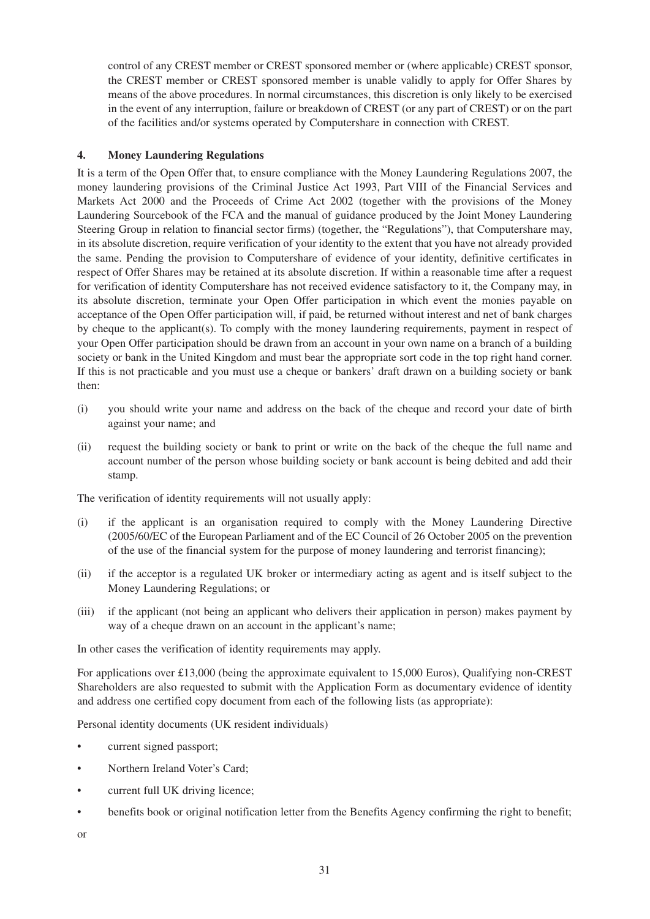control of any CREST member or CREST sponsored member or (where applicable) CREST sponsor, the CREST member or CREST sponsored member is unable validly to apply for Offer Shares by means of the above procedures. In normal circumstances, this discretion is only likely to be exercised in the event of any interruption, failure or breakdown of CREST (or any part of CREST) or on the part of the facilities and/or systems operated by Computershare in connection with CREST.

# **4. Money Laundering Regulations**

It is a term of the Open Offer that, to ensure compliance with the Money Laundering Regulations 2007, the money laundering provisions of the Criminal Justice Act 1993, Part VIII of the Financial Services and Markets Act 2000 and the Proceeds of Crime Act 2002 (together with the provisions of the Money Laundering Sourcebook of the FCA and the manual of guidance produced by the Joint Money Laundering Steering Group in relation to financial sector firms) (together, the "Regulations"), that Computershare may, in its absolute discretion, require verification of your identity to the extent that you have not already provided the same. Pending the provision to Computershare of evidence of your identity, definitive certificates in respect of Offer Shares may be retained at its absolute discretion. If within a reasonable time after a request for verification of identity Computershare has not received evidence satisfactory to it, the Company may, in its absolute discretion, terminate your Open Offer participation in which event the monies payable on acceptance of the Open Offer participation will, if paid, be returned without interest and net of bank charges by cheque to the applicant(s). To comply with the money laundering requirements, payment in respect of your Open Offer participation should be drawn from an account in your own name on a branch of a building society or bank in the United Kingdom and must bear the appropriate sort code in the top right hand corner. If this is not practicable and you must use a cheque or bankers' draft drawn on a building society or bank then:

- (i) you should write your name and address on the back of the cheque and record your date of birth against your name; and
- (ii) request the building society or bank to print or write on the back of the cheque the full name and account number of the person whose building society or bank account is being debited and add their stamp.

The verification of identity requirements will not usually apply:

- (i) if the applicant is an organisation required to comply with the Money Laundering Directive (2005/60/EC of the European Parliament and of the EC Council of 26 October 2005 on the prevention of the use of the financial system for the purpose of money laundering and terrorist financing);
- (ii) if the acceptor is a regulated UK broker or intermediary acting as agent and is itself subject to the Money Laundering Regulations; or
- (iii) if the applicant (not being an applicant who delivers their application in person) makes payment by way of a cheque drawn on an account in the applicant's name;

In other cases the verification of identity requirements may apply.

For applications over £13,000 (being the approximate equivalent to 15,000 Euros), Qualifying non-CREST Shareholders are also requested to submit with the Application Form as documentary evidence of identity and address one certified copy document from each of the following lists (as appropriate):

Personal identity documents (UK resident individuals)

- current signed passport;
- Northern Ireland Voter's Card;
- current full UK driving licence:
- benefits book or original notification letter from the Benefits Agency confirming the right to benefit;
- or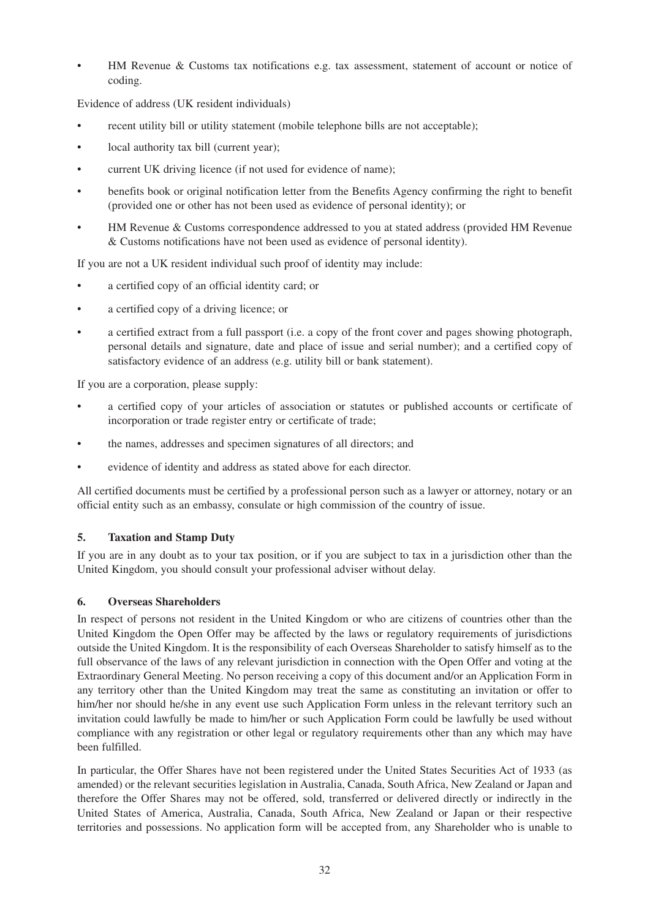• HM Revenue & Customs tax notifications e.g. tax assessment, statement of account or notice of coding.

Evidence of address (UK resident individuals)

- recent utility bill or utility statement (mobile telephone bills are not acceptable);
- local authority tax bill (current year);
- current UK driving licence (if not used for evidence of name);
- benefits book or original notification letter from the Benefits Agency confirming the right to benefit (provided one or other has not been used as evidence of personal identity); or
- HM Revenue & Customs correspondence addressed to you at stated address (provided HM Revenue & Customs notifications have not been used as evidence of personal identity).

If you are not a UK resident individual such proof of identity may include:

- a certified copy of an official identity card; or
- a certified copy of a driving licence; or
- a certified extract from a full passport (i.e. a copy of the front cover and pages showing photograph, personal details and signature, date and place of issue and serial number); and a certified copy of satisfactory evidence of an address (e.g. utility bill or bank statement).

If you are a corporation, please supply:

- a certified copy of your articles of association or statutes or published accounts or certificate of incorporation or trade register entry or certificate of trade;
- the names, addresses and specimen signatures of all directors; and
- evidence of identity and address as stated above for each director.

All certified documents must be certified by a professional person such as a lawyer or attorney, notary or an official entity such as an embassy, consulate or high commission of the country of issue.

#### **5. Taxation and Stamp Duty**

If you are in any doubt as to your tax position, or if you are subject to tax in a jurisdiction other than the United Kingdom, you should consult your professional adviser without delay.

#### **6. Overseas Shareholders**

In respect of persons not resident in the United Kingdom or who are citizens of countries other than the United Kingdom the Open Offer may be affected by the laws or regulatory requirements of jurisdictions outside the United Kingdom. It is the responsibility of each Overseas Shareholder to satisfy himself as to the full observance of the laws of any relevant jurisdiction in connection with the Open Offer and voting at the Extraordinary General Meeting. No person receiving a copy of this document and/or an Application Form in any territory other than the United Kingdom may treat the same as constituting an invitation or offer to him/her nor should he/she in any event use such Application Form unless in the relevant territory such an invitation could lawfully be made to him/her or such Application Form could be lawfully be used without compliance with any registration or other legal or regulatory requirements other than any which may have been fulfilled.

In particular, the Offer Shares have not been registered under the United States Securities Act of 1933 (as amended) or the relevant securities legislation in Australia, Canada, South Africa, New Zealand or Japan and therefore the Offer Shares may not be offered, sold, transferred or delivered directly or indirectly in the United States of America, Australia, Canada, South Africa, New Zealand or Japan or their respective territories and possessions. No application form will be accepted from, any Shareholder who is unable to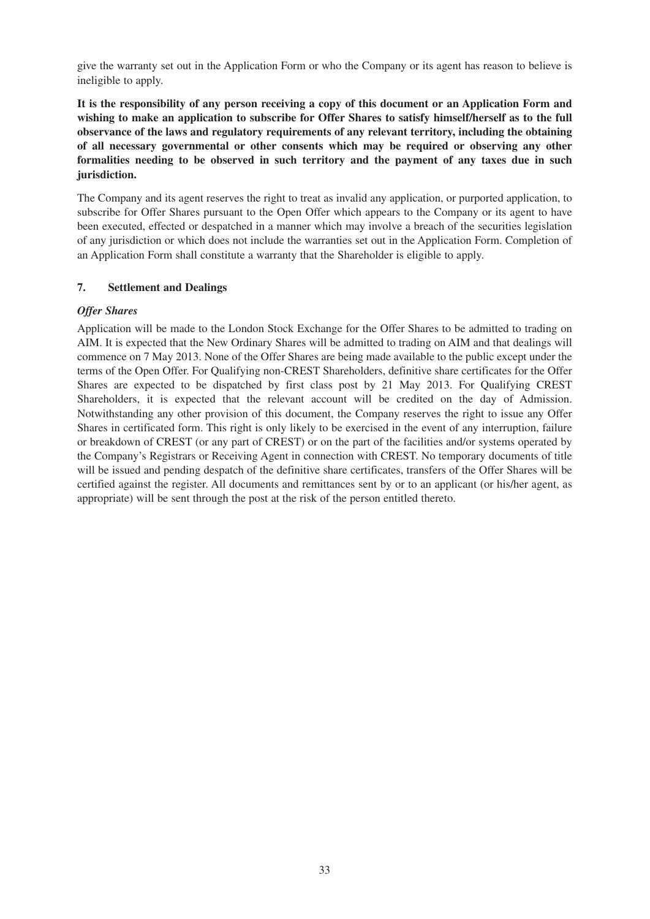give the warranty set out in the Application Form or who the Company or its agent has reason to believe is ineligible to apply.

**It is the responsibility of any person receiving a copy of this document or an Application Form and wishing to make an application to subscribe for Offer Shares to satisfy himself/herself as to the full observance of the laws and regulatory requirements of any relevant territory, including the obtaining of all necessary governmental or other consents which may be required or observing any other formalities needing to be observed in such territory and the payment of any taxes due in such jurisdiction.**

The Company and its agent reserves the right to treat as invalid any application, or purported application, to subscribe for Offer Shares pursuant to the Open Offer which appears to the Company or its agent to have been executed, effected or despatched in a manner which may involve a breach of the securities legislation of any jurisdiction or which does not include the warranties set out in the Application Form. Completion of an Application Form shall constitute a warranty that the Shareholder is eligible to apply.

# **7. Settlement and Dealings**

# *Offer Shares*

Application will be made to the London Stock Exchange for the Offer Shares to be admitted to trading on AIM. It is expected that the New Ordinary Shares will be admitted to trading on AIM and that dealings will commence on 7 May 2013. None of the Offer Shares are being made available to the public except under the terms of the Open Offer. For Qualifying non-CREST Shareholders, definitive share certificates for the Offer Shares are expected to be dispatched by first class post by 21 May 2013. For Qualifying CREST Shareholders, it is expected that the relevant account will be credited on the day of Admission. Notwithstanding any other provision of this document, the Company reserves the right to issue any Offer Shares in certificated form. This right is only likely to be exercised in the event of any interruption, failure or breakdown of CREST (or any part of CREST) or on the part of the facilities and/or systems operated by the Company's Registrars or Receiving Agent in connection with CREST. No temporary documents of title will be issued and pending despatch of the definitive share certificates, transfers of the Offer Shares will be certified against the register. All documents and remittances sent by or to an applicant (or his/her agent, as appropriate) will be sent through the post at the risk of the person entitled thereto.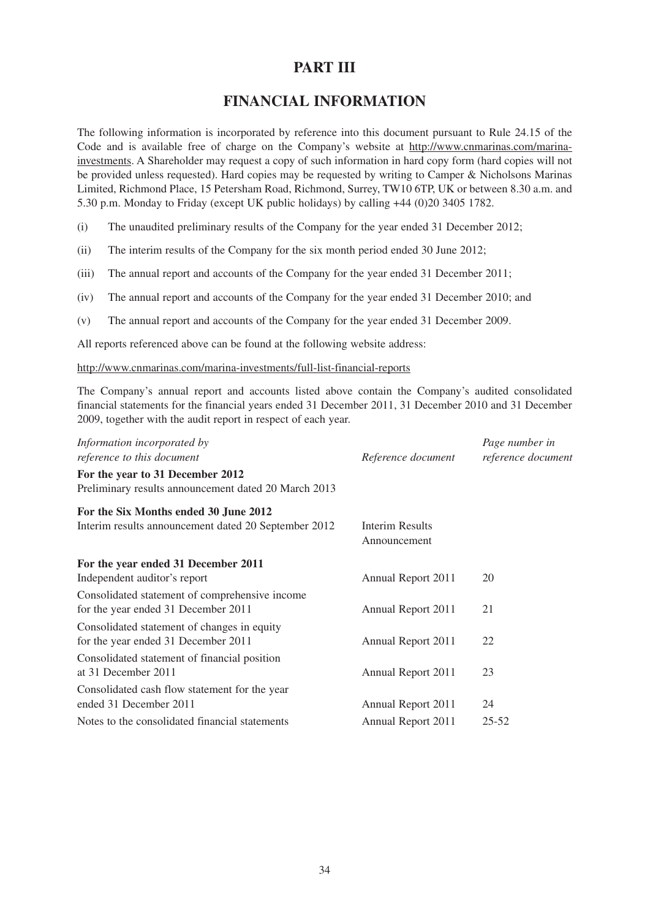# **PART III**

# **FINANCIAL INFORMATION**

The following information is incorporated by reference into this document pursuant to Rule 24.15 of the Code and is available free of charge on the Company's website at http://www.cnmarinas.com/marinainvestments. A Shareholder may request a copy of such information in hard copy form (hard copies will not be provided unless requested). Hard copies may be requested by writing to Camper & Nicholsons Marinas Limited, Richmond Place, 15 Petersham Road, Richmond, Surrey, TW10 6TP, UK or between 8.30 a.m. and 5.30 p.m. Monday to Friday (except UK public holidays) by calling +44 (0)20 3405 1782.

(i) The unaudited preliminary results of the Company for the year ended 31 December 2012;

- (ii) The interim results of the Company for the six month period ended 30 June 2012;
- (iii) The annual report and accounts of the Company for the year ended 31 December 2011;
- (iv) The annual report and accounts of the Company for the year ended 31 December 2010; and
- (v) The annual report and accounts of the Company for the year ended 31 December 2009.

All reports referenced above can be found at the following website address:

http://www.cnmarinas.com/marina-investments/full-list-financial-reports

The Company's annual report and accounts listed above contain the Company's audited consolidated financial statements for the financial years ended 31 December 2011, 31 December 2010 and 31 December 2009, together with the audit report in respect of each year.

| Information incorporated by                          |                    | Page number in     |
|------------------------------------------------------|--------------------|--------------------|
| reference to this document                           | Reference document | reference document |
| For the year to 31 December 2012                     |                    |                    |
| Preliminary results announcement dated 20 March 2013 |                    |                    |
| For the Six Months ended 30 June 2012                |                    |                    |
| Interim results announcement dated 20 September 2012 | Interim Results    |                    |
|                                                      | Announcement       |                    |
| For the year ended 31 December 2011                  |                    |                    |
| Independent auditor's report                         | Annual Report 2011 | 20                 |
| Consolidated statement of comprehensive income       |                    |                    |
| for the year ended 31 December 2011                  | Annual Report 2011 | 21                 |
| Consolidated statement of changes in equity          |                    |                    |
| for the year ended 31 December 2011                  | Annual Report 2011 | 22                 |
| Consolidated statement of financial position         |                    |                    |
| at 31 December 2011                                  | Annual Report 2011 | 23                 |
| Consolidated cash flow statement for the year        |                    |                    |
| ended 31 December 2011                               | Annual Report 2011 | 24                 |
| Notes to the consolidated financial statements       | Annual Report 2011 | $25 - 52$          |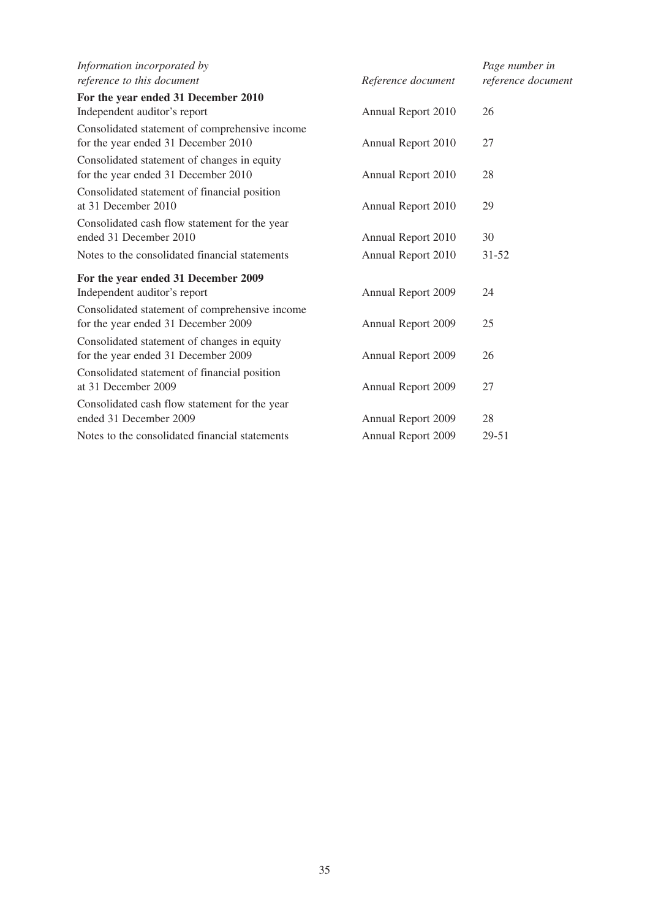| Information incorporated by                                                           |                    | Page number in     |
|---------------------------------------------------------------------------------------|--------------------|--------------------|
| reference to this document                                                            | Reference document | reference document |
| For the year ended 31 December 2010                                                   |                    |                    |
| Independent auditor's report                                                          | Annual Report 2010 | 26                 |
| Consolidated statement of comprehensive income<br>for the year ended 31 December 2010 | Annual Report 2010 | 27                 |
| Consolidated statement of changes in equity<br>for the year ended 31 December 2010    | Annual Report 2010 | 28                 |
| Consolidated statement of financial position<br>at 31 December 2010                   | Annual Report 2010 | 29                 |
| Consolidated cash flow statement for the year<br>ended 31 December 2010               | Annual Report 2010 | 30                 |
| Notes to the consolidated financial statements                                        | Annual Report 2010 | $31 - 52$          |
| For the year ended 31 December 2009                                                   |                    |                    |
| Independent auditor's report                                                          | Annual Report 2009 | 24                 |
| Consolidated statement of comprehensive income<br>for the year ended 31 December 2009 | Annual Report 2009 | 25                 |
| Consolidated statement of changes in equity<br>for the year ended 31 December 2009    | Annual Report 2009 | 26                 |
| Consolidated statement of financial position<br>at 31 December 2009                   | Annual Report 2009 | 27                 |
| Consolidated cash flow statement for the year<br>ended 31 December 2009               | Annual Report 2009 | 28                 |
| Notes to the consolidated financial statements                                        | Annual Report 2009 | 29-51              |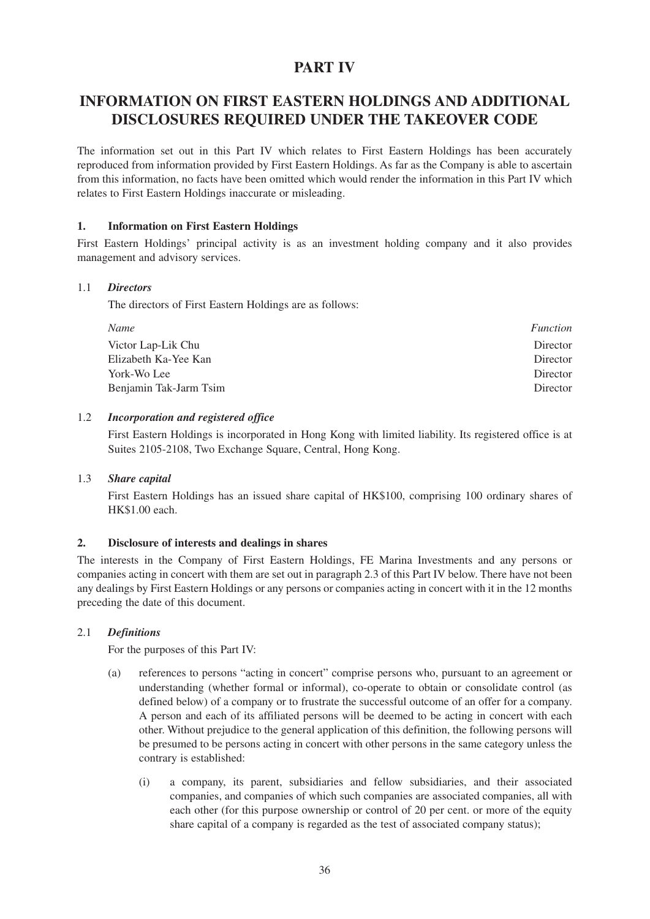# **PART IV**

# **INFORMATION ON FIRST EASTERN HOLDINGS AND ADDITIONAL DISCLOSURES REQUIRED UNDER THE TAKEOVER CODE**

The information set out in this Part IV which relates to First Eastern Holdings has been accurately reproduced from information provided by First Eastern Holdings. As far as the Company is able to ascertain from this information, no facts have been omitted which would render the information in this Part IV which relates to First Eastern Holdings inaccurate or misleading.

#### **1. Information on First Eastern Holdings**

First Eastern Holdings' principal activity is as an investment holding company and it also provides management and advisory services.

#### 1.1 *Directors*

The directors of First Eastern Holdings are as follows:

| Name                   | <i>Function</i> |
|------------------------|-----------------|
| Victor Lap-Lik Chu     | Director        |
| Elizabeth Ka-Yee Kan   | Director        |
| York-Wo Lee            | Director        |
| Benjamin Tak-Jarm Tsim | Director        |

#### 1.2 *Incorporation and registered office*

First Eastern Holdings is incorporated in Hong Kong with limited liability. Its registered office is at Suites 2105-2108, Two Exchange Square, Central, Hong Kong.

#### 1.3 *Share capital*

First Eastern Holdings has an issued share capital of HK\$100, comprising 100 ordinary shares of HK\$1.00 each.

#### **2. Disclosure of interests and dealings in shares**

The interests in the Company of First Eastern Holdings, FE Marina Investments and any persons or companies acting in concert with them are set out in paragraph 2.3 of this Part IV below. There have not been any dealings by First Eastern Holdings or any persons or companies acting in concert with it in the 12 months preceding the date of this document.

#### 2.1 *Definitions*

For the purposes of this Part IV:

- (a) references to persons "acting in concert" comprise persons who, pursuant to an agreement or understanding (whether formal or informal), co-operate to obtain or consolidate control (as defined below) of a company or to frustrate the successful outcome of an offer for a company. A person and each of its affiliated persons will be deemed to be acting in concert with each other. Without prejudice to the general application of this definition, the following persons will be presumed to be persons acting in concert with other persons in the same category unless the contrary is established:
	- (i) a company, its parent, subsidiaries and fellow subsidiaries, and their associated companies, and companies of which such companies are associated companies, all with each other (for this purpose ownership or control of 20 per cent. or more of the equity share capital of a company is regarded as the test of associated company status);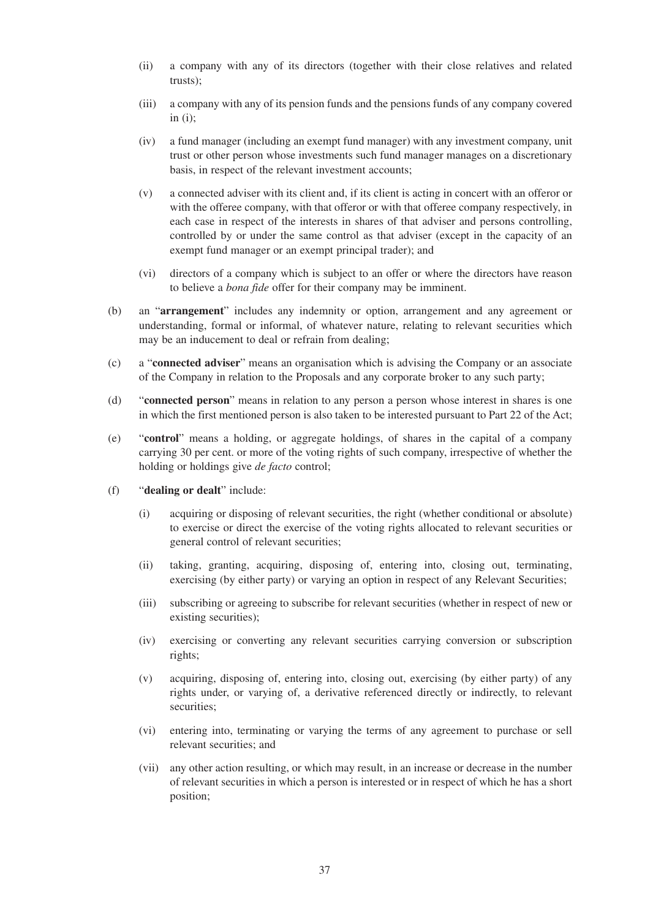- (ii) a company with any of its directors (together with their close relatives and related trusts);
- (iii) a company with any of its pension funds and the pensions funds of any company covered in  $(i)$ ;
- (iv) a fund manager (including an exempt fund manager) with any investment company, unit trust or other person whose investments such fund manager manages on a discretionary basis, in respect of the relevant investment accounts;
- (v) a connected adviser with its client and, if its client is acting in concert with an offeror or with the offeree company, with that offeror or with that offeree company respectively, in each case in respect of the interests in shares of that adviser and persons controlling, controlled by or under the same control as that adviser (except in the capacity of an exempt fund manager or an exempt principal trader); and
- (vi) directors of a company which is subject to an offer or where the directors have reason to believe a *bona fide* offer for their company may be imminent.
- (b) an "**arrangement**" includes any indemnity or option, arrangement and any agreement or understanding, formal or informal, of whatever nature, relating to relevant securities which may be an inducement to deal or refrain from dealing;
- (c) a "**connected adviser**" means an organisation which is advising the Company or an associate of the Company in relation to the Proposals and any corporate broker to any such party;
- (d) "**connected person**" means in relation to any person a person whose interest in shares is one in which the first mentioned person is also taken to be interested pursuant to Part 22 of the Act;
- (e) "**control**" means a holding, or aggregate holdings, of shares in the capital of a company carrying 30 per cent. or more of the voting rights of such company, irrespective of whether the holding or holdings give *de facto* control;
- (f) "**dealing or dealt**" include:
	- (i) acquiring or disposing of relevant securities, the right (whether conditional or absolute) to exercise or direct the exercise of the voting rights allocated to relevant securities or general control of relevant securities;
	- (ii) taking, granting, acquiring, disposing of, entering into, closing out, terminating, exercising (by either party) or varying an option in respect of any Relevant Securities;
	- (iii) subscribing or agreeing to subscribe for relevant securities (whether in respect of new or existing securities);
	- (iv) exercising or converting any relevant securities carrying conversion or subscription rights;
	- (v) acquiring, disposing of, entering into, closing out, exercising (by either party) of any rights under, or varying of, a derivative referenced directly or indirectly, to relevant securities;
	- (vi) entering into, terminating or varying the terms of any agreement to purchase or sell relevant securities; and
	- (vii) any other action resulting, or which may result, in an increase or decrease in the number of relevant securities in which a person is interested or in respect of which he has a short position;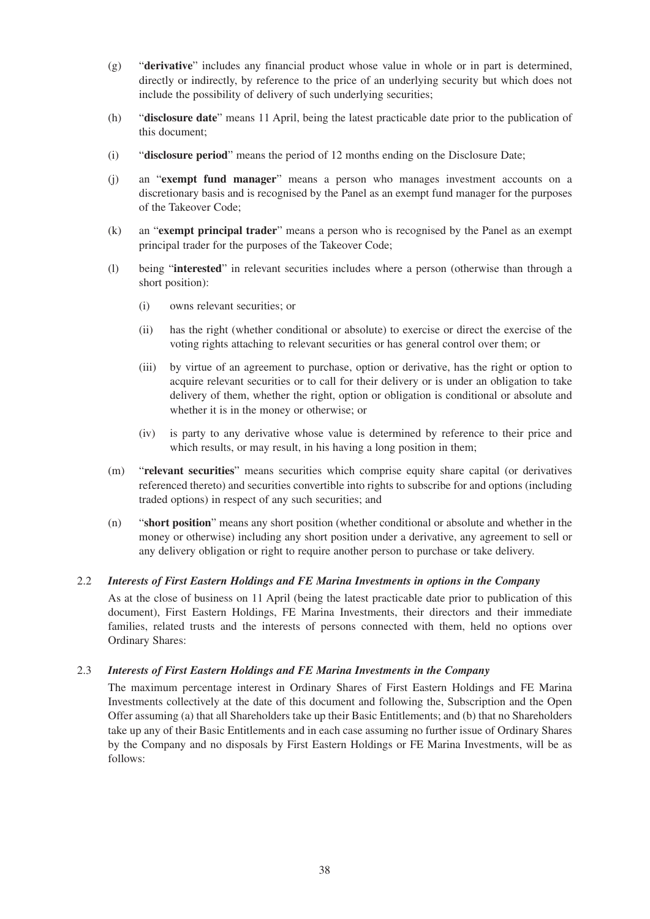- (g) "**derivative**" includes any financial product whose value in whole or in part is determined, directly or indirectly, by reference to the price of an underlying security but which does not include the possibility of delivery of such underlying securities;
- (h) "**disclosure date**" means 11 April, being the latest practicable date prior to the publication of this document;
- (i) "**disclosure period**" means the period of 12 months ending on the Disclosure Date;
- (j) an "**exempt fund manager**" means a person who manages investment accounts on a discretionary basis and is recognised by the Panel as an exempt fund manager for the purposes of the Takeover Code;
- (k) an "**exempt principal trader**" means a person who is recognised by the Panel as an exempt principal trader for the purposes of the Takeover Code;
- (l) being "**interested**" in relevant securities includes where a person (otherwise than through a short position):
	- (i) owns relevant securities; or
	- (ii) has the right (whether conditional or absolute) to exercise or direct the exercise of the voting rights attaching to relevant securities or has general control over them; or
	- (iii) by virtue of an agreement to purchase, option or derivative, has the right or option to acquire relevant securities or to call for their delivery or is under an obligation to take delivery of them, whether the right, option or obligation is conditional or absolute and whether it is in the money or otherwise; or
	- (iv) is party to any derivative whose value is determined by reference to their price and which results, or may result, in his having a long position in them;
- (m) "**relevant securities**" means securities which comprise equity share capital (or derivatives referenced thereto) and securities convertible into rights to subscribe for and options (including traded options) in respect of any such securities; and
- (n) "**short position**" means any short position (whether conditional or absolute and whether in the money or otherwise) including any short position under a derivative, any agreement to sell or any delivery obligation or right to require another person to purchase or take delivery.

#### 2.2 *Interests of First Eastern Holdings and FE Marina Investments in options in the Company*

As at the close of business on 11 April (being the latest practicable date prior to publication of this document), First Eastern Holdings, FE Marina Investments, their directors and their immediate families, related trusts and the interests of persons connected with them, held no options over Ordinary Shares:

#### 2.3 *Interests of First Eastern Holdings and FE Marina Investments in the Company*

The maximum percentage interest in Ordinary Shares of First Eastern Holdings and FE Marina Investments collectively at the date of this document and following the, Subscription and the Open Offer assuming (a) that all Shareholders take up their Basic Entitlements; and (b) that no Shareholders take up any of their Basic Entitlements and in each case assuming no further issue of Ordinary Shares by the Company and no disposals by First Eastern Holdings or FE Marina Investments, will be as follows: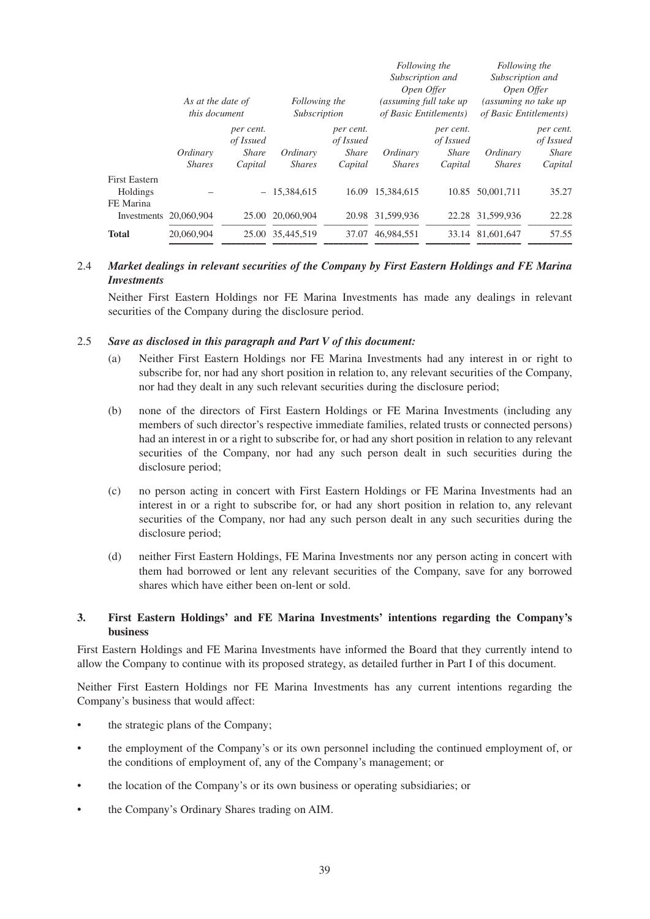|                                                                         | As at the date of<br><i>this document</i> |                                                   | Following the<br>Subscription |                                                   | Following the<br>Subscription and<br>Open Offer<br>(assuming full take up<br>of Basic Entitlements) |                                                   | Following the<br>Subscription and<br>Open Offer<br>(assuming no take up<br>of Basic Entitlements) |                                                   |
|-------------------------------------------------------------------------|-------------------------------------------|---------------------------------------------------|-------------------------------|---------------------------------------------------|-----------------------------------------------------------------------------------------------------|---------------------------------------------------|---------------------------------------------------------------------------------------------------|---------------------------------------------------|
|                                                                         | Ordinary<br><b>Shares</b>                 | per cent.<br>of Issued<br><i>Share</i><br>Capital | Ordinary<br><b>Shares</b>     | per cent.<br>of Issued<br><i>Share</i><br>Capital | Ordinary<br><b>Shares</b>                                                                           | per cent.<br>of Issued<br><b>Share</b><br>Capital | Ordinary<br><b>Shares</b>                                                                         | per cent.<br>of Issued<br><b>Share</b><br>Capital |
| <b>First Eastern</b><br>Holdings<br>FE Marina<br>Investments 20,060,904 |                                           | $-$<br>25.00                                      | 15,384,615<br>20,060,904      | 16.09<br>20.98                                    | 15.384.615<br>31.599.936                                                                            |                                                   | 10.85 50.001.711<br>22.28 31.599.936                                                              | 35.27<br>22.28                                    |
| <b>Total</b>                                                            | 20.060.904                                |                                                   | 25.00 35.445.519              | 37.07                                             | 46.984.551                                                                                          |                                                   | 33.14 81.601.647                                                                                  | 57.55                                             |

# 2.4 *Market dealings in relevant securities of the Company by First Eastern Holdings and FE Marina Investments*

Neither First Eastern Holdings nor FE Marina Investments has made any dealings in relevant securities of the Company during the disclosure period.

#### 2.5 *Save as disclosed in this paragraph and Part V of this document:*

- (a) Neither First Eastern Holdings nor FE Marina Investments had any interest in or right to subscribe for, nor had any short position in relation to, any relevant securities of the Company, nor had they dealt in any such relevant securities during the disclosure period;
- (b) none of the directors of First Eastern Holdings or FE Marina Investments (including any members of such director's respective immediate families, related trusts or connected persons) had an interest in or a right to subscribe for, or had any short position in relation to any relevant securities of the Company, nor had any such person dealt in such securities during the disclosure period;
- (c) no person acting in concert with First Eastern Holdings or FE Marina Investments had an interest in or a right to subscribe for, or had any short position in relation to, any relevant securities of the Company, nor had any such person dealt in any such securities during the disclosure period:
- (d) neither First Eastern Holdings, FE Marina Investments nor any person acting in concert with them had borrowed or lent any relevant securities of the Company, save for any borrowed shares which have either been on-lent or sold.

### **3. First Eastern Holdings' and FE Marina Investments' intentions regarding the Company's business**

First Eastern Holdings and FE Marina Investments have informed the Board that they currently intend to allow the Company to continue with its proposed strategy, as detailed further in Part I of this document.

Neither First Eastern Holdings nor FE Marina Investments has any current intentions regarding the Company's business that would affect:

- the strategic plans of the Company;
- the employment of the Company's or its own personnel including the continued employment of, or the conditions of employment of, any of the Company's management; or
- the location of the Company's or its own business or operating subsidiaries; or
- the Company's Ordinary Shares trading on AIM.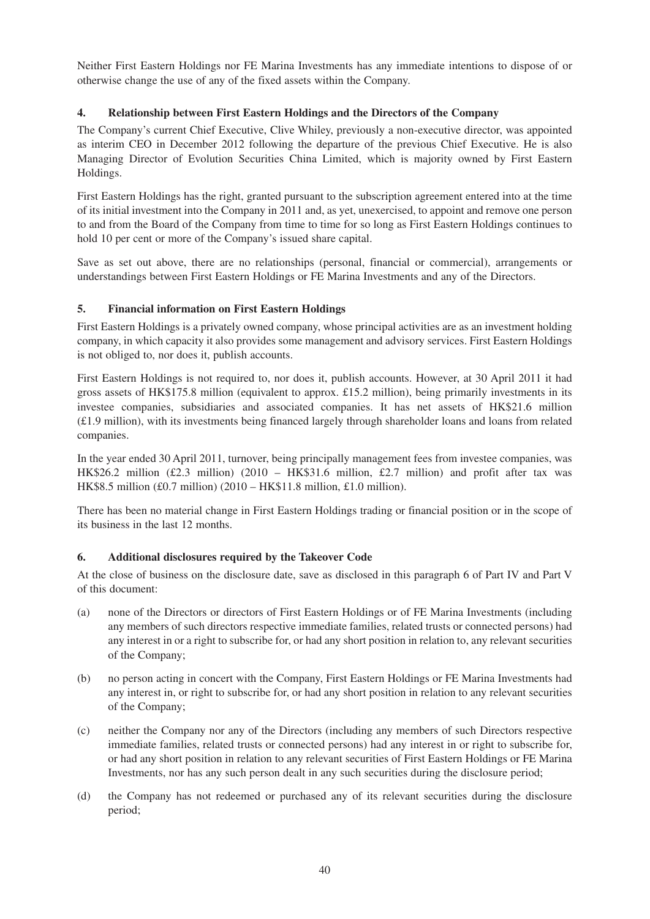Neither First Eastern Holdings nor FE Marina Investments has any immediate intentions to dispose of or otherwise change the use of any of the fixed assets within the Company.

# **4. Relationship between First Eastern Holdings and the Directors of the Company**

The Company's current Chief Executive, Clive Whiley, previously a non-executive director, was appointed as interim CEO in December 2012 following the departure of the previous Chief Executive. He is also Managing Director of Evolution Securities China Limited, which is majority owned by First Eastern Holdings.

First Eastern Holdings has the right, granted pursuant to the subscription agreement entered into at the time of its initial investment into the Company in 2011 and, as yet, unexercised, to appoint and remove one person to and from the Board of the Company from time to time for so long as First Eastern Holdings continues to hold 10 per cent or more of the Company's issued share capital.

Save as set out above, there are no relationships (personal, financial or commercial), arrangements or understandings between First Eastern Holdings or FE Marina Investments and any of the Directors.

# **5. Financial information on First Eastern Holdings**

First Eastern Holdings is a privately owned company, whose principal activities are as an investment holding company, in which capacity it also provides some management and advisory services. First Eastern Holdings is not obliged to, nor does it, publish accounts.

First Eastern Holdings is not required to, nor does it, publish accounts. However, at 30 April 2011 it had gross assets of HK\$175.8 million (equivalent to approx. £15.2 million), being primarily investments in its investee companies, subsidiaries and associated companies. It has net assets of HK\$21.6 million (£1.9 million), with its investments being financed largely through shareholder loans and loans from related companies.

In the year ended 30 April 2011, turnover, being principally management fees from investee companies, was HK\$26.2 million (£2.3 million) (2010 – HK\$31.6 million, £2.7 million) and profit after tax was HK\$8.5 million (£0.7 million) (2010 – HK\$11.8 million, £1.0 million).

There has been no material change in First Eastern Holdings trading or financial position or in the scope of its business in the last 12 months.

#### **6. Additional disclosures required by the Takeover Code**

At the close of business on the disclosure date, save as disclosed in this paragraph 6 of Part IV and Part V of this document:

- (a) none of the Directors or directors of First Eastern Holdings or of FE Marina Investments (including any members of such directors respective immediate families, related trusts or connected persons) had any interest in or a right to subscribe for, or had any short position in relation to, any relevant securities of the Company;
- (b) no person acting in concert with the Company, First Eastern Holdings or FE Marina Investments had any interest in, or right to subscribe for, or had any short position in relation to any relevant securities of the Company;
- (c) neither the Company nor any of the Directors (including any members of such Directors respective immediate families, related trusts or connected persons) had any interest in or right to subscribe for, or had any short position in relation to any relevant securities of First Eastern Holdings or FE Marina Investments, nor has any such person dealt in any such securities during the disclosure period;
- (d) the Company has not redeemed or purchased any of its relevant securities during the disclosure period;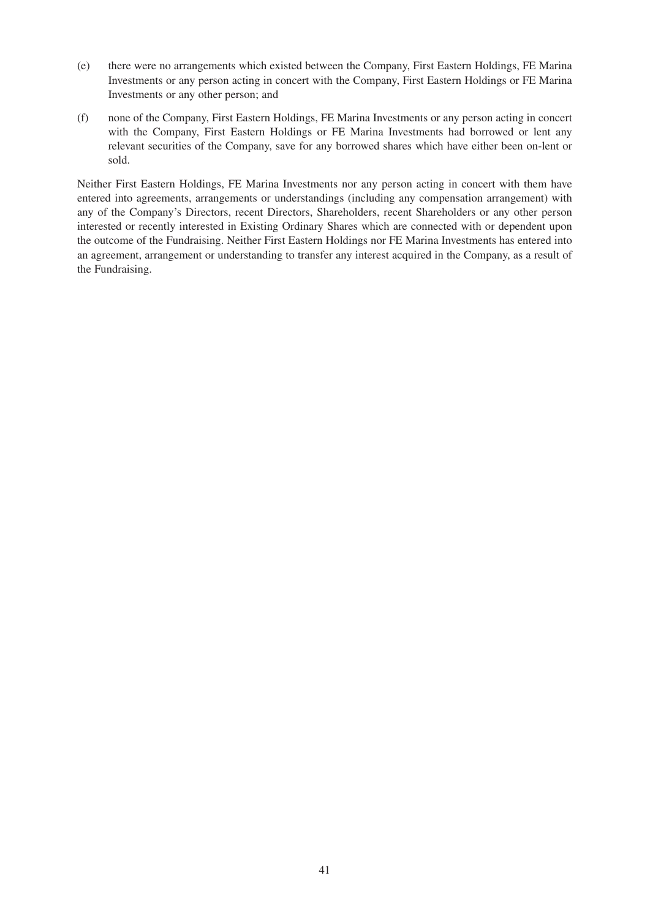- (e) there were no arrangements which existed between the Company, First Eastern Holdings, FE Marina Investments or any person acting in concert with the Company, First Eastern Holdings or FE Marina Investments or any other person; and
- (f) none of the Company, First Eastern Holdings, FE Marina Investments or any person acting in concert with the Company, First Eastern Holdings or FE Marina Investments had borrowed or lent any relevant securities of the Company, save for any borrowed shares which have either been on-lent or sold.

Neither First Eastern Holdings, FE Marina Investments nor any person acting in concert with them have entered into agreements, arrangements or understandings (including any compensation arrangement) with any of the Company's Directors, recent Directors, Shareholders, recent Shareholders or any other person interested or recently interested in Existing Ordinary Shares which are connected with or dependent upon the outcome of the Fundraising. Neither First Eastern Holdings nor FE Marina Investments has entered into an agreement, arrangement or understanding to transfer any interest acquired in the Company, as a result of the Fundraising.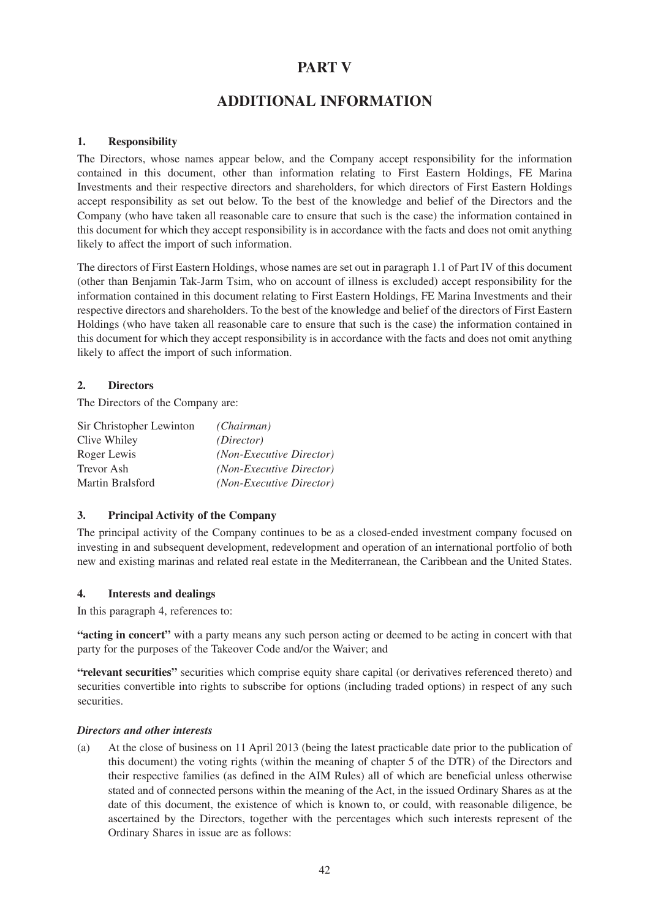# **PART V**

# **ADDITIONAL INFORMATION**

# **1. Responsibility**

The Directors, whose names appear below, and the Company accept responsibility for the information contained in this document, other than information relating to First Eastern Holdings, FE Marina Investments and their respective directors and shareholders, for which directors of First Eastern Holdings accept responsibility as set out below. To the best of the knowledge and belief of the Directors and the Company (who have taken all reasonable care to ensure that such is the case) the information contained in this document for which they accept responsibility is in accordance with the facts and does not omit anything likely to affect the import of such information.

The directors of First Eastern Holdings, whose names are set out in paragraph 1.1 of Part IV of this document (other than Benjamin Tak-Jarm Tsim, who on account of illness is excluded) accept responsibility for the information contained in this document relating to First Eastern Holdings, FE Marina Investments and their respective directors and shareholders. To the best of the knowledge and belief of the directors of First Eastern Holdings (who have taken all reasonable care to ensure that such is the case) the information contained in this document for which they accept responsibility is in accordance with the facts and does not omit anything likely to affect the import of such information.

# **2. Directors**

The Directors of the Company are:

| Sir Christopher Lewinton | (Chairman)                      |
|--------------------------|---------------------------------|
| Clive Whiley             | (Director)                      |
| Roger Lewis              | <i>(Non-Executive Director)</i> |
| <b>Trevor Ash</b>        | <i>(Non-Executive Director)</i> |
| Martin Bralsford         | (Non-Executive Director)        |

#### **3. Principal Activity of the Company**

The principal activity of the Company continues to be as a closed-ended investment company focused on investing in and subsequent development, redevelopment and operation of an international portfolio of both new and existing marinas and related real estate in the Mediterranean, the Caribbean and the United States.

#### **4. Interests and dealings**

In this paragraph 4, references to:

**"acting in concert"** with a party means any such person acting or deemed to be acting in concert with that party for the purposes of the Takeover Code and/or the Waiver; and

**"relevant securities"** securities which comprise equity share capital (or derivatives referenced thereto) and securities convertible into rights to subscribe for options (including traded options) in respect of any such securities.

#### *Directors and other interests*

(a) At the close of business on 11 April 2013 (being the latest practicable date prior to the publication of this document) the voting rights (within the meaning of chapter 5 of the DTR) of the Directors and their respective families (as defined in the AIM Rules) all of which are beneficial unless otherwise stated and of connected persons within the meaning of the Act, in the issued Ordinary Shares as at the date of this document, the existence of which is known to, or could, with reasonable diligence, be ascertained by the Directors, together with the percentages which such interests represent of the Ordinary Shares in issue are as follows: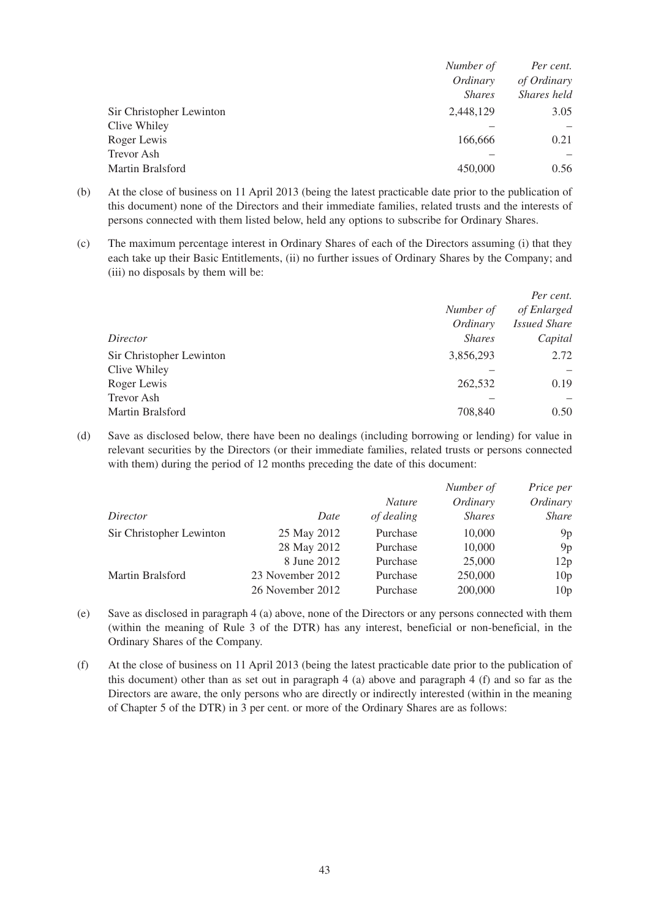|                          | Number of     | Per cent.   |
|--------------------------|---------------|-------------|
|                          | Ordinary      | of Ordinary |
|                          | <i>Shares</i> | Shares held |
| Sir Christopher Lewinton | 2,448,129     | 3.05        |
| Clive Whiley             |               |             |
| Roger Lewis              | 166,666       | 0.21        |
| <b>Trevor Ash</b>        |               |             |
| Martin Bralsford         | 450,000       | 0.56        |

- (b) At the close of business on 11 April 2013 (being the latest practicable date prior to the publication of this document) none of the Directors and their immediate families, related trusts and the interests of persons connected with them listed below, held any options to subscribe for Ordinary Shares.
- (c) The maximum percentage interest in Ordinary Shares of each of the Directors assuming (i) that they each take up their Basic Entitlements, (ii) no further issues of Ordinary Shares by the Company; and (iii) no disposals by them will be:

|                          |               | Per cent.           |
|--------------------------|---------------|---------------------|
|                          | Number of     | of Enlarged         |
|                          | Ordinary      | <i>Issued Share</i> |
| Director                 | <b>Shares</b> | Capital             |
| Sir Christopher Lewinton | 3,856,293     | 2.72                |
| Clive Whiley             |               |                     |
| Roger Lewis              | 262,532       | 0.19                |
| <b>Trevor Ash</b>        |               |                     |
| Martin Bralsford         | 708,840       | 0.50                |

(d) Save as disclosed below, there have been no dealings (including borrowing or lending) for value in relevant securities by the Directors (or their immediate families, related trusts or persons connected with them) during the period of 12 months preceding the date of this document:

|                          |                  |               | Number of     | Price per       |
|--------------------------|------------------|---------------|---------------|-----------------|
|                          |                  | <i>Nature</i> | Ordinary      | Ordinary        |
| Director                 | Date             | of dealing    | <b>Shares</b> | <i>Share</i>    |
| Sir Christopher Lewinton | 25 May 2012      | Purchase      | 10,000        | 9p              |
|                          | 28 May 2012      | Purchase      | 10,000        | 9p              |
|                          | 8 June 2012      | Purchase      | 25,000        | 12p             |
| Martin Bralsford         | 23 November 2012 | Purchase      | 250,000       | 10 <sub>p</sub> |
|                          | 26 November 2012 | Purchase      | 200,000       | 10 <sub>p</sub> |

- (e) Save as disclosed in paragraph 4 (a) above, none of the Directors or any persons connected with them (within the meaning of Rule 3 of the DTR) has any interest, beneficial or non-beneficial, in the Ordinary Shares of the Company.
- (f) At the close of business on 11 April 2013 (being the latest practicable date prior to the publication of this document) other than as set out in paragraph  $4$  (a) above and paragraph  $4$  (f) and so far as the Directors are aware, the only persons who are directly or indirectly interested (within in the meaning of Chapter 5 of the DTR) in 3 per cent. or more of the Ordinary Shares are as follows: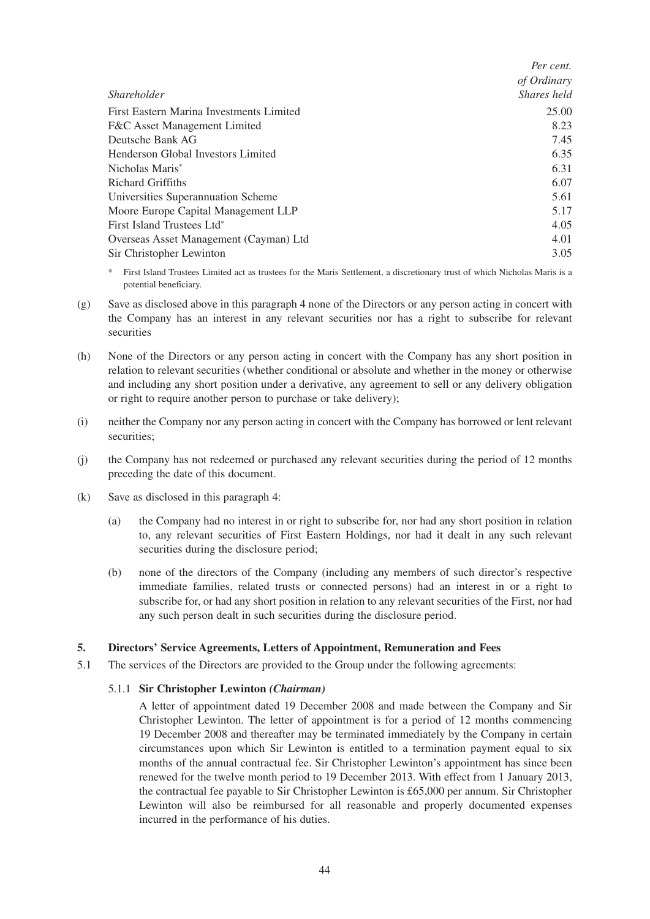|                                          | Per cent.   |
|------------------------------------------|-------------|
|                                          | of Ordinary |
| <i>Shareholder</i>                       | Shares held |
| First Eastern Marina Investments Limited | 25.00       |
| F&C Asset Management Limited             | 8.23        |
| Deutsche Bank AG                         | 7.45        |
| Henderson Global Investors Limited       | 6.35        |
| Nicholas Maris <sup>*</sup>              | 6.31        |
| <b>Richard Griffiths</b>                 | 6.07        |
| Universities Superannuation Scheme       | 5.61        |
| Moore Europe Capital Management LLP      | 5.17        |
| First Island Trustees Ltd <sup>*</sup>   | 4.05        |
| Overseas Asset Management (Cayman) Ltd   | 4.01        |
| Sir Christopher Lewinton                 | 3.05        |

\* First Island Trustees Limited act as trustees for the Maris Settlement, a discretionary trust of which Nicholas Maris is a potential beneficiary.

- (g) Save as disclosed above in this paragraph 4 none of the Directors or any person acting in concert with the Company has an interest in any relevant securities nor has a right to subscribe for relevant securities
- (h) None of the Directors or any person acting in concert with the Company has any short position in relation to relevant securities (whether conditional or absolute and whether in the money or otherwise and including any short position under a derivative, any agreement to sell or any delivery obligation or right to require another person to purchase or take delivery);
- (i) neither the Company nor any person acting in concert with the Company has borrowed or lent relevant securities;
- (j) the Company has not redeemed or purchased any relevant securities during the period of 12 months preceding the date of this document.
- (k) Save as disclosed in this paragraph 4:
	- (a) the Company had no interest in or right to subscribe for, nor had any short position in relation to, any relevant securities of First Eastern Holdings, nor had it dealt in any such relevant securities during the disclosure period;
	- (b) none of the directors of the Company (including any members of such director's respective immediate families, related trusts or connected persons) had an interest in or a right to subscribe for, or had any short position in relation to any relevant securities of the First, nor had any such person dealt in such securities during the disclosure period.

#### **5. Directors' Service Agreements, Letters of Appointment, Remuneration and Fees**

5.1 The services of the Directors are provided to the Group under the following agreements:

#### 5.1.1 **Sir Christopher Lewinton** *(Chairman)*

A letter of appointment dated 19 December 2008 and made between the Company and Sir Christopher Lewinton. The letter of appointment is for a period of 12 months commencing 19 December 2008 and thereafter may be terminated immediately by the Company in certain circumstances upon which Sir Lewinton is entitled to a termination payment equal to six months of the annual contractual fee. Sir Christopher Lewinton's appointment has since been renewed for the twelve month period to 19 December 2013. With effect from 1 January 2013, the contractual fee payable to Sir Christopher Lewinton is £65,000 per annum. Sir Christopher Lewinton will also be reimbursed for all reasonable and properly documented expenses incurred in the performance of his duties.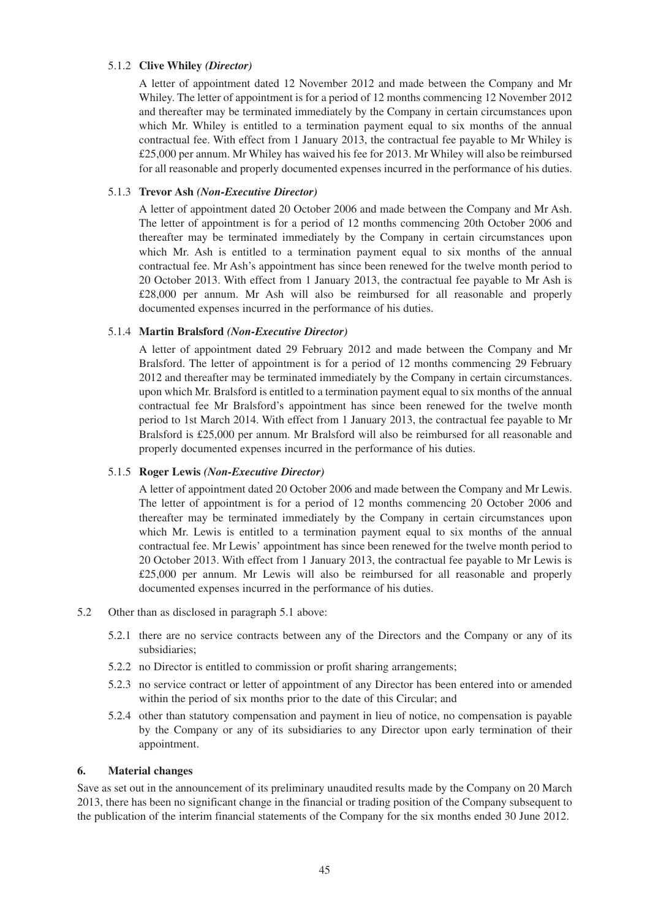#### 5.1.2 **Clive Whiley** *(Director)*

A letter of appointment dated 12 November 2012 and made between the Company and Mr Whiley. The letter of appointment is for a period of 12 months commencing 12 November 2012 and thereafter may be terminated immediately by the Company in certain circumstances upon which Mr. Whiley is entitled to a termination payment equal to six months of the annual contractual fee. With effect from 1 January 2013, the contractual fee payable to Mr Whiley is £25,000 per annum. Mr Whiley has waived his fee for 2013. Mr Whiley will also be reimbursed for all reasonable and properly documented expenses incurred in the performance of his duties.

#### 5.1.3 **Trevor Ash** *(Non-Executive Director)*

A letter of appointment dated 20 October 2006 and made between the Company and Mr Ash. The letter of appointment is for a period of 12 months commencing 20th October 2006 and thereafter may be terminated immediately by the Company in certain circumstances upon which Mr. Ash is entitled to a termination payment equal to six months of the annual contractual fee. Mr Ash's appointment has since been renewed for the twelve month period to 20 October 2013. With effect from 1 January 2013, the contractual fee payable to Mr Ash is £28,000 per annum. Mr Ash will also be reimbursed for all reasonable and properly documented expenses incurred in the performance of his duties.

#### 5.1.4 **Martin Bralsford** *(Non-Executive Director)*

A letter of appointment dated 29 February 2012 and made between the Company and Mr Bralsford. The letter of appointment is for a period of 12 months commencing 29 February 2012 and thereafter may be terminated immediately by the Company in certain circumstances. upon which Mr. Bralsford is entitled to a termination payment equal to six months of the annual contractual fee Mr Bralsford's appointment has since been renewed for the twelve month period to 1st March 2014. With effect from 1 January 2013, the contractual fee payable to Mr Bralsford is £25,000 per annum. Mr Bralsford will also be reimbursed for all reasonable and properly documented expenses incurred in the performance of his duties.

#### 5.1.5 **Roger Lewis** *(Non-Executive Director)*

A letter of appointment dated 20 October 2006 and made between the Company and Mr Lewis. The letter of appointment is for a period of 12 months commencing 20 October 2006 and thereafter may be terminated immediately by the Company in certain circumstances upon which Mr. Lewis is entitled to a termination payment equal to six months of the annual contractual fee. Mr Lewis' appointment has since been renewed for the twelve month period to 20 October 2013. With effect from 1 January 2013, the contractual fee payable to Mr Lewis is £25,000 per annum. Mr Lewis will also be reimbursed for all reasonable and properly documented expenses incurred in the performance of his duties.

- 5.2 Other than as disclosed in paragraph 5.1 above:
	- 5.2.1 there are no service contracts between any of the Directors and the Company or any of its subsidiaries;
	- 5.2.2 no Director is entitled to commission or profit sharing arrangements;
	- 5.2.3 no service contract or letter of appointment of any Director has been entered into or amended within the period of six months prior to the date of this Circular; and
	- 5.2.4 other than statutory compensation and payment in lieu of notice, no compensation is payable by the Company or any of its subsidiaries to any Director upon early termination of their appointment.

#### **6. Material changes**

Save as set out in the announcement of its preliminary unaudited results made by the Company on 20 March 2013, there has been no significant change in the financial or trading position of the Company subsequent to the publication of the interim financial statements of the Company for the six months ended 30 June 2012.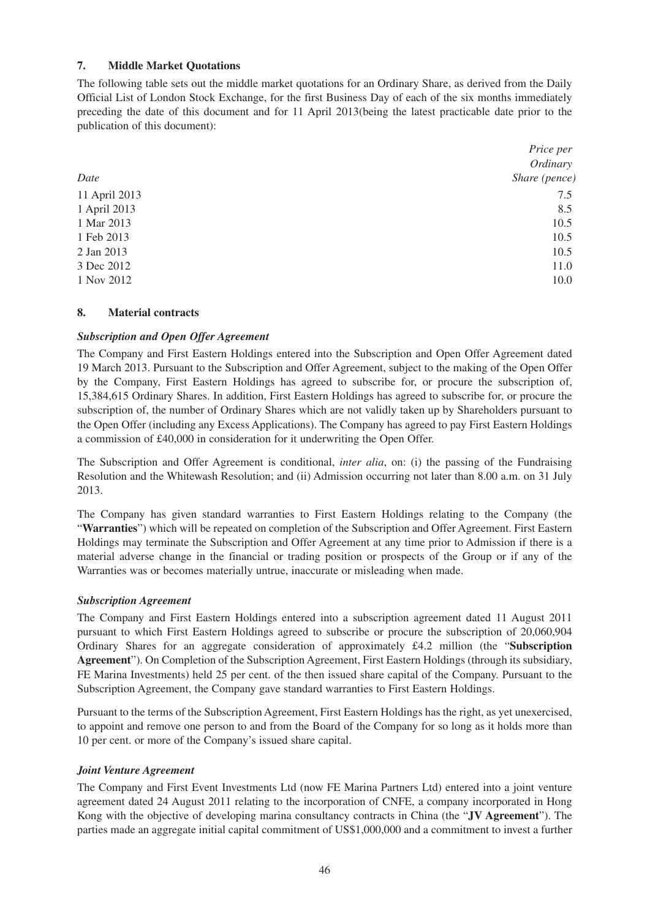### **7. Middle Market Quotations**

The following table sets out the middle market quotations for an Ordinary Share, as derived from the Daily Official List of London Stock Exchange, for the first Business Day of each of the six months immediately preceding the date of this document and for 11 April 2013(being the latest practicable date prior to the publication of this document):

|               | Price per     |
|---------------|---------------|
|               | Ordinary      |
| Date          | Share (pence) |
| 11 April 2013 | 7.5           |
| 1 April 2013  | 8.5           |
| 1 Mar 2013    | 10.5          |
| 1 Feb 2013    | 10.5          |
| 2 Jan 2013    | 10.5          |
| 3 Dec 2012    | 11.0          |
| 1 Nov 2012    | 10.0          |

#### **8. Material contracts**

#### *Subscription and Open Offer Agreement*

The Company and First Eastern Holdings entered into the Subscription and Open Offer Agreement dated 19 March 2013. Pursuant to the Subscription and Offer Agreement, subject to the making of the Open Offer by the Company, First Eastern Holdings has agreed to subscribe for, or procure the subscription of, 15,384,615 Ordinary Shares. In addition, First Eastern Holdings has agreed to subscribe for, or procure the subscription of, the number of Ordinary Shares which are not validly taken up by Shareholders pursuant to the Open Offer (including any Excess Applications). The Company has agreed to pay First Eastern Holdings a commission of £40,000 in consideration for it underwriting the Open Offer.

The Subscription and Offer Agreement is conditional, *inter alia*, on: (i) the passing of the Fundraising Resolution and the Whitewash Resolution; and (ii) Admission occurring not later than 8.00 a.m. on 31 July 2013.

The Company has given standard warranties to First Eastern Holdings relating to the Company (the "**Warranties**") which will be repeated on completion of the Subscription and Offer Agreement. First Eastern Holdings may terminate the Subscription and Offer Agreement at any time prior to Admission if there is a material adverse change in the financial or trading position or prospects of the Group or if any of the Warranties was or becomes materially untrue, inaccurate or misleading when made.

#### *Subscription Agreement*

The Company and First Eastern Holdings entered into a subscription agreement dated 11 August 2011 pursuant to which First Eastern Holdings agreed to subscribe or procure the subscription of 20,060,904 Ordinary Shares for an aggregate consideration of approximately £4.2 million (the "**Subscription Agreement**"). On Completion of the Subscription Agreement, First Eastern Holdings (through its subsidiary, FE Marina Investments) held 25 per cent. of the then issued share capital of the Company. Pursuant to the Subscription Agreement, the Company gave standard warranties to First Eastern Holdings.

Pursuant to the terms of the Subscription Agreement, First Eastern Holdings has the right, as yet unexercised, to appoint and remove one person to and from the Board of the Company for so long as it holds more than 10 per cent. or more of the Company's issued share capital.

#### *Joint Venture Agreement*

The Company and First Event Investments Ltd (now FE Marina Partners Ltd) entered into a joint venture agreement dated 24 August 2011 relating to the incorporation of CNFE, a company incorporated in Hong Kong with the objective of developing marina consultancy contracts in China (the "**JV Agreement**"). The parties made an aggregate initial capital commitment of US\$1,000,000 and a commitment to invest a further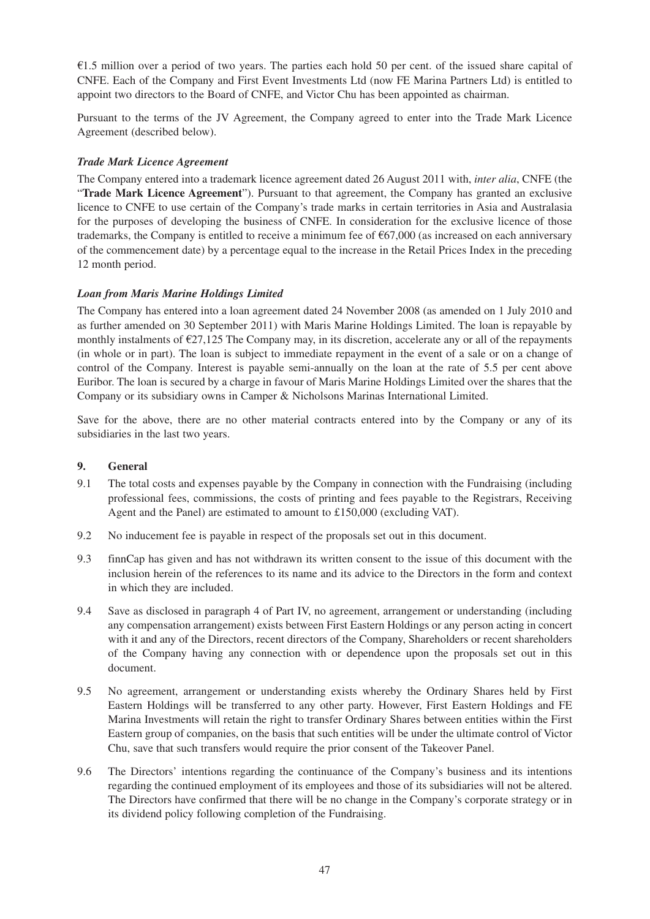$£1.5$  million over a period of two years. The parties each hold 50 per cent. of the issued share capital of CNFE. Each of the Company and First Event Investments Ltd (now FE Marina Partners Ltd) is entitled to appoint two directors to the Board of CNFE, and Victor Chu has been appointed as chairman.

Pursuant to the terms of the JV Agreement, the Company agreed to enter into the Trade Mark Licence Agreement (described below).

### *Trade Mark Licence Agreement*

The Company entered into a trademark licence agreement dated 26 August 2011 with, *inter alia*, CNFE (the "**Trade Mark Licence Agreement**"). Pursuant to that agreement, the Company has granted an exclusive licence to CNFE to use certain of the Company's trade marks in certain territories in Asia and Australasia for the purposes of developing the business of CNFE. In consideration for the exclusive licence of those trademarks, the Company is entitled to receive a minimum fee of  $\epsilon$ 67,000 (as increased on each anniversary of the commencement date) by a percentage equal to the increase in the Retail Prices Index in the preceding 12 month period.

# *Loan from Maris Marine Holdings Limited*

The Company has entered into a loan agreement dated 24 November 2008 (as amended on 1 July 2010 and as further amended on 30 September 2011) with Maris Marine Holdings Limited. The loan is repayable by monthly instalments of  $\epsilon$ 27,125 The Company may, in its discretion, accelerate any or all of the repayments (in whole or in part). The loan is subject to immediate repayment in the event of a sale or on a change of control of the Company. Interest is payable semi-annually on the loan at the rate of 5.5 per cent above Euribor. The loan is secured by a charge in favour of Maris Marine Holdings Limited over the shares that the Company or its subsidiary owns in Camper & Nicholsons Marinas International Limited.

Save for the above, there are no other material contracts entered into by the Company or any of its subsidiaries in the last two years.

### **9. General**

- 9.1 The total costs and expenses payable by the Company in connection with the Fundraising (including professional fees, commissions, the costs of printing and fees payable to the Registrars, Receiving Agent and the Panel) are estimated to amount to £150,000 (excluding VAT).
- 9.2 No inducement fee is payable in respect of the proposals set out in this document.
- 9.3 finnCap has given and has not withdrawn its written consent to the issue of this document with the inclusion herein of the references to its name and its advice to the Directors in the form and context in which they are included.
- 9.4 Save as disclosed in paragraph 4 of Part IV, no agreement, arrangement or understanding (including any compensation arrangement) exists between First Eastern Holdings or any person acting in concert with it and any of the Directors, recent directors of the Company, Shareholders or recent shareholders of the Company having any connection with or dependence upon the proposals set out in this document.
- 9.5 No agreement, arrangement or understanding exists whereby the Ordinary Shares held by First Eastern Holdings will be transferred to any other party. However, First Eastern Holdings and FE Marina Investments will retain the right to transfer Ordinary Shares between entities within the First Eastern group of companies, on the basis that such entities will be under the ultimate control of Victor Chu, save that such transfers would require the prior consent of the Takeover Panel.
- 9.6 The Directors' intentions regarding the continuance of the Company's business and its intentions regarding the continued employment of its employees and those of its subsidiaries will not be altered. The Directors have confirmed that there will be no change in the Company's corporate strategy or in its dividend policy following completion of the Fundraising.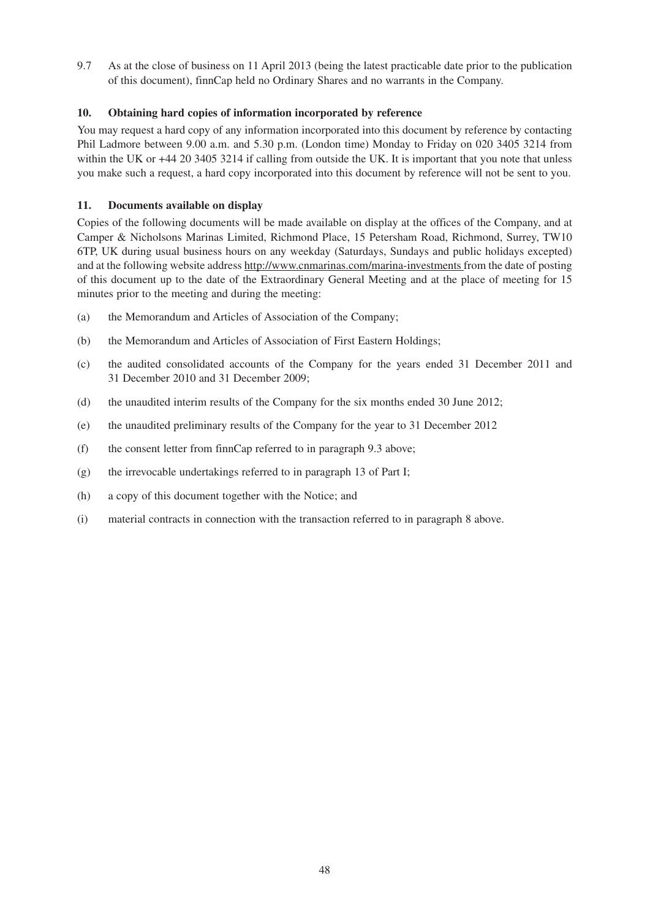9.7 As at the close of business on 11 April 2013 (being the latest practicable date prior to the publication of this document), finnCap held no Ordinary Shares and no warrants in the Company.

# **10. Obtaining hard copies of information incorporated by reference**

You may request a hard copy of any information incorporated into this document by reference by contacting Phil Ladmore between 9.00 a.m. and 5.30 p.m. (London time) Monday to Friday on 020 3405 3214 from within the UK or  $+44$  20 3405 3214 if calling from outside the UK. It is important that you note that unless you make such a request, a hard copy incorporated into this document by reference will not be sent to you.

# **11. Documents available on display**

Copies of the following documents will be made available on display at the offices of the Company, and at Camper & Nicholsons Marinas Limited, Richmond Place, 15 Petersham Road, Richmond, Surrey, TW10 6TP, UK during usual business hours on any weekday (Saturdays, Sundays and public holidays excepted) and at the following website address http://www.cnmarinas.com/marina-investments from the date of posting of this document up to the date of the Extraordinary General Meeting and at the place of meeting for 15 minutes prior to the meeting and during the meeting:

- (a) the Memorandum and Articles of Association of the Company;
- (b) the Memorandum and Articles of Association of First Eastern Holdings;
- (c) the audited consolidated accounts of the Company for the years ended 31 December 2011 and 31 December 2010 and 31 December 2009;
- (d) the unaudited interim results of the Company for the six months ended 30 June 2012;
- (e) the unaudited preliminary results of the Company for the year to 31 December 2012
- (f) the consent letter from finnCap referred to in paragraph 9.3 above;
- (g) the irrevocable undertakings referred to in paragraph 13 of Part I;
- (h) a copy of this document together with the Notice; and
- (i) material contracts in connection with the transaction referred to in paragraph 8 above.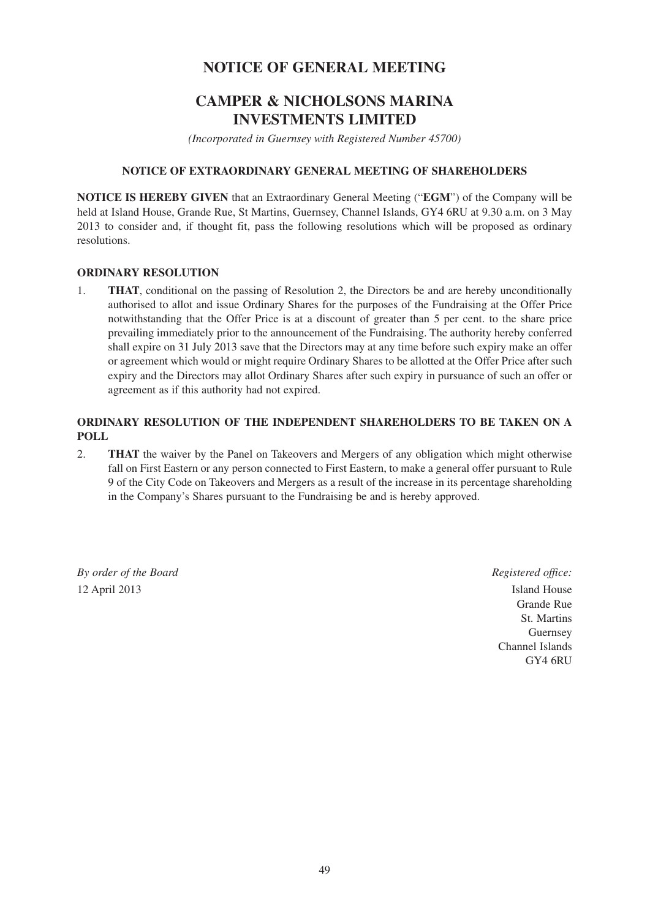# **NOTICE OF GENERAL MEETING**

# **CAMPER & NICHOLSONS MARINA INVESTMENTS LIMITED**

*(Incorporated in Guernsey with Registered Number 45700)*

#### **NOTICE OF EXTRAORDINARY GENERAL MEETING OF SHAREHOLDERS**

**NOTICE IS HEREBY GIVEN** that an Extraordinary General Meeting ("**EGM**") of the Company will be held at Island House, Grande Rue, St Martins, Guernsey, Channel Islands, GY4 6RU at 9.30 a.m. on 3 May 2013 to consider and, if thought fit, pass the following resolutions which will be proposed as ordinary resolutions.

#### **ORDINARY RESOLUTION**

1. **THAT**, conditional on the passing of Resolution 2, the Directors be and are hereby unconditionally authorised to allot and issue Ordinary Shares for the purposes of the Fundraising at the Offer Price notwithstanding that the Offer Price is at a discount of greater than 5 per cent. to the share price prevailing immediately prior to the announcement of the Fundraising. The authority hereby conferred shall expire on 31 July 2013 save that the Directors may at any time before such expiry make an offer or agreement which would or might require Ordinary Shares to be allotted at the Offer Price after such expiry and the Directors may allot Ordinary Shares after such expiry in pursuance of such an offer or agreement as if this authority had not expired.

# **ORDINARY RESOLUTION OF THE INDEPENDENT SHAREHOLDERS TO BE TAKEN ON A POLL**

2. **THAT** the waiver by the Panel on Takeovers and Mergers of any obligation which might otherwise fall on First Eastern or any person connected to First Eastern, to make a general offer pursuant to Rule 9 of the City Code on Takeovers and Mergers as a result of the increase in its percentage shareholding in the Company's Shares pursuant to the Fundraising be and is hereby approved.

*By order of the Board Registered office: Registered office:* 12 April 2013 **Island House** 

 Grande Rue St. Martins Guernsey **Guernsey**  Channel Islands GY4 6RU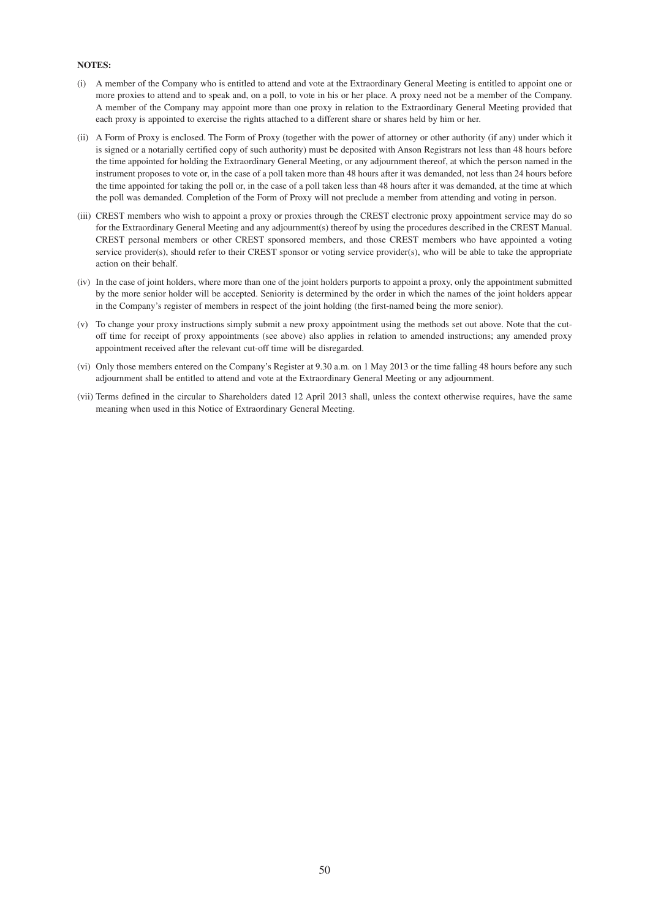#### **NOTES:**

- (i) A member of the Company who is entitled to attend and vote at the Extraordinary General Meeting is entitled to appoint one or more proxies to attend and to speak and, on a poll, to vote in his or her place. A proxy need not be a member of the Company. A member of the Company may appoint more than one proxy in relation to the Extraordinary General Meeting provided that each proxy is appointed to exercise the rights attached to a different share or shares held by him or her.
- (ii) A Form of Proxy is enclosed. The Form of Proxy (together with the power of attorney or other authority (if any) under which it is signed or a notarially certified copy of such authority) must be deposited with Anson Registrars not less than 48 hours before the time appointed for holding the Extraordinary General Meeting, or any adjournment thereof, at which the person named in the instrument proposes to vote or, in the case of a poll taken more than 48 hours after it was demanded, not less than 24 hours before the time appointed for taking the poll or, in the case of a poll taken less than 48 hours after it was demanded, at the time at which the poll was demanded. Completion of the Form of Proxy will not preclude a member from attending and voting in person.
- (iii) CREST members who wish to appoint a proxy or proxies through the CREST electronic proxy appointment service may do so for the Extraordinary General Meeting and any adjournment(s) thereof by using the procedures described in the CREST Manual. CREST personal members or other CREST sponsored members, and those CREST members who have appointed a voting service provider(s), should refer to their CREST sponsor or voting service provider(s), who will be able to take the appropriate action on their behalf.
- (iv) In the case of joint holders, where more than one of the joint holders purports to appoint a proxy, only the appointment submitted by the more senior holder will be accepted. Seniority is determined by the order in which the names of the joint holders appear in the Company's register of members in respect of the joint holding (the first-named being the more senior).
- (v) To change your proxy instructions simply submit a new proxy appointment using the methods set out above. Note that the cutoff time for receipt of proxy appointments (see above) also applies in relation to amended instructions; any amended proxy appointment received after the relevant cut-off time will be disregarded.
- (vi) Only those members entered on the Company's Register at 9.30 a.m. on 1 May 2013 or the time falling 48 hours before any such adjournment shall be entitled to attend and vote at the Extraordinary General Meeting or any adjournment.
- (vii) Terms defined in the circular to Shareholders dated 12 April 2013 shall, unless the context otherwise requires, have the same meaning when used in this Notice of Extraordinary General Meeting.